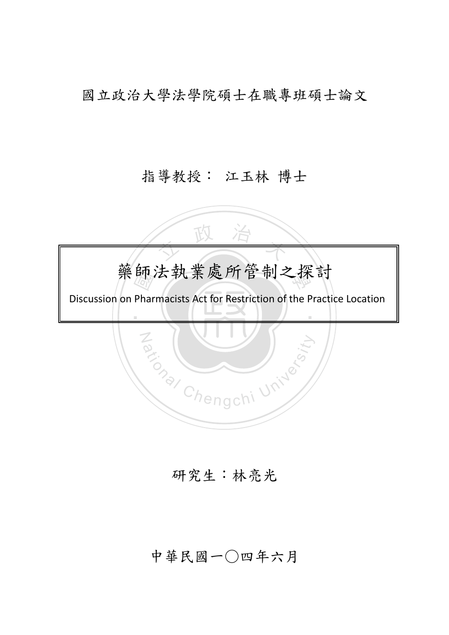國立政治大學法學院碩士在職專班碩士論文

## 指導教授: 江玉林 博士

**師**<br>Phar 女政治 學 ‧ Za (WILLED) 藥師法執業處所管制之探討 Discussion on Pharmacists Act for Restriction of the Practice Location

研究生:林亮光

中華民國一○四年六月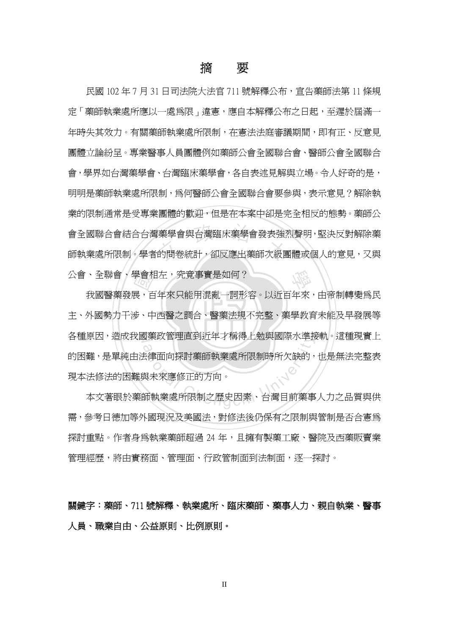## 摘 要

<br><br><br>的問卷統計,卻反應出藥師次級團 學 民國 102 年 7 月 31 日司法院大法官 711 號解釋公布,宣告藥師法第 11 條規 定「藥師執業處所應以一處為限」違憲,應自本解釋公布之日起,至遲於屆滿一 年時失其效力。有關藥師執業處所限制,在憲法法庭審議期間,即有正、反意見 團體立論紛呈。專業醫事人員團體例如藥師公會全國聯合會、醫師公會全國聯合 會,學界如台灣藥學會、台灣臨床藥學會,各自表述見解與立場。令人好奇的是, 明明是藥師執業處所限制,為何醫師公會全國聯合會要參與,表示意見?解除執 業的限制通常是受專業團體的歡迎,但是在本案中卻是完全相反的態勢。藥師公 會全國聯合會結合台灣藥學會與台灣臨床藥學會發表強烈聲明,堅決反對解除藥 師執業處所限制。學者的問卷統計,卻反應出藥師次級團體或個人的意見,又與 公會、全聯會、學會相左,究竟事實是如何?

主、外國勢力干涉、中西醫之調合、醫藥法規不完整、藥學教育未能及早發展等 學會相<br>展<br>步、中 各種原因,造成我國藥政管理直到近年才稱得上勉與國際水準接軌。這種現實上 3楽政官理直到辺平才博侍工勉典國除水準<br>お律面向探討藥師執業處所限制時所欠缺的,<br>長律面向探討藥師執業處所限制時所欠缺的,<br>與未來應修正的方向。<br><mark>師執業處所限制之歷史因素、台灣目前</mark>樂事 我國醫藥發展,百年來只能用混亂一詞形容。以近百年來,由帝制轉變為民 的困難,是單純由法律面向探討藥師執業處所限制時所欠缺的,也是無法完整表 現本法修法的困難與未來應修正的方向。

本文著眼於藥師執業處所限制之歷史因素、台灣目前藥事人力之品質與供 需,參考日德加等外國現況及美國法,對修法後仍保有之限制與管制是否合憲為 探討重點。作者身為執業藥師超過 24 年,且擁有製藥工廠、醫院及西藥販賣業 管理經歷,將由實務面、管理面、行政管制面到法制面,逐一探討。

關鍵字:藥師、711 號解釋、執業處所、臨床藥師、藥事人力、親自執業、醫事 人員、職業自由、公益原則、比例原則。

II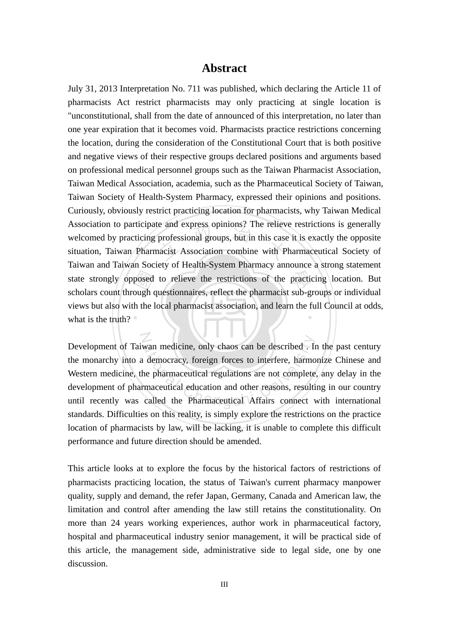#### **Abstract**

what is the truth? state strongly opposed to relieve the restrictions of the practicing location. But scholars count through questionnaires, reflect the pharmacist sub-groups or individual views but also with the local pharmacist association te and express opinions? The reliever<br>professional groups, but in this case<br>nacist Association combine with P ‧ July 31, 2013 Interpretation No. 711 was published, which declaring the Article 11 of pharmacists Act restrict pharmacists may only practicing at single location is "unconstitutional, shall from the date of announced of this interpretation, no later than one year expiration that it becomes void. Pharmacists practice restrictions concerning the location, during the consideration of the Constitutional Court that is both positive and negative views of their respective groups declared positions and arguments based on professional medical personnel groups such as the Taiwan Pharmacist Association, Taiwan Medical Association, academia, such as the Pharmaceutical Society of Taiwan, Taiwan Society of Health-System Pharmacy, expressed their opinions and positions. Curiously, obviously restrict practicing location for pharmacists, why Taiwan Medical Association to participate and express opinions? The relieve restrictions is generally welcomed by practicing professional groups, but in this case it is exactly the opposite situation, Taiwan Pharmacist Association combine with Pharmaceutical Society of Taiwan and Taiwan Society of Health-System Pharmacy announce a strong statement scholars count through questionnaires, reflect the pharmacist sub-groups or individual views but also with the local pharmacist association, and learn the full Council at odds,

iwan medicine, only chaos can be described . In<br>a democracy, foreign forces to interfere, harmo<br>the pharmaceutical regulations are not complete<br>irmaceutical education and other reasons, resulti<br>called the Pharmaceutical Af Development of Taiwan medicine, only chaos can be described . In the past century the monarchy into a democracy, foreign forces to interfere, harmonize Chinese and Western medicine, the pharmaceutical regulations are not complete, any delay in the development of pharmaceutical education and other reasons, resulting in our country until recently was called the Pharmaceutical Affairs connect with international standards. Difficulties on this reality, is simply explore the restrictions on the practice location of pharmacists by law, will be lacking, it is unable to complete this difficult performance and future direction should be amended.

This article looks at to explore the focus by the historical factors of restrictions of pharmacists practicing location, the status of Taiwan's current pharmacy manpower quality, supply and demand, the refer Japan, Germany, Canada and American law, the limitation and control after amending the law still retains the constitutionality. On more than 24 years working experiences, author work in pharmaceutical factory, hospital and pharmaceutical industry senior management, it will be practical side of this article, the management side, administrative side to legal side, one by one discussion.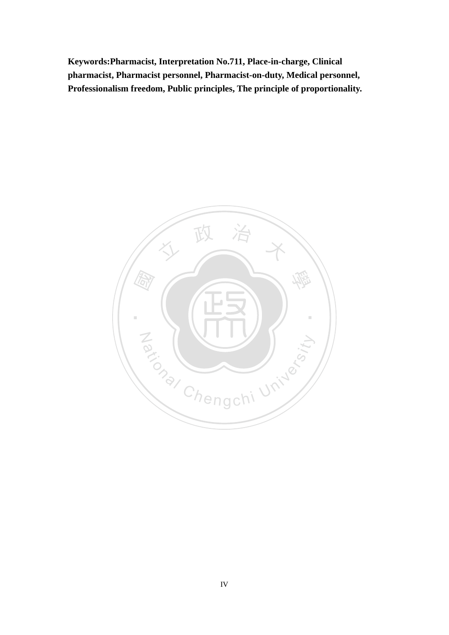**Keywords:Pharmacist, Interpretation No.711, Place-in-charge, Clinical pharmacist, Pharmacist personnel, Pharmacist-on-duty, Medical personnel, Professionalism freedom, Public principles, The principle of proportionality.** 

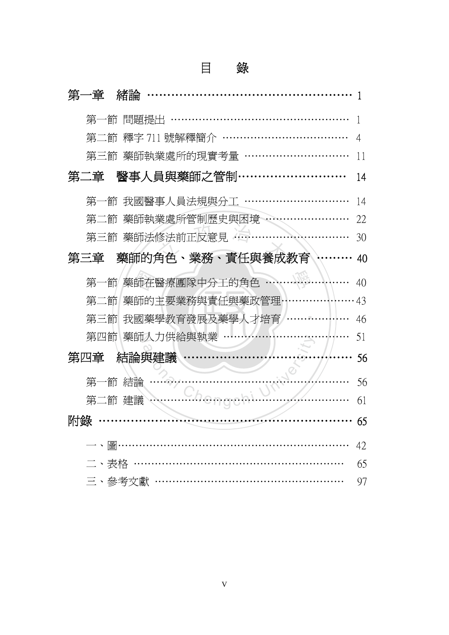|    |          | 錄                          |    |
|----|----------|----------------------------|----|
|    | 第一章      | 緒論                         |    |
|    | 第一節      | 問題提出                       |    |
|    | 第二節      | 釋字 711 號解釋簡介               | 4  |
|    | 第三節      | 藥師執業處所的現實考量                | 11 |
|    | 第二章      | 醫事人員與藥師之管制・                | 14 |
|    | 第一節      | 我國醫事人員法規與分工                | 14 |
|    | 第二節      | 藥師執業處所管制歷史與困境              | 22 |
|    | 第三節      | 藥師法修法前正反意見 40              | 30 |
|    | 第三章      | 藥師的角色、業務、責任與養成教育           | 40 |
|    | 第一節      | 藥師在醫療團隊中分工的角色              | 40 |
|    | 第二節      | 藥師的主要業務與責任與藥政管理            | 43 |
|    | 第三節      | 我國藥學教育發展及藥學人才培育            | 46 |
|    | 第四節      | 藥師人力供給與執業                  | 51 |
|    | 第四章      | 結論與建議                      | 56 |
|    | 第-<br>·節 | 結論                         | 56 |
|    |          |                            | 01 |
| 附錄 |          |                            | 65 |
|    |          | — 、圖………………………………………………………… | 42 |
|    |          | 二、表格 ……………………………………………………  | 65 |
|    |          | 三、參考文獻 ………………………………………………  | 97 |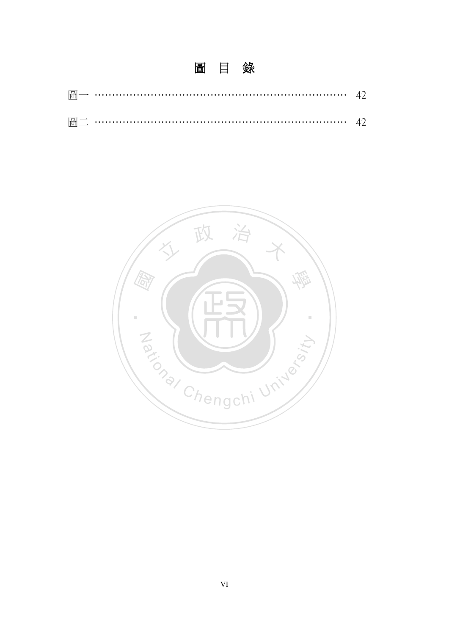| 圖一 |  |
|----|--|
|    |  |

圖 目 錄

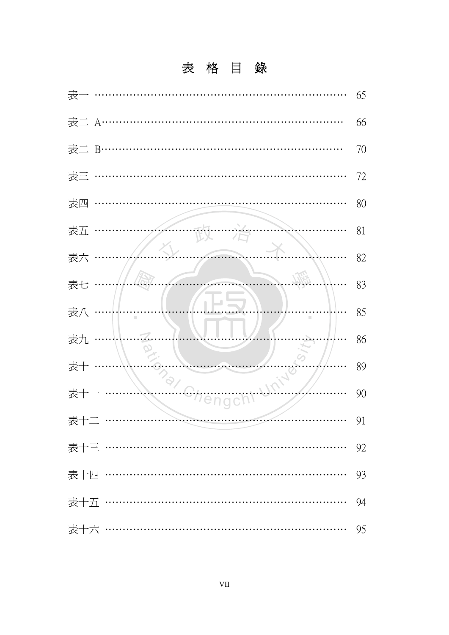# 表格目錄

| 表                          | 65 |
|----------------------------|----|
| 表二 A…                      | 66 |
| 表二 B…                      | 70 |
| 表三                         | 72 |
| 表四                         | 80 |
| 表五                         | 81 |
| 表六                         | 82 |
| 表七                         | 83 |
| 表八<br>I.                   | 85 |
| 表九                         | 86 |
| 表十                         | 89 |
| 表十                         | 90 |
| 表十二                        | 91 |
| 表十三 ………………………………………………………… | 92 |
| 表十四 ………………………………………………………… | 93 |
| 表十五 ………………………………………………………… | 94 |
| 表十六 ………………………………………………………… | 95 |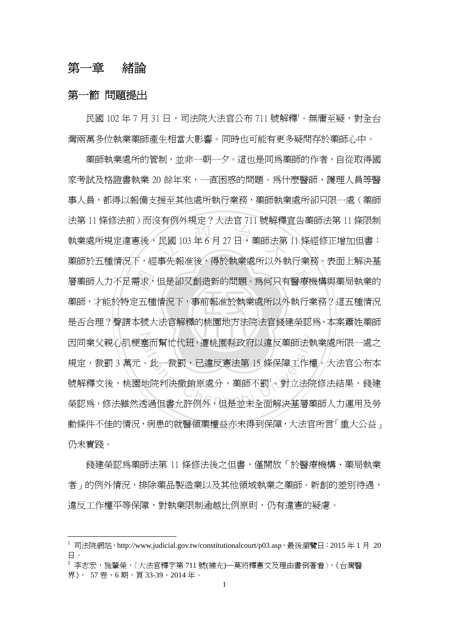### 第一章 緒論

#### 第一節 問題提出

 $\overline{a}$ 

民國 102年7月31日,司法院大法官公布 711號解釋。無庸至疑,對全台 灣兩萬多位執業藥師產生相當大影響。同時也可能有更多疑問存於藥師心中。

‧‧ 需求,<br><br><br>本號大 天日以外の数と、スムロイロッサービス<br>民國 103年6月27日,藥師法第 學 層藥師人力不足需求,但是卻又創造新的問題。為何只有醫療機構與藥局執業的 N 因同業父親心肌梗塞而幫忙代班,遭桃園縣政府以違反藥師法執業處所限一處之 塞而幫忙代班,遭桃園縣政府以違反藥師法執<br>。此一裁罰,已違反憲法第 15 條保障工作權<br>地院判決撤銷原處分,藥師不罰<sup>2</sup>。對立法院<br><br><br>透過但書允許例外,但是並未全面解決基層藥 藥師執業處所的管制,並非一朝一夕。這也是同為藥師的作者,自從取得國 家考試及格證書執業 20 餘年來,一直困惑的問題。為什麼醫師、護理人員等醫 事人員,都得以報備支援至其他處所執行業務,藥師執業處所卻只限一處(藥師 法第 11 條修法前)而沒有例外規定?大法官 711 號解釋宣告藥師法第 11 條限制 執業處所規定違憲後,民國 103 年 6 月 27 日,藥師法第 11 條經修正增加但書: 藥師於五種情況下,經事先報准後,得於執業處所以外執行業務。表面上解決基 藥師,才能於特定五種情況下,事前報准於執業處所以外執行業務?這五種情況 是否合理?聲請本號大法官解釋的桃園地方法院法官錢建榮認為,本案蕭姓藥師 規定,裁罰 3 萬元。此一裁罰,已違反憲法第 15 條保障工作權。大法官公布本 號解釋文後,桃園地院判決撤銷原處分,藥師不罰<sup>2</sup>。對立法院修法結果,錢建 榮認為,修法雖然透過但書允許例外,但是並未全面解決基層藥師人力運用及勞 動條件不佳的情況,病患的就醫領藥權益亦未得到保障,大法官所言「重大公益」 仍未實踐。

錄建榮認爲藥師法第 11 條修法後之但書,僅開放「於醫療機構、藥局執業 者」的例外情況,排除藥品製造業以及其他領域執業之藥師。新創的差別待遇, 違反工作權平等保障,對執業限制渝越比例原則,仍有違憲的疑慮。

 $^{-1}$  司法院網站, http://www.judicial.gov.tw/constitutionalcourt/p03.asp, 最後瀏覽日: 2015年1月 20 日。

<sup>2</sup> 李志宏,施肇榮,〈大法官釋字第 711 號(補充)─莫將釋憲文及理由書倒著看〉,《台灣醫 界》, 57 卷,6 期,頁 33-39,2014 年。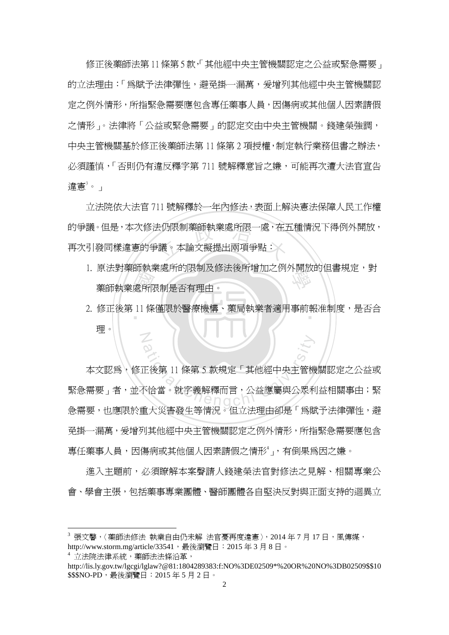修正後藥師法第11條第5款,「其他經中央主管機關認定之公益或緊急需要」 的立法理由:「為賦予法律彈性,避免掛一漏萬,爰增列其他經中央主管機關認 定之例外情形,所指緊急需要應包含專任藥事人員,因傷病或其他個人因素請假 之情形」。法律將「公益或緊急需要」的認定交由中央主管機關。錢建榮強調, 中央主管機關基於修正後藥師法第 11 條第 2 項授權,制定執行業務但書之辦法, 必須謹慎,「否則仍有違反釋字第 711 號解釋意旨之嫌,可能再次遭大法官官告 違憲 $^3\,$ 。」

的爭議。但是,本次修法仍限制藥師執業處所限一處,在五種情況下得例外開放,<br>再次引發同樣違憲的爭議。本論文擬提出兩項爭點:<br>-立法院依大法官 711 號解釋於一年內修法,表面上解決憲法保障人民工作權 再次引發同樣違憲的爭議。本論文擬提出兩項爭點:

- 1. 原法對藥師執業處所的限制及修法後所增加之例外開放的但書規定,對<br>-<br>- 藥師執業處所限制是否有理由。 藥師執業處所限制是否有理由。
- 品+P><br>處所附<br>11條 ‧ 2. 修正後第 11 條僅限於醫療機構、藥局執業者適用事前報准制度,是否合 N 理。

る<br>正後第11條第5款規定「其他經中央主管機<br>下恰當。就字義解釋而言,公益應屬與公眾利<br>F-13378世流居河口に主法理士流居「受問 本文認為,修正後第 11 條第 5 款規定「其他經中央主管機關認定之公益或 緊急需要」者,並不恰當。就字義解釋而言,公益應屬與公眾利益相關事由;緊 急需要,也應限於重大災害發生等情況。但立法理由卻是「為賦予法律彈性,避 免掛一漏萬,爰增列其他經中央主管機關認定之例外情形,所指緊急需要應包含 專任藥事人員,因傷病或其他個人因素請假之情形4」,有倒果為因之嫌。

進入主題前,必須瞭解本案聲請人錢建榮法官對修法之見解、相關專業公 會、學會主張,包括藥事專業團體、醫師團體各自堅決反對與正面支持的迴異立

 $^3$  張文馨,〈藥師法修法 執業自由仍未解 法官憂再度違憲〉, 2014年7月17日,風傳媒, http://www.storm.mg/article/33541, 最後瀏覽日: 2015年3月8日。

<sup>4</sup> 立法院法律系統,藥師法法條沿革,

http://lis.ly.gov.tw/lgcgi/lglaw?@81:1804289383:f:NO%3DE02509\*%20OR%20NO%3DB02509\$\$10 \$\$\$NO-PD,最後瀏覽日: 2015年5月2日。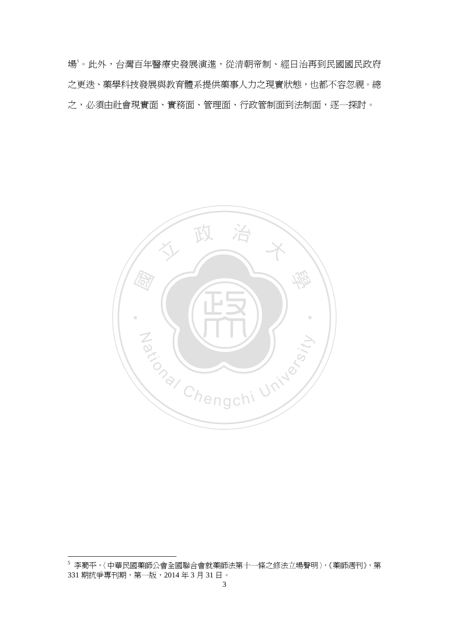場5 。此外,台灣百年醫療史發展演進,從清朝帝制、經日治再到民國國民政府 之更迭、藥學科技發展與教育體系提供藥事人力之現實狀態,也都不容忽視。總 之,必須由社會現實面、實務面、管理面、行政管制面到法制面,逐一探討。



<sup>5</sup> 李蜀平,〈中華民國藥師公會全國聯合會就藥師法第十一條之修法立場聲明〉,《藥師週刊》,第 331 期抗爭專刊期,第一版,2014 年 3 月 31 日。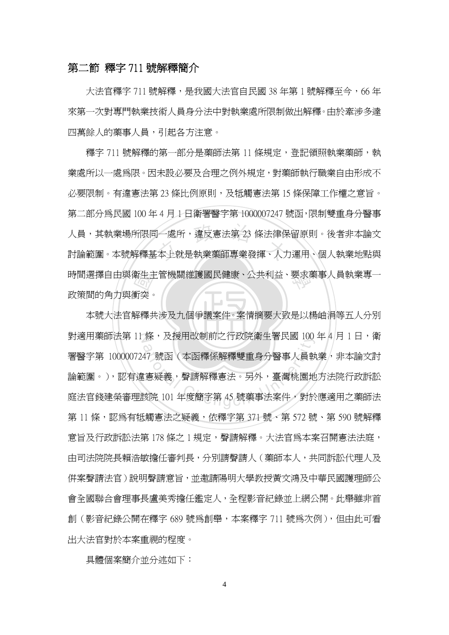#### 第二節 釋字 711 號解釋簡介

大法官釋字 711 號解釋,是我國大法官自民國 38 年第 1 號解釋至今,66 年 來第一次對專門執業技術人員身分法中對執業處所限制做出解釋。由於牽涉多達 四萬餘人的藥事人員,引起各方注意。

葡生主<br>衝突<br>解釋尹 人員,其執業場所限同一處所,違反憲法第 23 條法律保留原則。後者非本論文<br>討論範圍。本號解釋基本上就是執業藥師專業發揮、人力運用、個人執業地點與 學 時間選擇自由與衛生主管機關維護國民健康、公共利益、要求藥事人員執業專一 釋字 711 號解釋的第一部分是藥師法第 11 條規定,登記領照執業藥師,執 業處所以一處為限。因未設必要及合理之例外規定,對藥師執行職業自由形成不 必要限制。有違憲法第 23 條比例原則,及牴觸憲法第 15 條保障工作權之意旨。 第二部分為民國 100 年 4 月 1 日衛署醫字第 1000007247 號函,限制雙重身分醫事 人員,其執業場所限同一處所,違反憲法第 23 條法律保留原則。後者非本論文 政策間的角力與衝突。

本號大法官解釋共涉及九個爭議案件。案情摘要大致是以楊岫涓等五人分別 對適用藥師法第 11 條,及援用改制前之行政院衛生署民國 100 年 4 月 1 日,衛 16、反拔用改制即之行政阮儞生者氏國 100<br>47 號函(本函釋係解釋雙重身分醫事人員 執<br><br>這疑義,聲請解釋憲法。另外,臺灣桃園地<br>該院 101 年度簡字第 45 號藥事法案件,對於 署醫字第 1000007247 號函(本函釋係解釋雙重身分醫事人員執業,非本論文討 論範圍。),認有違憲疑義,聲請解釋憲法。另外,臺灣桃園地方法院行政訴訟 庭法官錢建榮審理該院 101 年度簡字第 45 號藥事法案件,對於應適用之藥師法 第11條,認爲有牴觸憲法之疑義,依釋字第 371號、第 572號、第 590 號解釋 意旨及行政訴訟法第 178 條之 1 規定,聲請解釋。大法官為本案召開憲法法庭, 由司法院院長賴浩敏擔任審判長,分別請聲請人(藥師本人,共同訴訟代理人及 併案聲請法官)說明聲請意旨,並邀請陽明大學教授黃文鴻及中華民國護理師公 會全國聯合會理事長盧美秀擔任鑑定人,全程影音紀錄並上網公開。此舉雖非首 創(影音紀錄公開在釋字 689 號為創舉,本案釋字 711 號為次例),但由此可看 出大法官對於本案重視的程度。

具體個案簡介並分述如下: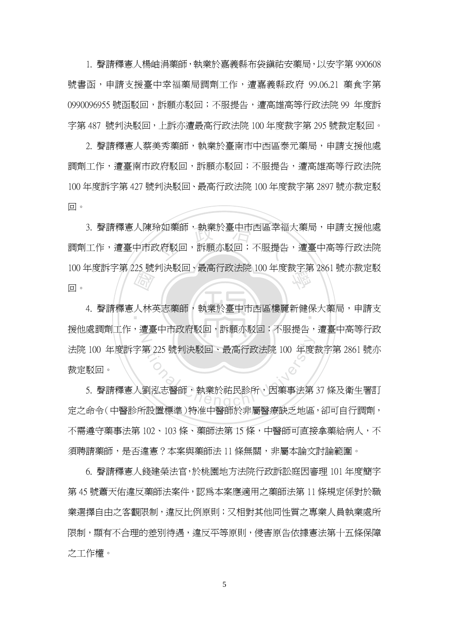1. 聲請釋憲人楊岫涓藥師,執業於嘉義縣布袋鎮祐安藥局,以安字第 990608 號書函,申請支援臺中幸福藥局調劑工作,遭嘉義縣政府 99.06.21 藥食字第 0990096955 號函駁回,訴願亦駁回;不服提告,遭高雄高等行政法院 99 年度訴 字第 487 號判決駁回,上訴亦遭最高行政法院 100 年度裁字第 295 號裁定駁回。

2. 聲請釋憲人蔡美秀藥師,執業於臺南市中西區泰元藥局,申請支援他處 調劑工作,遭臺南市政府駁回,訴願亦駁回;不服提告,遭高雄高等行政法院 100 年度訴字第 427 號判決駁回、最高行政法院 100 年度裁字第 2897 號亦裁定駁 回。

3. 聲請釋憲人陳玲如藥師,執業於臺中市西區幸福大藥局,申請支援他處<br>工作,遭臺中市政府駁回,訴願亦駁回;不服提告,遭臺中高等行政法院 100 年度訴字第 225 號判決駁回、最高行政法院 100 年度裁字第 2861 號亦裁定駁<br>回。 調劑工作,遭臺中市政府駁回,訴願亦駁回;不服提告,遭臺中高等行政法院 回。

一個社会 ‧ 4. 聲請釋憲人林英志藥師,執業於臺中市西區樓麗新健保大藥局,申請支 N 第 225 號判決駁回、最高行政法院 100 年度<br><br>劉泓志醫師,執業於祐民診所,因藥事法第<br>(司田珊維 ) は光中醫症が人世界醫療 援他處調劑工作,遭臺中市政府駁回,訴願亦駁回;不服提告,遭臺中高等行政 法院 100 年度訴字第 225 號判決駁回、最高行政法院 100 年度裁字第 2861 號亦 裁定駁回。

5. 聲請釋憲人劉泓志醫師,執業於祐民診所,因藥事法第 37 條及衛生署訂 定之命令(中醫診所設置標準)特准中醫師於非屬醫療缺乏地區,卻可自行調劑, 不需遵守藥事法第 102、103 條、藥師法第 15 條,中醫師可直接拿藥給病人,不 須聘請藥師,是否違憲?本案與藥師法 11 條無關,非屬本論文討論範圍。

6. 聲請釋憲人錢建榮法官,於桃園地方法院行政訴訟庭因審理 101 年度簡字 第 45 號蕭天佑違反藥師法案件,認為本案應適用之藥師法第 11 條規定係對於職 業選擇自由之客觀限制,違反比例原則;又相對其他同性質之專業人員執業處所 限制,顯有不合理的差別待遇,違反平等原則,侵害原告依據憲法第十五條保障 之工作權。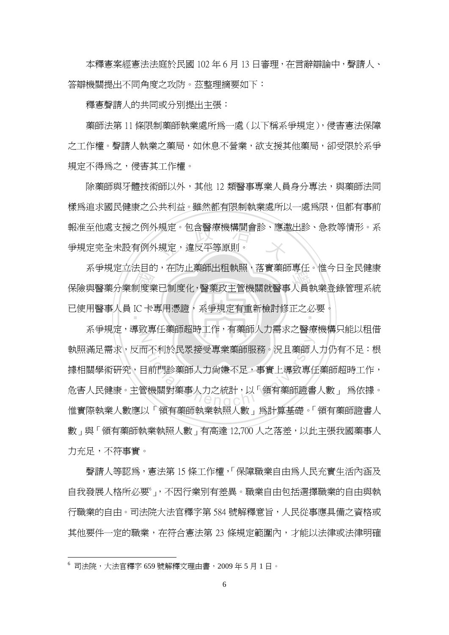本釋憲案經憲法法庭於民國 102 年 6 月 13 日審理,在言辭辯論中,聲請人、 答辯機關提出不同角度之攻防。茲整理摘要如下:

釋憲聲請人的共同或分別提出主張:

藥師法第 11 條限制藥師執業處所為一處(以下稱系爭規定),侵害憲法保障 之工作權。聲請人執業之藥局,如休息不營業,欲支援其他藥局,卻受限於系爭 規定不得為之,侵害其工作權。

報准至他處支援之例外規定。包含醫療機構間會診、應邀出診、急救等情形。系<br>爭規定完全未設有例外規定,違反平等原則。 除藥師與牙體技術師以外,其他 12 類醫事專業人員身分專法,與藥師法同 樣為追求國民健康之公共利益。雖然都有限制執業處所以一處為限,但都有事前 爭規定完全未設有例外規定,違反平等原則。

ポナ焼足立公日的, 社防正案師出祖釈照, 裕員案師等は, 惟フロ主氏庭家<br>保險與醫藥分業制度業已制度化,醫藥政主管機關就醫事人員執業登錄管理系統<br>已使用醫事人員 IC 卡專用憑證, 系爭規定有重新檢討修正之必要。 已使用醫事人員 IC 卡專用憑證,系爭規定有重新檢討修正之必要。<br>-系爭規定立法目的,在防止藥師出租執照,落實藥師專任。惟今日全民健康

N <br><br>日前門診薬師人力尙嫌不足,事實上導致專化<br>全機關對藥事人力之統計,以「領有藥師證書<br>全機關對藥事人力之統計,以「領有藥師證書 系爭規定,導致專任藥師超時工作,有藥師人力需求之醫療機構只能以租借 執照滿足需求,反而不利於民眾接受專業藥師服務。況且藥師人力仍有不足:根 據相關學術研究,目前門診藥師人力尙嫌不足,事實上導致專任藥師超時工作, 危害人民健康。主管機關對藥事人力之統計,以「領有藥師證書人數」 為依據。 惟實際執業人數應以「領有藥師執業執照人數」為計算基礎。「領有藥師證書人 數」與「領有藥師執業執照人數」有高達 12,700 人之落差,以此主張我國藥事人 力充足,不符事實。

聲請人等認為,憲法第 15 條工作權,「保障職業自由為人民充實生活內涵及 自我發展人格所必要。,不因行業別有差異。職業自由包括選擇職業的自由與執 行職業的自由。司法院大法官釋字第 584 號解釋意旨,人民從事應具備之資格或 其他要件一定的職業,在符合憲法第 23 條規定範圍內,才能以法律或法律明確

<sup>6</sup> 司法院,大法官釋字 659 號解釋文理由書,2009 年 5 月 1 日。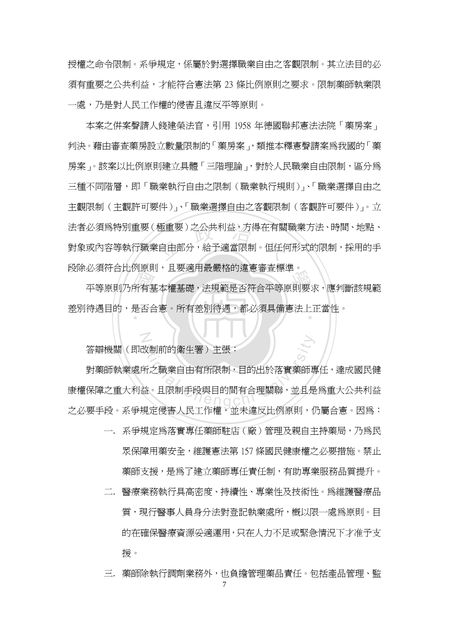授權之命令限制。系爭規定,係屬於對選擇職業自由之客觀限制。其立法目的必 須有重要之公共利益,才能符合憲法第 23 條比例原則之要求。限制藥師執業限 一處,乃是對人民工作權的侵害且違反平等原則。

法者必須為特別重要(極重要)之公共利益,方得在有關職業方法、時間、地點、<br>對象或內容等執行職業自由部分,給予適當限制。但任何形式的限制,採用的手 本案之併案聲請人錢建榮法官,引用 1958 年德國聯邦憲法法院「藥房案」 判決。藉由審查藥房設立數量限制的「藥房案」,類推本釋憲聲請案為我國的「藥 房案」。該案以比例原則建立具體「三階理論」,對於人民職業自由限制,區分為 三種不同階層,即「職業執行自由之限制(職業執行規則)」、「職業選擇自由之 主觀限制(主觀許可要件)」、「職業選擇自由之客觀限制(客觀許可要件)」。立 對象或內容等執行職業自由部分,給予適當限制。但任何形式的限制,採用的手 段除必須符合比例原則,且要適用最嚴格的違憲審查標準。

和冰<br>所有<br>是否合 必須刊 日比阿床別,五安週用取取怕的建憲番且标平。<br><br>平等原則乃所有基本權基礎,法規範是否符合平等原則要求,應判斷該規範 ‧ 差別待遇目的,是否合憲。所有差別待遇,都必須具備憲法上正當性。

答辯機關(即改制前的衛生署)主張:

N

<br><br>新之職業自由有所限制, 目的出於落實藥師<br>益。且限制手段與目的間有合理關聯, 並且是<br>益。且限制手段與目的間有合理關聯, 並且是 對藥師執業處所之職業自由有所限制,目的出於落實藥師專任,達成國民健 康權保障之重大利益。且限制手段與目的間有合理關聯,並且是為重大公共利益 之必要手段。系爭規定侵害人民工作權,並未違反比例原則,仍屬合憲。因為:

- 一. 系爭規定為落實專任藥師駐店(廠)管理及親自主持藥局,乃為民 眾保障用藥安全,維護憲法第 157 條國民健康權之必要措施。禁止 藥師支援,是為了建立藥師專任責任制,有助專業服務品質提升。
- 二. 醫療業務執行具高密度、持續性、專業性及技術性。為維護醫療品 質,現行醫事人員身分法對登記執業處所,概以限一處爲原則。目 的在確保醫療資源妥適運用,只在人力不足或緊急情況下才准予支 援。

三. 藥師除執行調劑業務外,也負擔管理藥品責任。包括產品管理、監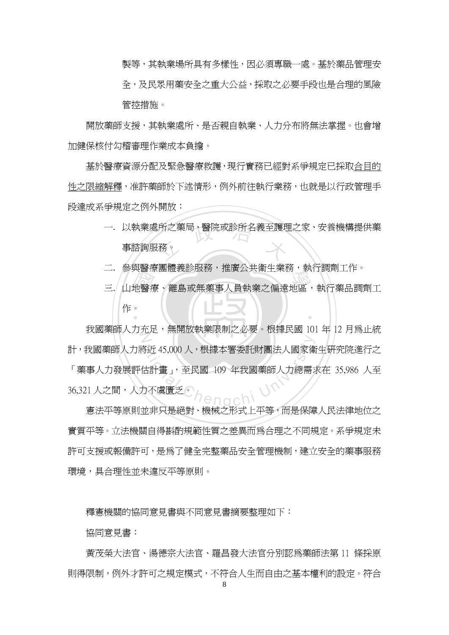製等,其執業場所具有多樣性,因必須專職一處。基於藥品管理安 全,及民眾用藥安全之重大公益,採取之必要手段也是合理的風險 管控措施。

開放藥師支援,其執業處所、是否親自執業、人力分布將無法掌握。也會增 加健保核付勾稽審理作業成本負擔。

基於醫療資源分配及緊急醫療救護,現行實務已經對系爭規定已採取合目的 性之限縮解釋,准許藥師於下述情形,例外前往執行業務,也就是以行政管理手 段達成系爭規定之例外開放:

- <sup>立</sup> <sup>政</sup> <sup>治</sup> <sup>大</sup> 一. 以執業處所之藥局、醫院或診所名義至護理之家、安養機構提供藥 事諮詢服務。
- 二. 參與醫療團體義診服務,推廣公共衛生業務,執行調劑工作。
- 一. 多兴酋源園盟我矽成功, 推演公共開王未功, 秋门調用工作,<br>三. 山地醫療、離島或無藥事人員執業之偏遠地區,執行藥品調劑工,<br>作。 ‧ 作。

N <br>各近45,000人,根據本署委託財團法人國家衛<br><br>白不虞匱乏。<br>出生日見智能は数量大政治と政策、若是四階 我國藥師人力充足,無開放執業限制之必要。根據民國 101 年 12 月為止統 計,我國藥師人力將近 45,000 人,根據本署委託財團法人國家衛生研究院進行之 「藥事人力發展評估計畫」,至民國 109 年我國藥師人力總需求在 35,986 人至 36,321 人之間,人力不虞匱乏。

憲法平等原則並非只是絕對、機械之形式上平等,而是保障人民法律地位之 實質平等。立法機關自得斟酌規範性質之差異而為合理之不同規定。系爭規定未 許可支援或報備許可,是為了健全完整藥品安全管理機制,建立安全的藥事服務 環境,具合理性並未違反平等原則。

釋憲機關的協同意見書與不同意見書摘要整理如下:

協同意見書:

黃茂榮大法官、湯德宗大法官、羅昌發大法官分別認為藥師法第 11 條採原 則得限制,例外才許可之規定模式,不符合人生而自由之基本權利的設定。符合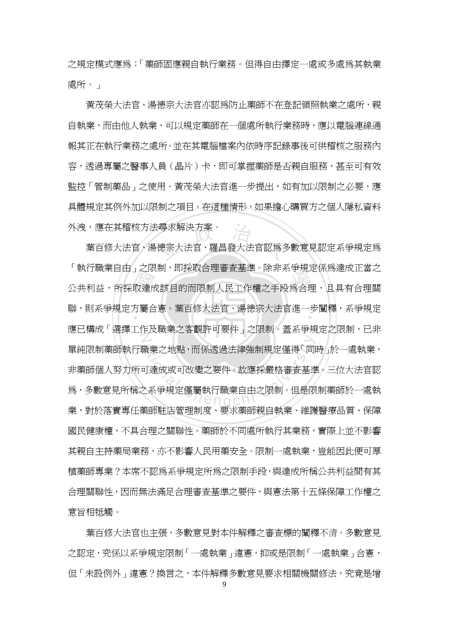之規定模式應為:「藥師固應親自執行業務。但得自由擇定一處或多處為其執業 處所。」

黃茂榮大法官、湯德宗大法官亦認為防止藥師不在登記領照執業之處所,親 自執業,而由他人執業,可以規定藥師在一個處所執行業務時,應以電腦連線通 報其正在執行業務之處所。並在其電腦檔案內依時序記錄事後可供稽核之服務內 容,透過專屬之醫事人員(晶片)卡,即可掌握藥師是否親自服務,甚至可有效 監控「管制藥品」之使用。黃茂榮大法官進一步提出,如有加以限制之必要,應 具體規定其例外加以限制之項目。在這種情形,如果擔心購買方之個人隱私資料 外洩,應在其稽核方法尋求解決方案。

」<br>取達<br>方<br>「你 :尋求解決方案。<br>德宗大法官、羅昌發大法官認爲多 學 公共利益,所採取達成該目的而限制人民工作權之手段為合理,且具有合理關 ‧ 聯,則系爭規定方屬合憲。葉百修大法官、湯德宗大法官進一步闡釋,系爭規定 N ation<br>前達成或可改變之要件。故應採嚴格審査基準<br><br>2系爭規定僅屬執行職業自由之限制。但是限<br>2系爭規定僅屬執行職業自由之限制。但是限 葉百修大法官、湯德宗大法官、羅昌發大法官認爲多數意見認定系爭規定爲 「執行職業自由」之限制,即採取合理審査基準。除非系爭規定係為達成正當之 應已構成「選擇工作及職業之客觀許可要件」之限制。蓋系爭規定之限制,已非 單純限制藥師執行職業之地點,而係透過法律強制規定僅得「同時」於一處執業, 非藥師個人努力所可達成或可改變之要件。故應採嚴格審查基準。三位大法官認 為,多數意見所稱之系爭規定僅屬執行職業自由之限制。但是限制藥師於一處執 業,對於落實專任藥師駐店管理制度、要求藥師親自執業、維護醫療品質、保障 國民健康權,不具合理之關聯性。藥師於不同處所執行其業務,實際上並不影響 其親自主持藥局業務,亦不影響人民用藥安全。限制一處執業,豈能因此便可厚 植藥師專業?本席不認為系爭規定所為之限制手段,與達成所稱公共利益間有其 合理關聯性,因而無法滿足合理審查基準之要件,與憲法第十五條保障工作權之 意旨相牴觸。

葉百修大法官也主張,多數意見對本件解釋之審查標的闡釋不清。 多數意見 之認定,究係以系爭規定限制「一處執業」違憲,抑或是限制「一處執業」合憲, 但「未設例外」違憲?換言之,本件解釋多數意見要求相關機關修法,究竟是增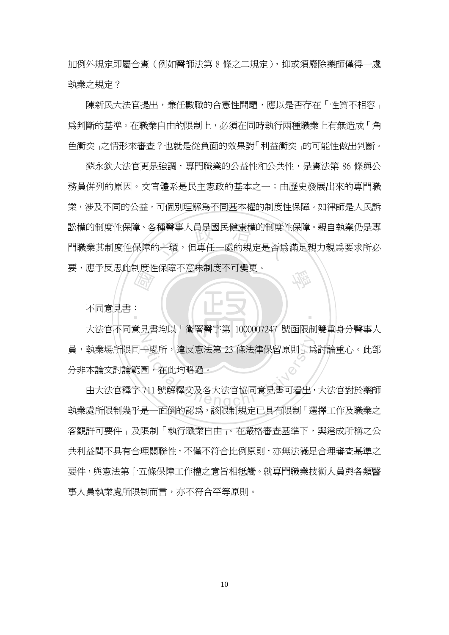加例外規定即屬合憲(例如醫師法第 8 條之二規定),抑或須廢除藥師僅得一處 執業之規定?

陳新民大法官提出,兼任數職的合憲性問題,應以是否存在「性質不相容」 為判斷的基準。在職業自由的限制上,必須在同時執行兩種職業上有無造成「角 色衝突」之情形來審查?也就是從負面的效果對「利益衝突」的可能性做出判斷。

種醫事人員是國民健康權的制度性<br><br><br><br><br><br><br><br><br><br><br><br><br><br><br><br><br><br><br><br><br><br> 學 蘇永欽大法官更是強調,專門職業的公益性和公共性,是憲法第 86 條與公 務員併列的原因。文官體系是民主憲政的基本之一;由歷史發展出來的專門職 業,涉及不同的公益,可個別理解爲不同基本權的制度性保障。如律師是人民訴 訟權的制度性保障、各種醫事人員是國民健康權的制度性保障。親自執業仍是專 門職業其制度性保障的一環,但專任一處的規定是否爲滿足親力親爲要求所必 要,應予反思此制度性保障不意味制度不可變更。

不同意見書:

**国家** Z  $\begin{align*} \nabla \mathbf{E} &\times \mathbf{E} \ \nabla \mathbf{E} &\times \mathbf{E} \ \nabla \mathbf{E} &\times \mathbf{E} \ \nabla \mathbf{E} &\times \mathbf{E} \ \nabla \mathbf{E} &\times \mathbf{E} \ \nabla \mathbf{E} &\times \mathbf{E} \ \nabla \mathbf{E} &\times \mathbf{E} \ \nabla \mathbf{E} &\times \mathbf{E} \ \nabla \mathbf{E} &\times \mathbf{E} \ \nabla \mathbf{E} &\times \mathbf{E} \ \nabla \mathbf{E} &\times$ 大法官不同意見書均以「衛署醫字第 1000007247 號函限制雙重身分醫事人 員,執業場所限同一處所,違反憲法第 23 條法律保留原則」爲討論重心。此部 分非本論文討論範圍,在此均略過。

‧

由大法官釋字 711 號解釋文及各大法官協同意見書可看出,大法官對於藥師 執業處所限制幾乎是一面倒的認為,該限制規定已具有限制「選擇工作及職業之 客觀許可要件」及限制「執行職業自由」。在嚴格審查基準下,與達成所稱之公 共利益間不具有合理關聯性,不僅不符合比例原則,亦無法滿足合理審查基準之 要件,與憲法第十五條保障工作權之意旨相牴觸。就專門職業技術人員與各類醫 事人員執業處所限制而言,亦不符合平等原則。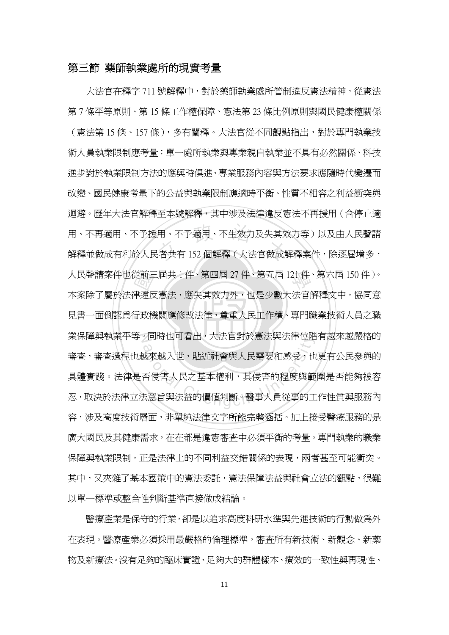## 第三節 藥師執業處所的現實考量

見書一面倒認為行政機關應修改法律,尊重人民工作權、專門職業技術人員之職 從前三<br>津違反<br>行政機 用、不予適用、不生效力及失其<mark>效</mark><br>'者共有 152 個解釋(大法官做成<mark>前</mark> 學 人民聲請案件也從前三屆共 1 件、第四屆 27 件、第五屆 121 件、第六屆 150 件)。 業保障與執業平等。同時也可看出,大法官對於憲法與法律位階有越來越嚴格的 。同時也可有出,人法自到於憲法興法律位確<br>へ<br>越來越入世,貼近社會與人民需要和感受,也<br>否侵害人民之基本權利,其侵害的程度與範<br><br><br>法意旨與法益的價値判斷。醫事人員從事的工 大法官在釋字 711 號解釋中,對於藥師執業處所管制違反憲法精神,從憲法 第 7 條平等原則、第 15 條工作權保障、憲法第 23 條比例原則與國民健康權關係 (憲法第 15 條、157 條),多有闡釋。大法官從不同觀點指出,對於專門執業技 術人員執業限制應考量:單一處所執業與專業親自執業並不具有必然關係、科技 進步對於執業限制方法的應與時俱進、專業服務內容與方法要求應隨時代變遷而 改變、國民健康考量下的公益與執業限制應適時平衡、性質不相容之利益衝突與 迴避。歷年大法官解釋至本號解釋,其中涉及法律違反憲法不再援用(含停止適 用、不再適用、不予援用、不予適用、不生效力及失其效力等)以及由人民聲請 解釋並做成有利於人民者共有 152 個解釋(大法官做成解釋案件,除逐屆增多, 本案除了屬於法律違反憲法,應失其效力外,也是少數大法官解釋文中,協同意 審查,審查過程也越來越入世,貼近社會與人民需要和感受,也更有公民參與的 具體實踐。法律是否侵害人民之基本權利,其侵害的程度與範圍是否能夠被容 忍,取決於法律立法意旨與法益的價值判斷。醫事人員從事的工作性質與服務內 容,涉及高度技術層面,非單純法律文字所能完整涵括。加上接受醫療服務的是 廣大國民及其健康需求,在在都是違憲審查中必須平衡的考量。專門執業的職業 保障與執業限制,正是法律上的不同利益交錯關係的表現,兩者甚至可能衝突。 其中,又夾雜了基本國策中的憲法委託,憲法保障法益與社會立法的觀點,很難 以單一標準或整合性判斷基準直接做成結論。

醫療產業是保守的行業,卻是以追求高度科研水準與先進技術的行動做為外 在表現。醫療產業必須採用最嚴格的倫理標準,審查所有新技術、新觀念、新藥 物及新療法。沒有足夠的臨床實證、足夠大的群體樣本、療效的一致性與再現性、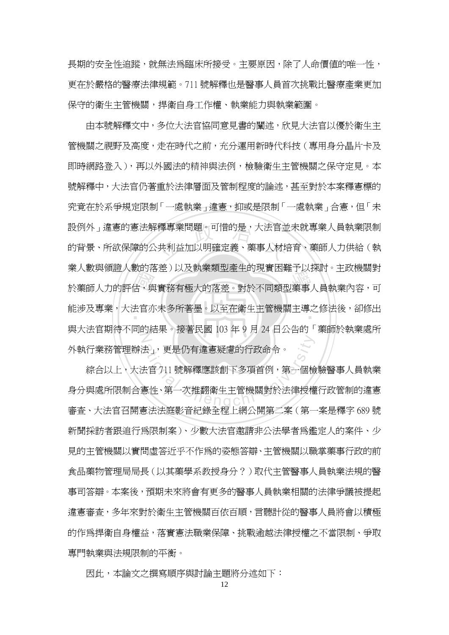長期的安全性追蹤,就無法為臨床所接受。主要原因,除了人命價值的唯一性, 更在於嚴格的醫療法律規範。711 號解釋也是醫事人員首次挑戰比醫療產業更加 保守的衛生主管機關,捍衛自身工作權、執業能力與執業範圍。

女子,<br>古<br>古<br>三治 釋專業問題。可惜的是,大法官並<br>·共利益加以明確定義、藥事人材培<br>· 未八数兴陨砲八数的冶圧,以及孙未积室座王的死員四舞了以沐的。王以恢嗣到<br>於藥師人力的評估,與實務有極大的落差。對於不同類型藥事人員執業內容,可 ‧ 能涉及專業,大法官亦未多所著墨。以至在衛生主管機關主導之修法後,卻修出 N 由本號解釋文中,多位大法官協同意見書的闡述,欣見大法官以優於衛生主 管機關之視野及高度,走在時代之前,充分運用新時代科技(專用身分晶片卡及 即時網路登入),再以外國法的精神與法例,檢驗衛生主管機關之保守定見。本 號解釋中,大法官仍著重於法律層面及管制程度的論述,甚至對於本案釋憲標的 究竟在於系爭規定限制「一處執業」違憲,抑或是限制「一處執業」合憲,但「未 設例外」違憲的憲法解釋專業問題。可惜的是,大法官並未就專業人員執業限制 的背景、所欲保障的公共利益加以明確定義、藥事人材培育、藥師人力供給(執 業人數與領證人數的落差)以及執業類型產生的現實困難予以探討。主政機關對 與大法官期待不同的結果。接著民國 103 年 9 月 24 日公告的「藥師於執業處所 外執行業務管理辦法」,更是仍有違憲疑慮的行政命令。

ま」,更是仍有違憲疑慮的行政命令。<br>ま官 711 號解釋應該創下多項首例,第一個檢<br>憲性、第一次推翻衛生主管機關對於法律授權 綜合以上,大法官 711 號解釋應該創下多項首例,第一個檢驗醫事人員執業 身分與處所限制合憲性、第一次推翻衛生主管機關對於法律授權行政管制的違憲 審查、大法官召開憲法法庭影音紀錄全程上網公開第二案(第一案是釋字 689 號 新聞採訪者跟追行為限制案)、少數大法官邀請非公法學者為鑑定人的案件、少 見的主管機關以實問虛答近乎不作為的姿態答辯、主管機關以職掌藥事行政的前 食品藥物管理局局長(以其藥學系教授身分?)取代主管醫事人員執業法規的醫 事司答辯。本案後,預期未來將會有更多的醫事人員執業相關的法律爭議被提起 違憲審查,多年來對於衛生主管機關百依百順,言聽計從的醫事人員將會以積極 的作為捍衛自身權益,落實憲法職業保障、挑戰逾越法律授權之不當限制、爭取 專門執業與法規限制的平衡。

因此,本論文之撰寫順序與討論主題將分述如下: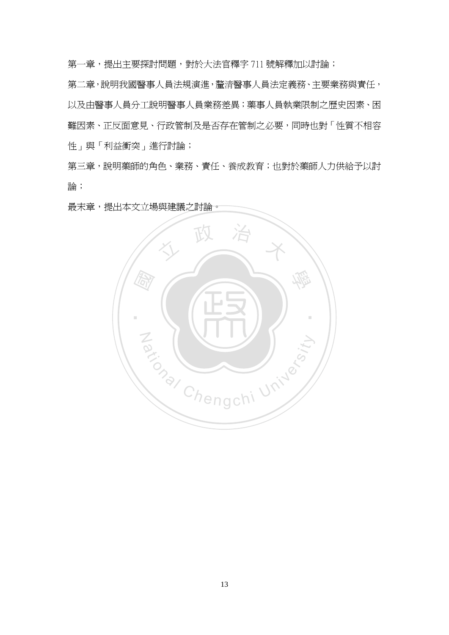第一章,提出主要探討問題,對於大法官釋字 711 號解釋加以討論;

第二章,說明我國醫事人員法規演進,釐清醫事人員法定義務、主要業務與責任, 以及由醫事人員分工說明醫事人員業務差異;藥事人員執業限制之歷史因素、困 難因素、正反面意見、行政管制及是否存在管制之必要,同時也對「性質不相容 性」與「利益衝突」進行討論;

第三章,說明藥師的角色、業務、責任、養成教育;也對於藥師人力供給予以討 論;

最末章,提出本文立場與建議之討論。

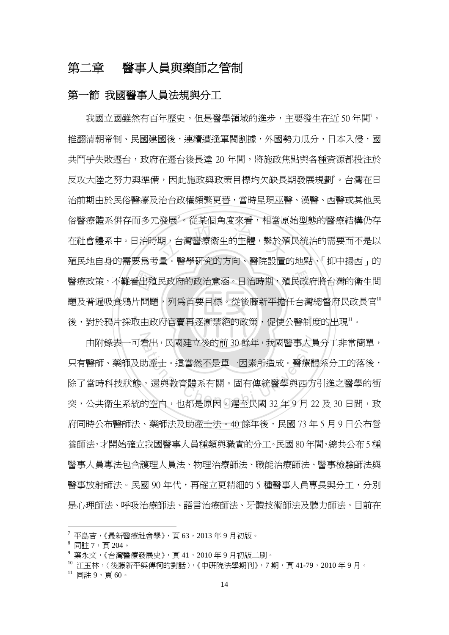## 第二章 醫事人員與藥師之管制

#### 第一節 我國醫事人員法規與分工

‧‧ 看出殖<br>片問題<br>取由政 <sub>は放送された。</sub><br>期,台灣醫療衛生的主體,繫於殖<br>治 。 <sup>殿 舆</sup>邸架的方向、殿院 學 醫療政策,不難看出殖民政府的政治意涵。日治時期,殖民政府將台灣的衛生問 我國立國雖然有百年歷史,但是醫學領域的進步,主要發生在近 $50$ 年間 $^7\, \rm\cdot$ 推翻清朝帝制、民國建國後,連續遭逢軍閥割據,外國勢力瓜分,日本入侵,國 共鬥爭失敗遷台,政府在遷台後長達 20 年間,將施政焦點與各種資源都投注於 反攻大陸之努力與準備,因此施政與政策目標均欠缺長期發展規劃<sup>。</sup>台灣在日 治前期由於民俗醫療及治台政權頻繁更替,當時呈現巫醫、漢醫、西醫或其他民 俗醫療體系併存而多元發展<sup>9</sup>。從某個角度來看,相當原始型態的醫療結構仍存 在社會體系中。日治時期,台灣醫療衛生的主體,繫於殖民統治的需要而不是以 殖民地自身的需要為考量。醫學研究的方向、醫院設置的地點、「抑中揚西」的 題及普遍吸食鴉片問題,列為首要目標。從後藤新平擔任台灣總督府民政長官" 後,對於鴉片採取由政府官賣再逐漸禁絕的政策,促使公醫制度的出現"。

。<br>由附錄表一可看出,民國建立後的前 30 餘年,我國醫事人員分工非常簡單, 看出,民國建立後的前 30 餘年,我國醫事人員<br><br><br><br><br>,還與教育體系有關。固有傳統醫學與西方<br><br>的空白,也都是原因。遲至民國 32 年 9 月 2 只有醫師、藥師及助產士。這當然不是單一因素所造成。醫療體系分工的落後, 除了當時科技狀態,還與教育體系有關。固有傳統醫學與西方引進之醫學的衝 突,公共衛生系統的空白,也都是原因。遲至民國 32 年 9 月 22 及 30 日間,政 府同時公布醫師法、藥師法及助產士法。40 餘年後,民國 73 年 5 月 9 日公布營 養師法,才開始確立我國醫事人員種類與職責的分工。民國 80 年間,總共公布 5 種 醫事人員專法包含護理人員法、物理治療師法、職能治療師法、醫事檢驗師法與 醫事放射師法。民國 90 年代,再確立更精細的 5 種醫事人員專長與分工,分別 是心理師法、呼吸治療師法、語言治療師法、牙體技術師法及聽力師法。目前在

 $^7$ 平島吉,《最新醫療社會學》,頁 $63$ ,2013年9月初版。

 $8$ 同註 7, 頁 204。

 $^9$  葉永文,《台灣醫療發展史》,頁 41,2010 年 9 月初版二刷。

<sup>10</sup> 江玉林,〈後藤新平與傅柯的對話〉,《中研院法學期刊》,7期,頁 41-79,2010年9月。

 $11$  同註 9, 百 60。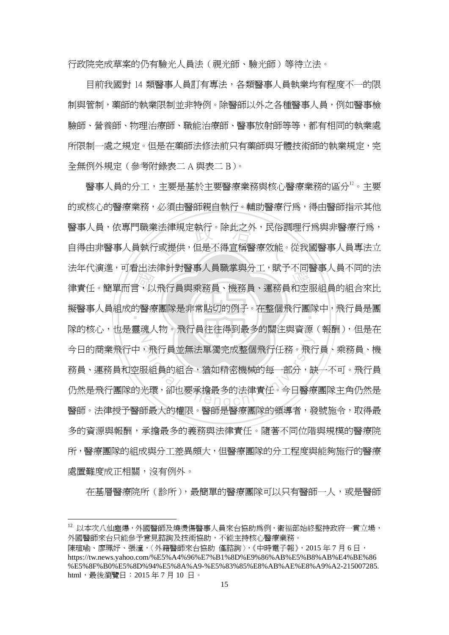行政院完成草案的仍有驗光人員法(視光師、驗光師)等待立法。

目前我國對 14 類醫事人員訂有專法,各類醫事人員執業均有程度不一的限 制與管制,藥師的執業限制並非特例。除醫師以外之各種醫事人員,例如醫事檢 驗師、營養師、物理治療師、職能治療師、醫事放射師等等,都有相同的執業處 所限制一處之規定。但是在藥師法修法前只有藥師與牙體技術師的執業規定,完 全無例外規定(參考附錄表二 A 與表二 B)。

法平氏の進<sup>、内</sup>有出法博列封<sub>督事</sub>入員嘅事典力工、賦」不同審事入員不同的法<br>律責任。簡單而言,以飛行員與乘務員、機務員、運務員和空服組員的組合來比<br>擬醫事人員組成的醫療團隊是非常貼切的例子。在整個飛行團隊中,飛行員是團 醫事人員,依專門職業法律規定執行。除此之外,民俗調理行爲與非醫療行爲,<br><br>自得由非醫事人員執行或提供,但是不得宣稱醫療效能。從我國醫事人員專法立 擬醫事人員組成的醫療團隊是非常貼切的例子。在整個飛行團隊中,飛行員是團<br>-N ,飛行員並無法單獨完成整個飛行任務。飛行<br>服組員的組合,猶如精密機械的每一部分,制<br>光環,卻也要承擔最多的法律責任。今日醫療 醫事人員的分工,主要是基於主要醫療業務與核心醫療業務的區分12。主要 的或核心的醫療業務,必須由醫師親自執行。輔助醫療行為,得由醫師指示其他 自得由非醫事人員執行或提供,但是不得宣稱醫療效能。從我國醫事人員專法立 法年代演進,可看出法律針對醫事人員職掌與分工,賦予不同醫事人員不同的法 隊的核心, 也是靈魂人物。飛行員往往得到最多的關注與資源(報酬), 但是在 今日的商業飛行中,飛行員並無法單獨完成整個飛行任務。飛行員、乘務員、機 務員、運務員和空服組員的組合,猶如精密機械的每一部分,缺一不可。飛行員 仍然是飛行團隊的光環,卻也要承擔最多的法律責任。今日醫療團隊主角仍然是 醫師。法律授予醫師最大的權限。醫師是醫療團隊的領導者,發號施令,取得最 多的資源與報酬,承擔最多的義務與法律責任。隨著不同位階與規模的醫療院 所,醫療團隊的組成與分工差異頗大,但醫療團隊的分工程度與能夠施行的醫療 處置難度成正相關,沒有例外。

在基層醫療院所(診所),最簡單的醫療團隊可以只有醫師一人,或是醫師

<sup>12</sup> 以本次八仙塵爆,外國醫師及燒燙傷醫事人員來台協助為例,衛福部始終堅持政府一貫立場, 外國醫師來台只能參予意見諮詢及技術協助,不能主持核心醫療業務。

陳瑄喻、廖珮妤、張潼,〈外籍醫師來台協助 僅諮詢〉,《中時電子報》,2015年7月6日, https://tw.news.yahoo.com/%E5%A4%96%E7%B1%8D%E9%86%AB%E5%B8%AB%E4%BE%86 %E5%8F%B0%E5%8D%94%E5%8A%A9-%E5%83%85%E8%AB%AE%E8%A9%A2-215007285. html, 最後瀏覽日: 2015年7月10日。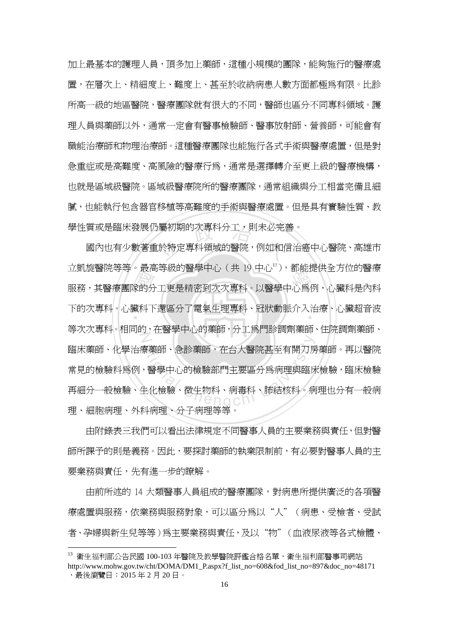加上最基本的護理人員,頂多加上藥師,這種小規模的團隊,能夠施行的醫療處 置,在層次上、精細度上、難度上、甚至於收納病患人數方面都極為有限。比診 所高一級的地區醫院,醫療團隊就有很大的不同,醫師也區分不同專科領域。護 理人員與藥師以外,通常一定會有醫事檢驗師、醫事放射師、營養師,可能會有 職能治療師和物理治療師。這種醫療團隊也能施行各式手術與醫療處置,但是對 急重症或是高難度、高風險的醫療行為,通常是選擇轉介至更上級的醫療機構, 也就是區域級醫院。區域級醫療院所的醫療團隊,通常組織與分工相當完備且細 膩,也能執行包含器官移植等高難度的手術與醫療處置。但是具有實驗性質、教

立凱旋會阮寺寺。敢同寺級的會享中心(共 1,中心 7,即能旋供主力位的會療<br>服務,其醫療團隊的分工更是精密到次次專科。以醫學中心為例,心臟科是內科<br>下的次專科。心臟科下還區分了電氣生理專科、冠狀動脈介入治療、心臟超音波 學性質或是臨床發展仍屬初期的次專科分工,則未必完善。<br>國內也有少數著重於特定專科領域的醫院,例如和信治<br>。 下的次專科。心臟科下還區分了電氣生理專科、冠狀動脈介入治療、心臟超音波<br>-N を薬師、急診薬師・在台大醫院甚至有開刀房<br>・醫學中心的檢驗部門主要區分爲病理與臨床<br>主化檢驗、微生物科、病毒科、肺結核科。病<br> 國內也有少數著重於特定專科領域的醫院,例如和信治癌中心醫院、高雄市 立凱旋醫院等等。最高等級的醫學中心 (共 19 中心13),都能提供全方位的醫療 等次次專科。相同的,在醫學中心的藥師,分工為門診調劑藥師、住院調劑藥師、 臨床藥師、化學治療藥師、急診藥師,在台大醫院甚至有開刀房藥師。再以醫院 常見的檢驗科爲例,醫學中心的檢驗部門主要區分爲病理與臨床檢驗,臨床檢驗 再細分一般檢驗、生化檢驗、微生物科、病毒科、肺結核科。病理也分有一般病 理、細胞病理、外科病理、分子病理等等。

由附錄表三我們可以看出法律規定不同醫事人員的主要業務與責任,但對醫 師所課予的則是義務。因此,要探討藥師的執業限制前,有必要對醫事人員的主 要業務與責任,先有進一步的瞭解。

由前所述的 14 大類醫事人員組成的醫療團隊,對病患所提供廣泛的各項醫 療處置與服務,依業務與服務對象,可以區分為以"人"(病患、受檢者、受試 者、孕婦與新生兒等等)為主要業務與責任,及以"物"(血液尿液等各式檢體、

<sup>13</sup> 衛生福利部公告民國 100-103 年醫院及教學醫院評鑑合格名單,衛生福利部醫事司網站

http://www.mohw.gov.tw/cht/DOMA/DM1\_P.aspx?f\_list\_no=608&fod\_list\_no=897&doc\_no=48171 ,最後瀏覽日:2015 年 2 月 20 日。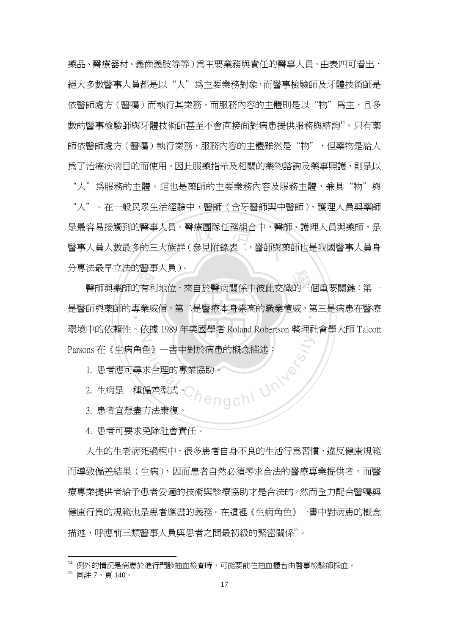藥品、醫療器材、義齒義肢等等)為主要業務與責任的醫事人員。由表四可看出, 絕大多數醫事人員都是以"人"為主要業務對象,而醫事檢驗師及牙體技術師是 依醫師處方(醫囑)而執行其業務,而服務內容的主體則是以"物"為主,且多 數的醫事檢驗師與牙體技術師甚至不會直接面對病患提供服務與諮詢14。只有藥 師依醫師處方(醫囑)執行業務,服務內容的主體雖然是"物",但藥物是給人 為了治療疾病目的而使用。因此服藥指示及相關的藥物諮詢及藥事照護,則是以

是最容易接觸到的醫事人員。醫療團隊任務組合中,醫師、護理人員與藥師,是<br>醫事人員人數最多的三大族群(參見附錄表二,醫師與藥師也是我國醫事人員身 "人"為服務的主體。這也是藥師的主要業務內容及服務主體,兼具"物"與 "人"。在一般民眾生活經驗中,醫師(含牙醫師與中醫師)、護理人員與藥師 醫事人員人數最多的三大族群(參見附錄表二,醫師與藥師也是我國醫事人員身 分專法最早立法的醫事人員)。

法取十五亿的賣事人員)。<br>醫師與藥師的有利地位,來自於醫病關係中彼此交織的三個重要關鍵:第一<br>師與藥師的專業威信,第二是醫療本身崇高的職業權威,第三是病患在醫療 是醫師與藥師的專業威信,第二是醫療本身崇高的職業權威,第三是病患在醫療<br>- $\frac{1}{\sqrt{2}}$ 環境中的依賴性。依據 1989 年美國學者 Roland Robertson 整理社會學大師 Talcott Parsons 在《生病角色》一書中對於病患的概念描述:

- Jengchi University 1. 患者應可尋求合理的專業協助。
- 2. 生病是一種偏差型式。
- 3. 患者宜想盡方法康復。
- 4. 患者可要求免除社會責任。

人生的生老病死過程中,很多患者自身不良的生活行為習慣,違反健康規範 而導致偏差結果(生病),因而患者自然必須尋求合法的醫療專業提供者。而醫 療專業提供者給予患者妥適的技術與診療協助才是合法的。然而全力配合醫囑與 健康行為的規範也是患者應盡的義務。在這裡《生病角色》一書中對病患的概念 描述,呼應前三類醫事人員與患者之間最初級的緊密關係''。

<sup>14</sup> 例外的情況是病患於進行門診抽血檢查時,可能要前往抽血櫃台由醫事檢驗師採血。

<sup>15</sup> 同註 7, 百 140。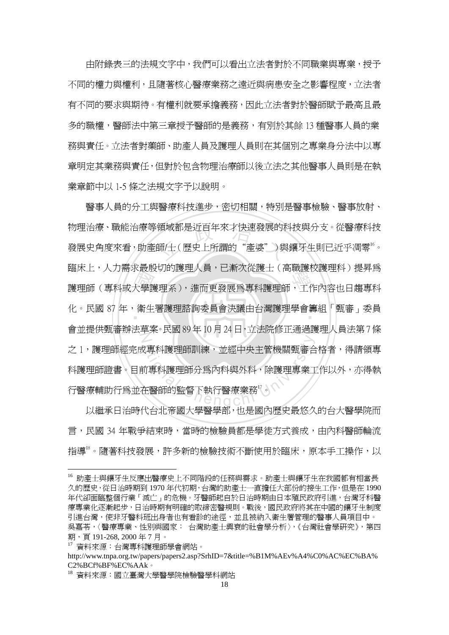由附錄表三的法規文字中,我們可以看出立法者對於不同職業與專業,授予 不同的權力與權利,且隨著核心醫療業務之遠近與病患安全之影響程度,立法者 有不同的要求與期待。有權利就要承擔義務,因此立法者對於醫師賦予最高且最 多的職權,醫師法中第三章授予醫師的是義務,有別於其餘 13 種醫事人員的業 務與責任。立法者對藥師、助產人員及護理人員則在其個別之專業身分法中以專 章明定其業務與責任,但對於包含物理治療師以後立法之其他醫事人員則是在執 業章節中以 1-5 條之法規文字予以說明。

||端水工・八刀高水敢放9,113度生八員・亡制入促設工く同職設収設生料力促升局<br>||護理師(專科或大學護理系),進而更發展爲專科護理師,工作內容也日趨專科<br>|化。民國 87 年,衛生署護理諮詢委員會決議由台灣護理學會籌組「甄審」委員 領域都是近百年來才快速發展的利<br>師/士(歷史上所謂的"產婆")與 化。民國 87 年,衛生署護理諮詢委員會決議由台灣護理學會籌組「甄審」委員<br>- $Z$ )<br><br>而專科護理師分爲內科與外科,除護理專業工<br>在醫師的監督下執行醫療業務<sup>!。</sup><br>生醫師的監督下執行醫療業務<sup>!。</sup> 醫事人員的分工與醫療科技進步,密切相關,特別是醫事檢驗、醫事放射、 物理治療、職能治療等領域都是近百年來才快速發展的科技與分支。從醫療科技 發展史角度來看,助產師/士(歷史上所謂的"產婆")與鑲牙生則已近乎凋零<sup>16</sup>。 臨床上,人力需求最殷切的護理人員,已漸次從護士(高職護校護理科)提昇為 會並提供甄審辦法草案。民國 89 年 10 月 24 日,立法院修正通過護理人員法第 7 條 之 1,護理師經完成專科護理師訓練,並經中央主管機關甄審合格者,得請領專 科護理師證書。目前專科護理師分為內科與外科,除護理專業工作以外,亦得執 行醫療輔助行爲並在醫師的監督下執行醫療業務<sup>!。</sup>

以繼承日治時代台北帝國大學醫學部,也是國內歷史最悠久的台大醫學院而 言,民國 34 年戰爭結束時,當時的檢驗員都是學徒方式養成,由內科醫師輪流 指導<sup>18</sup>。隨著科技發展,許多新的檢驗技術不斷使用於臨床,原本手工操作,以

<sup>16</sup> 助產士與鑲牙生反應出醫療史上不同階段的任務與需求。助產士與鑲牙生在我國都有相當長 久的歷史,從日治時期到 1970 年代初期,台灣的助產士一直擔任大部份的接生工作,但是在 1990 年代卻面臨整個行業「滅亡」的危機。牙醫師起自於日治時期由日本殖民政府引進,台灣牙科醫 療專業化逐漸起步,日治時期有明確的取締密醫規則。戰後,國民政府將其在中國的鑲牙生制度 引進台灣,使非牙醫科班出身者也有看診的途徑,並且被納入衛生署管理的醫事人員項目中。 吳嘉苓,〈醫療專業、性別與國家: 台灣助產士興衰的社會學分析〉,《台灣社會學研究》,第四 期,頁 191-268, 2000 年 7 月。

<sup>17</sup> 資料來源:台灣專科護理師學會網站。

http://www.tnpa.org.tw/papers/papers2.asp?SrhID=7&title=%B1M%AEv%A4%C0%AC%EC%BA% C2%BCf%BF%EC%AAk。

<sup>18</sup> 資料來源:國立臺灣大學醫學院檢驗醫學科網站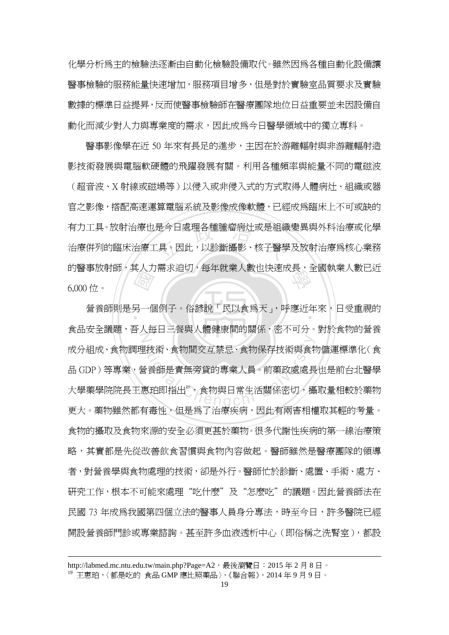化學分析為主的檢驗法逐漸由自動化檢驗設備取代。雖然因為各種自動化設備讓 醫事檢驗的服務能量快速增加,服務項目增多,但是對於實驗室品質要求及實驗 數據的標準日益提昇,反而使醫事檢驗師在醫療團隊地位日益重要並未因設備自 動化而減少對人力與專業度的需求,因此成為今日醫學領域中的獨立專科。

是今日處理各種腫瘤病灶或是組續<br><br>.具、因此,以診斷攝影、核子醫學 的醫事放射師,其人力需求迫切,每年就業人數也快速成長,全國執業人數已近<br>6.000 位。 醫事影像學在近 50 年來有長足的進步,主因在於游離輻射與非游離輻射造 影技術發展與電腦軟硬體的飛躍發展有關。利用各種頻率與能量不同的電磁波 (超音波、X 射線或磁場等)以侵入或非侵入式的方式取得人體病灶、組織或器 官之影像,搭配高速運算電腦系統及影像成像軟體,已經成為臨床上不可或缺的 有力工具。放射治療也是今日處理各種腫瘤病灶或是組織變異與外科治療或化學 治療併列的臨床治療工具。因此,以診斷攝影、核子醫學及放射治療為核心業務 6,000 位。

【原】<br>另一個<br>三、气 ‧ 營養師則是另一個例子。俗諺說「民以食為天」,呼應近年來,日受重視的 N <br>出技術、食物間交互禁忌、食物保存技術與食物<br>含養師是責無旁貸的專業人員。前藥政處處長<br>恵珀即指出。、食物與日常生活關係密切,攝 食品安全議題,吾人每日三餐與人體健康間的關係,密不可分。對於食物的營養 成分組成、食物調理技術、食物間交互禁忌、食物保存技術與食物儲運標準化(食 品 GDP)等專業,營養師是責無旁貸的專業人員。前藥政處處長也是前台北醫學 大學藥學院院長王惠珀即指出<sup>9</sup>,食物與日常生活關係密切,攝取量相較於藥物 更大。藥物雖然都有毒性,但是為了治療疾病,因此有兩害相權取其輕的考量。 食物的攝取及食物來源的安全必須更甚於藥物。很多代謝性疾病的第一線治療策 略,其實都是先從改善飲食習慣與食物內容做起。醫師雖然是醫療團隊的領導 者,對營養學與食物處理的技術,卻是外行。醫師忙於診斷、處置、手術、處方、 研究工作,根本不可能來處理"吃什麼"及"怎麼吃"的議題。因此營養師法在 民國 73 年成為我國第四個立法的醫事人員身分專法,時至今日,許多醫院已經 開設營養師門診或專業諮詢。甚至許多血液透析中心(即俗稱之洗腎室),都設

http://labmed.mc.ntu.edu.tw/main.php?Page=A2,最後瀏覽日: 2015年2月8日。 <sup>19</sup> 王惠珀,〈都是吃的 食品 GMP 應比照藥品〉,《聯合報》,2014 年 9 月 9 日。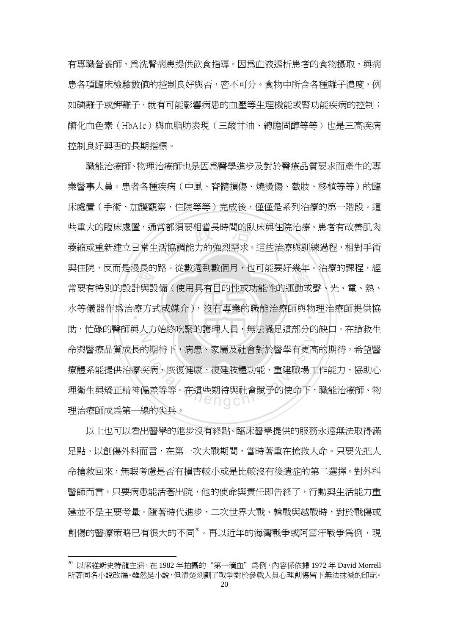有專職營養師,為洗腎病患提供飲食指導。因為血液透析患者的食物攝取,與病 患各項臨床檢驗數值的控制良好與否,密不可分。食物中所含各種離子濃度,例 如磷離子或鉀離子,就有可能影響病患的血壓等生理機能或腎功能疾病的控制; 醣化血色素(HbA1c)與血脂肪表現(三酸甘油、總膽固醇等等)也是三高疾病 控制良好與否的長期指標。

要正成,及而定侵及的辞。 化数週到数個月,也可能安好及平。 信源的評准,經<br>常要有特別的設計與設備(使用具有目的性或功能性的運動或聲、光、電、熱、<br>水等儀器作爲治療方式或媒介),沒有專業的職能治療師與物理治療師提供協 些重大的臨床處置,通常都須要相當長時間的臥床與住院治療。患者有改善肌肉<br>萎縮或重新建立日常生活協調能力的強烈需求。這些治療與訓練過程,相對手術 水等儀器作爲治療方式或媒介),沒有專業的職能治療師與物理治療師提供協<br>-N 的期待下,病患、家屬及社會對於醫學有更高<br>英病、恢復健康、復建肢體功能、重建職場工<br>扁差等等。在這些期待與社會賦予的使命下, 職能治療師、物理治療師也是因爲醫學進步及對於醫療品質要求而產生的專 業醫事人員。患者各種疾病(中風、脊髓損傷、燒燙傷、截肢、移植等等)的臨 床處置(手術、加護觀察、住院等等)完成後,僅僅是系列治療的第一階段。這 萎縮或重新建立日常生活協調能力的強烈需求。這些治療與訓練過程,相對手術 與住院,反而是漫長的路。從數週到數個月,也可能要好幾年。治療的課程,經 助,忙碌的醫師與人力始終吃緊的護理人員,無法滿足這部分的缺口。在搶救生 命與醫療品質成長的期待下,病患、家屬及社會對於醫學有更高的期待。希望醫 療體系能提供治療疾病、恢復健康、復建肢體功能、重建職場工作能力、協助心 理衛生與矯正精神偏差等等。在這些期待與社會賦予的使命下,職能治療師、物 理治療師成為第一線的尖兵。

以上也可以看出醫學的進步沒有終點。臨床醫學提供的服務永遠無法取得滿 足點。以創傷外科而言,在第一次大戰期間,當時著重在搶救人命。只要先把人 命搶救回來,無暇考慮是否有損害較小或是比較沒有後遺症的第二選擇。對外科 醫師而言,只要病患能活著出院,他的使命與責任即告終了,行動與生活能力重 建並不是主要考量。隨著時代進步,二次世界大戰、韓戰與越戰時,對於戰傷或 創傷的醫療策略已有很大的不同20。再以近年的海灣戰爭或阿富汗戰爭為例,現

 $20$ 以席維斯史特龍主演,在 1982年拍攝的"第一滴血"為例,內容係依據 1972年 David Morrell 所著同名小說改編。雖然是小說,但清楚刻劃了戰爭對於參戰人員心理創傷留下無法抹滅的印記。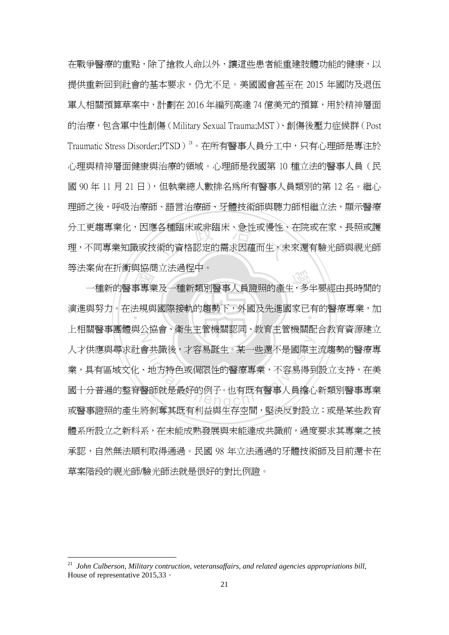分工更趨專業化,因應各種臨床或非臨床、急性或慢性、在院或在家、長照或護<br>理,不同專業知識或技術的資格認定的需求因蘊而生<sub>,</sub>未來還有驗光師與視光師 在戰爭醫療的重點,除了搶救人命以外,讓這些患者能重建肢體功能的健康,以 提供重新回到社會的基本要求,仍尤不足。美國國會甚至在 2015 年國防及退伍 軍人相關預算草案中,計劃在 2016 年編列高達 74 億美元的預算,用於精神層面 的治療,包含軍中性創傷(Military Sexual Trauma;MST)、創傷後壓力症候群(Post Traumatic Stress Disorder;PTSD)<sup>21</sup>。在所有醫事人員分工中,只有心理師是專注於 心理與精神層面健康與治療的領域。心理師是我國第 10 種立法的醫事人員(民 國 90年11月21日),但執業總人數排名爲所有醫事人員類別的第12名。繼心 理師之後,呼吸治療師、語言治療師、牙體技術師與聽力師相繼立法,顯示醫療 理,不同專業知識或技術的資格認定的需求因蘊而生,未來還有驗光師與視光師 等法案尚在折衝與協商立法過程中。

《一》<br>事專<br>去規與 <sub>未回征加國</sub>要<sub>顾问立仏吧住</sub>」。<br>一種新的醫事專業及一種新類別醫事人員證照的產生,多半要經由長時間的 ‧ 演進與努力。在法規與國際接軌的趨勢下,外國及先進國家已有的醫療專業,加  $\sum_{i=1}^{n}$ 会共識後,才容易誕生。某一些還不是國際主<br>・地方特色或侷限性的醫療專業,不容易得到<br>醫師就是最好的例子。也有既有醫事人員擔心<br>※20종廿四左望光留生存密門、ECAE<sup>※177</sup> 上相關醫事團體與公協會、衛生主管機關認同、教育主管機關配合教育資源建立 人才供應與尋求社會共識後,才容易誕生。某一些還不是國際主流趨勢的醫療專 業,具有區域文化、地方特色或侷限性的醫療專業,不容易得到設立支持,在美 國十分普遍的整脊醫師就是最好的例子。也有既有醫事人員擔心新類別醫事專業 或醫事證照的產生將剝奪其既有利益與生存空間,堅決反對設立;或是某些教育 體系所設立之新科系,在未能成熟發展與未能達成共識前,過度要求其專業之被 承認,自然無法順利取得通過。民國 98 年立法通過的牙體技術師及目前還卡在 草案階段的視光師/驗光師法就是很好的對比例證。

<sup>21</sup> *John Culberson, Military contruction, veteransaffairs, and related agencies appropriations bill*, House of representative 2015,33。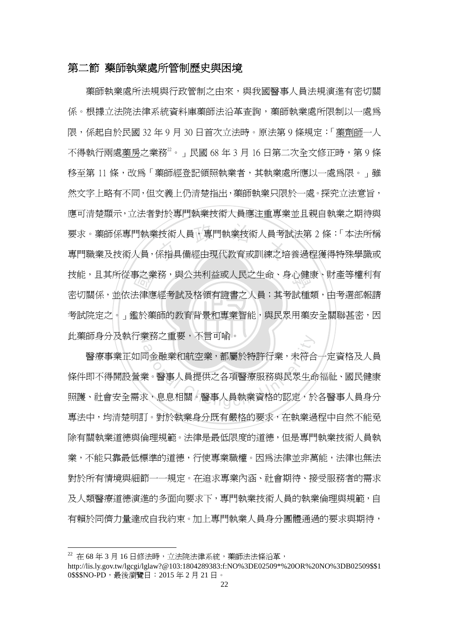#### 第二節 藥師執業處所管制歷史與困境

考試院定之。」鑑於藥師的教育背景和專業智能,與民眾用藥安全關聯甚密,因 事之業<br>去律應<br>監於藥 i技術人員,專門執業技術人員考i<br><br>係指具備經由現代教育或訓練之培 學 技能,且其所從事之業務,與公共利益或人民之生命、身心健康、財產等權利有 N 此藥師身分及執行業務之重要,不言可喻。 藥師執業處所法規與行政管制之由來,與我國醫事人員法規演進有密切關 係。根據立法院法律系統資料庫藥師法沿革查詢,藥師執業處所限制以一處為 限,係起自於民國 32 年 9 月 30 日首次立法時。原法第 9 條規定:「藥劑師一人 不得執行兩處藥房之業務<sup>22</sup>。」民國 68年 3月 16日第二次全文修正時, 第9條 移至第 11 條,改為「藥師經登記領照執業者,其執業處所應以一處為限。」雖 然文字上略有不同,但文義上仍清楚指出,藥師執業只限於一處。探究立法意旨, 應可清楚顯示,立法者對於專門執業技術人員應注重專業並且親自執業之期待與 要求。藥師係專門執業技術人員,專門執業技術人員考試法第 2 條:「本法所稱 專門職業及技術人員,係指具備經由現代教育或訓練之培養過程獲得特殊學識或 密切關係,並依法律應經考試及格領有證書之人員;其考試種類,由考選部報請

<sub>天防/里安</sub>,不言可<sub>啣。</sub><br>◇<br>司金融業和航空業,都屬於特許行業,未符合<br>(<br>業。醫事人員提供之各項醫療服務與民眾生命<br><mark>、息息相關。醫事人員執業資格的認定,</mark>於 醫療事業正如同金融業和航空業,都屬於特許行業,未符合一定資格及人員 條件即不得開設營業。醫事人員提供之各項醫療服務與民眾生命福祉、國民健康 照護、社會安全需求,息息相關。醫事人員執業資格的認定,於各醫事人員身分 專法中,均清楚明訂。對於執業身分既有嚴格的要求,在執業過程中自然不能免 除有關執業道德與倫理規範。法律是最低限度的道德,但是專門執業技術人員執 業,不能只靠最低標準的道德,行使專業職權。因為法律並非萬能,法律也無法 對於所有情境與細節一一規定。在追求專業內涵、社會期待、接受服務者的需求 及人類醫療道德演進的多面向要求下,專門執業技術人員的執業倫理與規範,自 有賴於同儕力量達成自我約束。加上專門執業人員身分團體通過的要求與期待,

 $22$  在 68 年 3 月 16 日修法時,立法院法律系統,藥師法法條沿革,

http://lis.ly.gov.tw/lgcgi/lglaw?@103:1804289383:f:NO%3DE02509\*%20OR%20NO%3DB02509\$\$1 0\$\$\$NO-PD,最後瀏覽日:2015 年 2 月 21 日。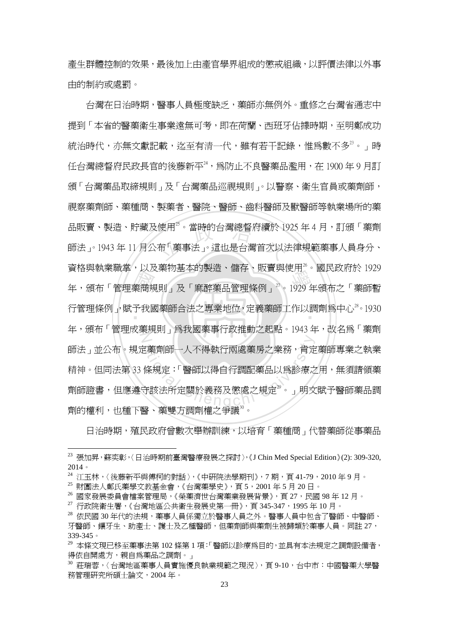產生群體控制的效果,最後加上由產官學界組成的懲戒組織,以評價法律以外事 由的制約或處罰。

員怕央執未職事, 以及案物基本的表題, 臨任、賊員央反用, "國氏政府於 1929年。<br>年, 頒布「管理藥商規則」及「麻醉藥品管理條例」<sup>27</sup>。1929年頒布之「藥師暫<br>行管理條例」,賦予我國藥師合法之專業地位, 定義藥師工作以調劑爲中心<sup>28</sup>。1930 使用<sup>2</sup>。當時的台灣總督府續於 19<br>布「藥事法」。這也是台灣首次以 行管理條例」,賦予我國藥師合法之專業地位,定義藥師工作以調劑爲中心 $^{28}$ 。1930 N を藥劑師一人不得執行兩處藥房之業務,肯定<br>條規定:「醫師以得自行調配藥品以爲診療之<br>守該法所定關於義務及懲處之規定<sup>2。</sup>」明文<br><sub>[1] 文件大王國制造力公</sub>論。 台灣在日治時期,醫事人員極度缺乏,藥師亦無例外。重修之台灣省通志中 提到「本省的醫藥衛生事業遠無可考,即在荷蘭、西班牙佔據時期,至明鄭成功 統治時代,亦無文獻記載,迄至有清一代,雖有若干記錄,惟爲數不多 $^{\scriptscriptstyle 23}$ 。」時 任台灣總督府民政長官的後藤新平24,為防止不良醫藥品濫用,在 1900 年 9 月訂 頒「台灣藥品取締規則」及「台灣藥品巡視規則」。以警察、衛生官員或藥劑師, 視察藥劑師、藥種商、製藥者、醫院、醫師、齒科醫師及獸醫師等執業場所的藥 品販賣、製浩、貯藏及使用<sup>25</sup>。當時的台灣總督府續於 1925 年 4 月,訂頒「藥劑 師法」。1943 年 11 月公布「藥事法」。這也是台灣首次以法律規範藥事人員身分、 資格與執業職掌,以及藥物基本的製造、儲存、販賣與使用26。國民政府於 1929 年,頒布「管理成藥規則」為我國藥事行政推動之起點。1943年,改名為「藥劑 師法」並公布。規定藥劑師一人不得執行兩處藥房之業務,肯定藥師專業之執業 精神。但同法第 33 條規定:「醫師以得自行調配藥品以為診療之用,無須請領藥 劑師證書,但應遵守該法所定關於義務及懲處之規定<sup>29</sup>。」明文賦予醫師藥品調 劑的權利,也種下醫、藥雙方調劑權之爭議<sup>30</sup>。

日治時期,殖民政府曾數次舉辦訓練,以培育「藥種商」代替藥師從事藥品

<sup>&</sup>lt;sup>23</sup> 張加昇,蘇奕彰,〈日治時期前臺灣醫療發展之探討〉,《J Chin Med Special Edition》(2): 309-320, 2014。

<sup>24</sup> 江玉林,〈後藤新平與傅柯的對話〉,《中研院法學期刊》,7期,頁 41-79,2010年9月。

<sup>25</sup> 財團法人鄭氏藥學文教基金會,《台灣藥學史》,頁 5,2001 年 5 月 20 日。

<sup>26</sup> 國家發展委員會檔案管理局,《榮藥濟世台灣藥業發展背景》,頁 27,民國 98 年 12 月。

 $^{27}$  行政院衛生署,《台灣地區公共衛生發展史第一冊》, 頁 345-347, 1995年 10月。

<sup>28</sup> 依民國 30年代的法規,藥事人員係獨立於醫事人員之外。醫事人員中包含了醫師、中醫師、 牙醫師、鑲牙生、助產士、護士及乙種醫師,但藥劑師與藥劑生被歸類於藥事人員。同註 27, 339-345。

<sup>29</sup> 本條文現已移至藥事法第 102 條第 1 項:「醫師以診療為目的,並具有本法規定之調劑設備者, 得依自開處方,親自為藥品之調劑。」

<sup>30</sup> 莊瑞蓉,〈台灣地區藥事人員實施優良執業規範之現況〉,頁 9-10,台中市:中國醫藥大學醫 務管理研究所碩士論文,2004 年。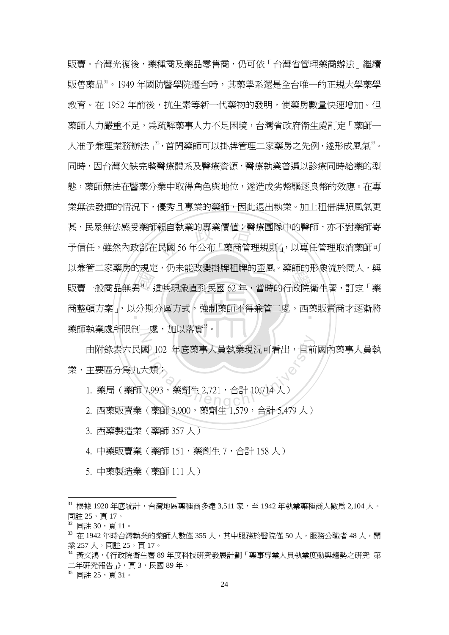以来自二多案方的死足,历不能改奏<del>到府柏府的金風。案前的</del>形象流於尚入,典<br>販賣一般商品無異<sup>34</sup>。這些現象直到民國 62 年,當時的行政院衛生署,訂定「藥<br>商整頓方案」,以分期分區方式,強制藥師不得兼管二處。西藥販賣商才逐漸將 甚,民眾無法感受藥師親自執業的專業價值;醫療團隊中的醫師,亦不對藥師寄<br>予信任,雖然內政部在民國 56 年公布「藥商管理規則」,以專任管理取消藥師可 商整頓方案」,以分期分區方式,強制藥師不得兼管二處。西藥販賣商才逐漸將<br>-N 販賣。台灣光復後,藥種商及藥品零售商,仍可依「台灣省管理藥商辦法」繼續 販售藥品31。1949年國防醫學院遷台時,其藥學系還是全台唯一的正規大學藥學 教育。在 1952 年前後,抗生素等新一代藥物的發明,使藥房數量快速增加。但 藥師人力嚴重不足,爲疏解藥事人力不足困境,台灣省政府衛生處訂定「藥師一 人准予兼理業務辦法」<sup>32</sup>,首開藥師可以掛牌管理二家藥房之先例,遂形成風氣<sup>33</sup>。 同時,因台灣欠缺完整醫療體系及醫療資源,醫療執業普遍以診療同時給藥的型 熊,藥師無法在醫藥分業中取得角色與地位,遂造成劣幣騙逐良幣的效應。在專 業無法發揮的情況下,優秀且專業的藥師,因此退出執業。加上租借牌照風氣更 予信任,雖然內政部在民國 56 年公布「藥商管理規則」,以專任管理取消藥師可 以兼管二家藥房的規定,仍未能改變掛牌租牌的歪風。藥師的形象流於商人,與 藥師執業處所限制一處,加以落實<sup>35</sup>。

a 102 年底藥事人員執業現況可看出, 目前<br>大類:<br>7,993, 藥劑生 2,721, 合計 10,714人) 由附錄表六民國 102 年底藥事人員執業現況可看出,目前國內藥事人員執 業,主要區分為九大類:

- 1. 藥局 ( 藥師 7,993,藥劑生 2,721,合計 10,714 人 )
- 2. 西藥販賣業(藥師 3,900,藥劑生 1,579,合計 5,479 人)
- 3. 西藥製造業(藥師 357 人)
- 4. 中藥販賣業(藥師 151,藥劑生 7,合計 158 人)
- 5. 中藥製造業(藥師 111 人)

 $\overline{a}$ 

35 同註 25,頁 31。

 $31$  根據 1920 年底統計,台灣地區藥種商多達 3,511 家,至 1942 年執業藥種商人數為 2,104 人。 同註 25,頁 17。

 $32$  同註 30, 頁 11。

<sup>33</sup> 在 1942 年時台灣執業的藥師人數僅 355 人,其中服務於醫院僅 50 人,服務公職者 48 人,開 業 257 人。同註 25,頁 17。

<sup>34</sup> 黃文鴻,《行政院衛生署 89 年度科技研究發展計劃「藥事專業人員執業度動與趨勢之研究 第 二年研究報告」》,頁 3,民國 89 年。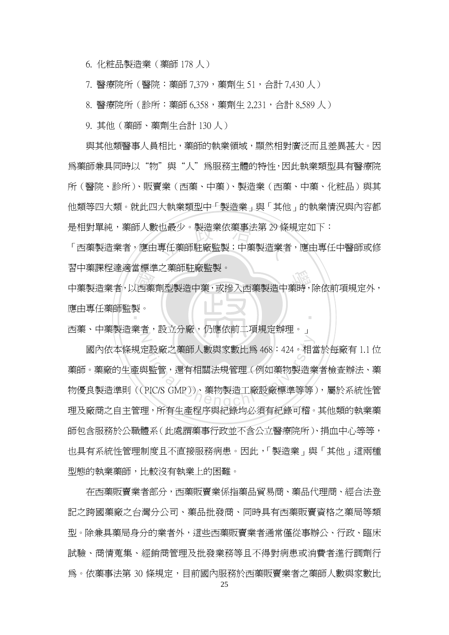6. 化粧品製造業(藥師 178 人)

7. 醫療院所(醫院:藥師 7,379,藥劑生 51,合計 7,430 人)

8. 醫療院所(診所:藥師 6,358,藥劑生 2,231,合計 8,589 人)

9. 其他(藥師、藥劑生合計 130 人)

與其他類醫事人員相比,藥師的執業領域,顯然相對廣泛而且差異甚大。因 為藥師兼具同時以"物"與"人"為服務主體的特性,因此執業類型具有醫療院 所(醫院、診所)、販賣業(西藥、中藥)、製造業(西藥、中藥、化粧品)與其 他類等四大類。就此四大執業類型中「製造業」與「其他」的執業情況與內容都 是相對單純,藥師人數也最少。製造業依藥事法第 29 條規定如下:

!也最少。製造業依藥事法第 29 條<br><br>專任藥師駐廠監製;中藥製造業者<br>| 「西藥製造業者,應由專任藥師駐廠監製;中藥製造業者,應由專任中醫師或修 習中藥課程達適當標準之藥師駐廠監製。

自干案&在建過自保平之案的紅廠血素<br>中藥製造業者,以西藥劑型製造中藥,或摻入西藥製造中藥時,除依前項規定外,<br>應由專任藥師監製。<br>下黨, 中黨制造業者, 調查公療, 但應供給, 再提高對理 ‧ 應由專任藥師監製。

Z 西藥、中藥製造業者,設立分廠,仍應依前二項規定辦理。」

を設廠之藥師人數與家數比爲 468:424。相當<br>與監管,還有相關法規管理(例如藥物製造業<br>PIC/S GMP))、藥物製造工廠設廠標準等等 國內依本條規定設廠之藥師人數與家數比為 468:424。相當於每廠有 1.1 位 藥師。藥廠的生產與監管,還有相關法規管理(例如藥物製造業者檢查辦法、藥 物優良製造準則((PIC/S GMP))、藥物製造工廠設廠標準等等),屬於系統性管 理及廠商之自主管理,所有生產程序與紀錄均必須有紀錄可稽。其他類的執業藥 師包含服務於公職體系(此處謂藥事行政並不含公立醫療院所)、捐血中心等等, 也具有系統性管理制度且不直接服務病患。因此,「製造業」與「其他」這兩種 型態的執業藥師,比較沒有執業上的困難。

在西藥販賣業者部分,西藥販賣業係指藥品貿易商、藥品代理商、經合法登 記之跨國藥廠之台灣分公司、藥品批發商、同時具有西藥販賣資格之藥局等類 型。除兼具藥局身分的業者外,這些西藥販賣業者通常僅從事辦公、行政、臨床 試驗、商情蒐集、經銷商管理及批發業務等且不得對病患或消費者進行調劑行 爲。依藥事法第 30 條規定,目前國內服務於西藥販賣業者之藥師人數與家數比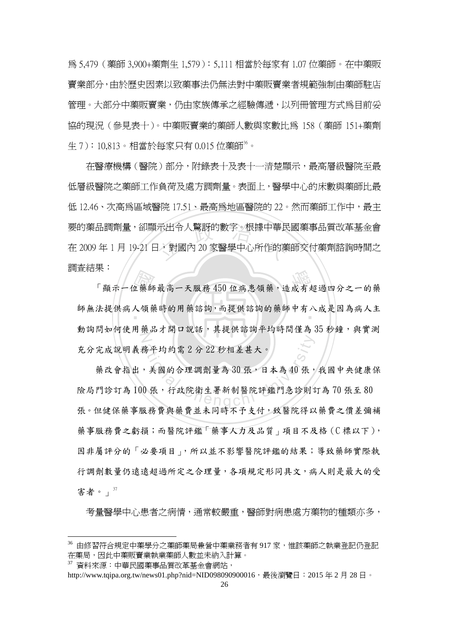為 5,479(藥師 3,900+藥劑生 1,579):5,111 相當於每家有 1.07 位藥師。在中藥販 賣業部分,由於歷史因素以致藥事法仍無法對中藥販賣業者規範強制由藥師駐店 管理。大部分中藥販賣業,仍由家族傳承之經驗傳遞,以列冊管理方式為目前妥 協的現況(參見表十)。中藥販賣業的藥師人數與家數比為 158(藥師 151+藥劑 生 7):10,813。相當於每家只有 0.015 位藥師 $^{36}$ 。

要的藥品調劑量,卻顯示出令人驚訝的數字。根據中華民國藥事品質改革基金會<br>在 2009 年 1 月 19-21 日,對國內 20 家醫學中心所作的藥師交付藥劑諮詢時間之 在醫療機構(醫院)部分,附錄表十及表十一清楚顯示,最高層級醫院至最 低層級醫院之藥師工作負荷及處方調劑量。表面上,醫學中心的床數與藥師比最 低 12.46、次高為區域醫院 17.51、最高為地區醫院的 22。然而藥師工作中,最主 在 2009 年 1 月 19-21 日,對國內 20 家醫學中心所作的藥師交付藥劑諮詢時間之 調查結果:

不<br>「顯示一位藥師最高一天服務 450 位病患領藥,造成有超過四分之一的藥<br>法提供病人領藥時的用藥諮詢,而提供諮詢的藥師中有八成是因為病人主 師無法提供病人領藥時的用藥諮詢,而提供諮詢的藥師中有八成是因為病人主  $\overline{Z}$ 動詢問如何使用藥品才開口說話,其提供諮詢平均時間僅為 35 秒鐘,與實測 充分完成說明義務平均約需 2 分 22 秒相差甚大。

**<br><br>。美國的合理調劑量為30張,日本為40張,<br>0張,行政院衛生署新制醫院評鑑門急診則** 藥改會指出,美國的合理調劑量為 30 張,日本為 40 張,我國中央健康保 險局門診訂為 100 張,行政院衛生署新制醫院評鑑門急診則訂為 70 張至 80 張。但健保藥事服務費與藥費並未同時不予支付,致醫院得以藥費之價差彌補 藥事服務費之虧損;而醫院評鑑「藥事人力及品質」項目不及格(C標以下), 因非屬評分的「必要項目」,所以並不影響醫院評鑑的結果;導致藥師實際執 行調劑數量仍遠遠超過所定之合理量,各項規定形同具文,病人則是最大的受 害者。」 $^{37}$ 

考量醫學中心患者之病情,通常較嚴重,醫師對病患處方藥物的種類亦多,

<sup>36</sup> 由修習符合規定中藥學分之藥師藥局兼營中藥業務者有 917 家,惟該藥師之執業登記仍登記 在藥局,因此中藥販賣業執業藥師人數並未納入計算。

<sup>37</sup> 資料來源:中華民國藥事品質改革基金會網站,

http://www.tqipa.org.tw/news01.php?nid=NID098090900016, 最後瀏覽日: 2015年2月28日。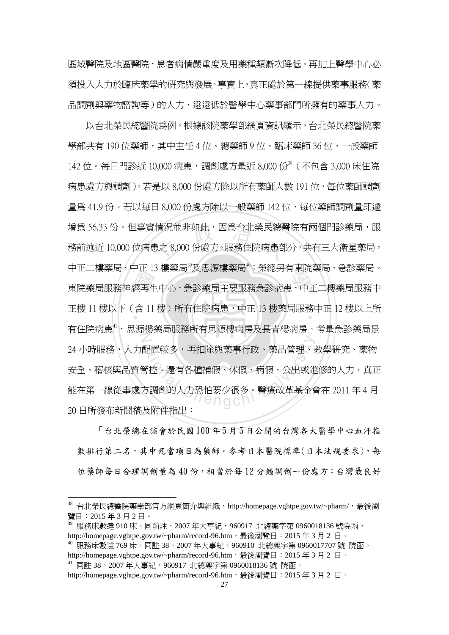區域醫院及地區醫院,患者病情嚴重度及用藥種類漸次降低。再加上醫學中心必 須投入人力於臨床藥學的研究與發展,事實上,真正處於第一線提供藥事服務(藥 品調劑與藥物諮詢等)的人力,遠遠低於醫學中心藥事部門所擁有的藥事人力。

- #1<br>經再生<br>- 第 情況並非如此,因為台北榮民總醫<br>!之 8,000 份處方。服務住院病患部 -<br><br><br>東院藥局服務神經再生中心,急診藥局主要服務急診病患,中正二樓藥局服務中 正樓 11 樓以下(含 11 樓)所有住院病患,中正 13 樓藥局服務中正 12 樓以上所<br>-N Al置較多,再扣除與藥事行政、藥品管理、<br>全控。還有各種補假、休假、病假、公出或進<br>方調劑的人力恐怕要少很多。醫療改革基金<br>ア四性指出 以台北榮民總醫院為例,根據該院藥學部網頁資訊顯示,台北榮民總醫院藥 學部共有 190 位藥師,其中主任 4 位、總藥師 9 位、臨床藥師 36 位、一般藥師 142 位。每日門診近 10,000 病患,調劑處方量近 8,000 份<sup>38</sup> ( 不包含 3,000 床住院 病患處方與調劑)。若是以 8,000 份處方除以所有藥師人數 191 位,每位藥師調劑 量為 41.9 份。若以每日 8,000 份處方除以一般藥師 142 位,每位藥師調劑量即澽 增為 56.33 份。但事實情況並非如此,因為台北榮民總醫院有兩個門診藥局,服 務前述近 10,000 位病患之 8,000 份處方。服務住院病患部分,共有三大衛星藥局, 中正二樓藥局、中正 13 樓藥局 及思源樓藥局 。 榮總另有東院藥局、急診藥局。 有住院病患",思源樓藥局服務所有思源樓病房及長青樓病房。考量急診藥局是 24 小時服務,人力配置較多,再扣除與藥事行政、藥品管理、教學研究、藥物 安全、稽核與品質管控。還有各種補假、休假、病假、公出或進修的人力,真正 能在第一線從事處方調劑的人力恐怕要少很多。醫療改革基金會在 2011 年 4 月 20 日所發布新聞稿及附件指出:

 「台北榮總在該會於民國 100 年 5 月 5 日公開的台灣各大醫學中心血汗指 數排行第二名,其中死當項目為藥師。參考日本醫院標準(日本法規要求),每 位藥師每日合理調劑量為 40 份,相當於每 12 分鐘調劑一份處方;台灣最良好

 $^{38}$  台北榮民總醫院藥學部官方網頁簡介與組織,http://homepage.vghtpe.gov.tw/~pharm/,最後瀏 覽日:2015 年 3 月 2 日。

<sup>39</sup> 服務床數達 910 床。同前註,2007 年大事紀,960917 北總藥字第 0960018136 號院函, http://homepage.vghtpe.gov.tw/~pharm/record-96.htm, 最後瀏覽日: 2015年3月2日。

<sup>40</sup> 服務床數達 769 床。同註 38,2007 年大事紀,960910 北總藥字第 0960017707 號 院函, http://homepage.vghtpe.gov.tw/~pharm/record-96.htm,通後瀏覽日: 2015年3月2日。 <sup>41</sup> 同註 38,2007 年大事紀,960917 北總藥字第 0960018136 號 院函,

http://homepage.vghtpe.gov.tw/~pharm/record-96.htm,遇後瀏覽日: 2015年3月2日。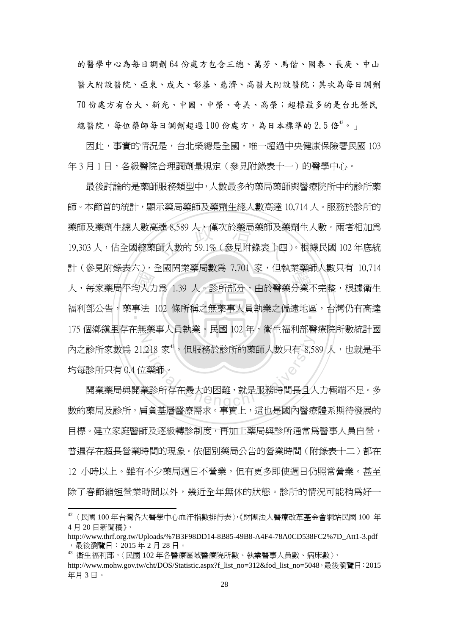的醫學中心為每日調劑 64 份處方包含三總、萬芳、馬偕、國泰、長庚、中山 醫大附設醫院、亞東、成大、彰基、慈濟、高醫大附設醫院;其次為每日調劑 70 份處方有台大、新光、中國、中榮、奇美、高榮;超標最多的是台北榮民 總醫院,每位藥師每日調劑超過100份處方,為日本標準的2.5倍 $^{42}$ 。」

因此,事實的情況是,台北榮總是全國,唯一超過中央健康保險署民國 103 年 3 月 1 日,各級醫院合理調劑量規定 (參見附錄表十一) 的醫學中心。

in (参元的球技ハナ、主國開末来周数局 7,701 多、直執未来師八数六日 10,714<br>人,每家藥局平均人力爲 1.39 人。診所部分,由於醫藥分業不完整,根據衛生<br>福利部公告,藥事法 102 條所稱之無藥事人員執業之偏遠地區,台灣仍有高達 藥師及藥劑生總人數高達 8,589 人,僅次於藥局藥師及藥劑生人數。兩者相加爲<br>19,303 人,佔全國總藥師人數的 59.1% ( 參見附錄表十四 )。根據民國 102 年底統 福利部公告,藥事法 102 條所稱之無藥事人員執業之偏遠地區,台灣仍有高達<br>-N 218 家",但服務於診所的藥師人數只有 8,5%<br><br><br>第該所存在最大的困難,就是服務時間長且人<br>三名共民醫療者中、日常人 最後討論的是藥師服務類型中,人數最多的藥局藥師與醫療院所中的診所藥 師。本節首的統計,顯示藥局藥師及藥劑生總人數高達 10,714 人。服務於診所的 19,303 人,佔全國總藥師人數的 59.1% ( 參見附錄表十四 )。根據民國 102 年底統 計(參見附錄表六),全國開業藥局數為 7,701 家,但執業藥師人數只有 10,714 175 個鄉鎮里存在無藥事人員執業。民國 102 年,衛生福利部醫療院所數統計國 內之診所家數爲 21,218 家",但服務於診所的藥師人數只有 8,589 人,也就是平 均每診所只有 0.4 位藥師。

開業藥局與開業診所存在最大的困難,就是服務時間長且人力極端不足。多 數的藥局及診所,肩負基層醫療需求。事實上,這也是國內醫療體系期待發展的 目標。建立家庭醫師及逐級轉診制度,再加上藥局與診所通常爲醫事人員自營, 普遍存在超長營業時間的現象。依個別藥局公告的營業時間(附錄表十二)都在 12 小時以上。雖有不少藥局週日不營業,但有更多即使週日仍照常營業。甚至 除了春節縮短營業時間以外,幾近全年無休的狀態。診所的情況可能稍為好一

 $^{42}$  〈民國 100 年台灣各大醫學中心血汗指數排行表〉,《財團法人醫療改革基金會網站民國 100 年 4 月 20 日新聞稿》,

http://www.thrf.org.tw/Uploads/%7B3F98DD14-8B85-49B8-A4F4-78A0CD538FC2%7D\_Att1-3.pdf ,最後瀏覽日:2015 年 2 月 28 日。

<sup>43</sup> 衛生福利部,〈民國 102 年各醫療區域醫療院所數、執業醫事人員數、病床數〉,

http://www.mohw.gov.tw/cht/DOS/Statistic.aspx?f\_list\_no=312&fod\_list\_no=5048,最後瀏覽日:2015 年月 3 日。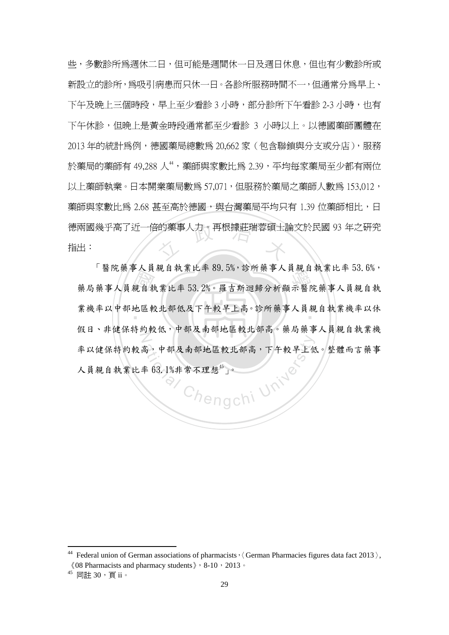德兩國幾乎高了近一倍的藥事人力。再根據莊瑞蓉碩士論文於民國 93 年之研究<br>指出:<br> 些,多數診所為週休二日,但可能是週間休一日及週日休息,但也有少數診所或 新設立的診所,為吸引病患而只休一日。各診所服務時間不一,但通常分為早上、 下午及晩上三個時段,早上至少看診 3 小時,部分診所下午看診 2-3 小時,也有 下午休診,但晩上是黃金時段通常都至少看診 3 小時以上。以德國藥師團體在 2013 年的統計為例,德國藥局總數為 20,662 家(包含聯鎖與分支或分店),服務 於藥局的藥師有 49.288 人",藥師與家數比爲 2.39,平均每家藥局至少都有兩位 以上藥師執業。日本開業藥局數為 57,071, 但服務於藥局之藥師人數為 153,012, 藥師與家數比爲 2.68 甚至高於德國,與台灣藥局平均只有 1.39 位藥師相比,日 指出:

- ^ 4 封<br>親<br>也區<br>は 3 13 面几来中八只祝日扒东比十 03.3% 沙川米中八只祝日扒东比十 30.0%<br>藥局藥事人員親自執業比率 53.2%。羅吉斯迴歸分析顯示醫院藥事人員親自執 業機率以中部地區較北部低及下午較早上高。診所藥事人員親自執業機率以休 N 高,中部及南部地區較北部高,下午較早上他<br>率 63.1%非常不理想"」。<br>
(Aengchi University) 「醫院藥事人員親自執業比率 89.5%,診所藥事人員親自執業比率 53.6%, 假日、非健保特約較低,中部及南部地區較北部高。藥局藥事人員親自執業機 率以健保特約較高,中部及南部地區較北部高,下午較早上低。整體而言藥事 人員親自執業比率 63.1%非常不理想 $45$ , 」。

<sup>&</sup>lt;sup>44</sup> Federal union of German associations of pharmacists,  $\langle$  German Pharmacies figures data fact 2013 $\rangle$ ,  $\langle 08$  Pharmacists and pharmacy students  $\rangle$  , 8-10, 2013.

<sup>45</sup> 同註 30,頁 ii。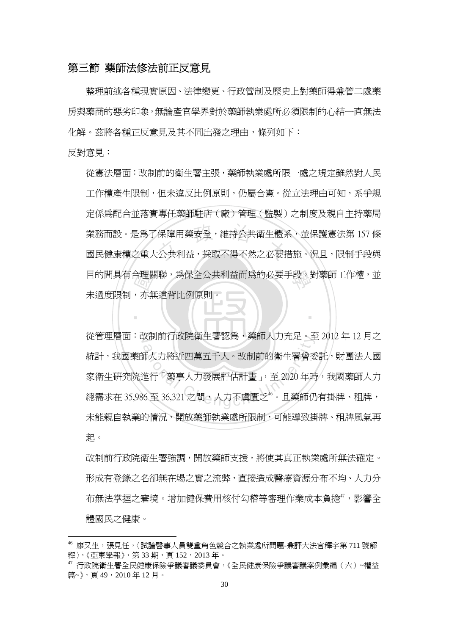#### 第三節 藥師法修法前正反意見

整理前述各種現實原因、法律變更、行政管制及歷史上對藥師得兼管二處藥 房與藥商的惡劣印象,無論產官學界對於藥師執業處所必須限制的心結一直無法 化解。茲將各種正反意見及其不同出發之理由,條列如下:

反對意見:

 $\overline{a}$ 

合理關<br>,亦無<br> 業務而設。是為了保障用藥安全,維持公共衛生體系,並保護憲法第 157 條<br>國民健康權之重大公共利益,採取不得不然之必要措施。況且,限制手段與 自的間具有合理關聯,為保全公共利益而為的必要手段。對藥師工作權,並 從憲法層面:改制前的衛生署主張,藥師執業處所限一處之規定雖然對人民 工作權產生限制,但未違反比例原則,仍屬合憲。從立法理由可知,系爭規 定係為配合並落實專任藥師駐店(廠)管理(監製)之制度及親自主持藥局 業務而設。是為了保障用藥安全,維持公共衛生體系,並保護憲法第 157 條 未過度限制,亦無違背比例原則。

N 從管理層面:改制前行政院衛生署認為,藥師人力充足。至 2012 年 12 月之 <sub>3.</sub>利即行政阮衛生者認鳥,衆即入刀允足。主<br>。<br><br>而人力將近四萬五千人。改制前的衛生署曾委<br><br><br>色行「藥事人力發展評估計畫」,至 2020 年時<br>6 至 36,321 之間,人力不虞匱乏<sup>\*。</sup>且藥師仍 統計,我國藥師人力將近四萬五千人。改制前的衛生署曾委託,財團法人國 家衛生研究院進行「藥事人力發展評估計書」,至 2020年時,我國藥師人力 總需求在 35,986 至 36,321 之間,人力不虞匱乏"。且藥師仍有掛牌、租牌, 未能親自執業的情況,開放藥師執業處所限制,可能導致掛牌、租牌風氣再 起。

‧

改制前行政院衛生署強調,開放藥師支援,將使其真正執業處所無法確定。 形成有登錄之名卻無在場之實之流弊,直接造成醫療資源分布不均、人力分 布無法掌握之窘境。增加健保費用核付勾稽等審理作業成本負擔",影響全 體國民之健康。

<sup>46</sup> 廖又生,張見任,〈試論醫事人員雙重角色競合之執業處所問題-兼評大法官釋字第 711 號解 釋》,《亞東學報》,第33期,頁152,2013年。

<sup>47</sup> 行政院衛生署全民健康保險爭議審議委員會,《全民健康保險爭議審議案例彙編(六)~權益 篇~》,頁 49,2010 年 12 月。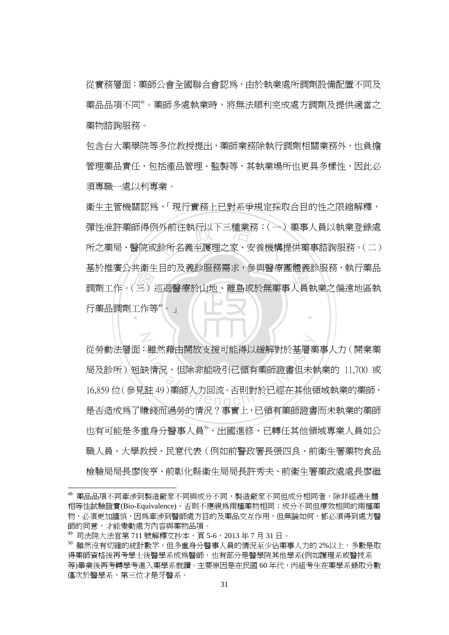從實務層面:藥師公會全國聯合會認為,由於執業處所調劑設備配置不同及 藥品品項不同48。藥師多處執業時,將無法順利完成處方調劑及提供適當之 藥物諮詢服務。

包含台大藥學院等多位教授提出,藥師業務除執行調劑相關業務外,也負擔 管理藥品責仟,包括產品管理、監製等,其執業場所也更具多樣性,因此必 須專職一處以利專業。

金於推廣公共開王白的及我診服物需求,參<del>與西</del>源園題我診服物,執行案品<br>調劑工作。(三)巡迴醫療於山地、離島或於無藥事人員執業之偏遠地區執<br>行藥品調劑工作等。。 彈性准許藥師得例外前往執行以下三種業務:(一) 藥事人員以執業登錄處<br>所之藥局、醫院或診所名義至護理之家、安養機構提供藥事諮詢服務。(二) ‧ 衛生主管機關認為,「現行實務上已對系爭規定採取合目的性之限縮解釋, 所之藥局、醫院或診所名義至護理之家、安養機構提供藥事諮詢服務。(二) 基於推廣公共衛生目的及義診服務需求,參與醫療團體義診服務,執行藥品 行藥品調劑工作等<sup>4</sup>。」

・雖然藉由開放支援可能得以緩解對於基層<br><br>決情況,但除非能吸引已領有藥師證書但未<br>に注 49)藥師人力回流。否則對於已經在其他<br><br>ま然云温然的悖況 8 萬景 - 司符右帶年数 從勞動法層面:雖然藉由開放支援可能得以緩解對於基層藥事人力(開業藥 局及診所)短缺情況,但除非能吸引已領有藥師證書但未執業的 11,700 或 16,859 位(參見註 49)藥師人力回流。否則對於已經在其他領域執業的藥師, 是否造成為了賺錢而過勞的情況?事實上,已領有藥師證書而未執業的藥師 也有可能是多重身分醫事人員<sup>9</sup>、出國淮修、已轉任其他領域專業人員如公 職人員、大學教授、民意代表(例如前警政署長張四良、前衛生署藥物食品 檢驗局局長廖俊亨、前彰化縣衛生局局長許秀夫、前衛生署藥政處處長廖繼

N

<sup>48</sup> 藥品品項不同牽涉到製造廠家不同與成分不同,製造廠家不同但成分相同者,除非經過生體 相等性試驗證實(Bio-Equivalence),否則不應視為兩種藥物相同;成分不同但療效相同的兩種藥 物,必須更加謹慎,因為牽涉到醫師處方目的及藥品交互作用,但無論如何,都必須得到處方醫 師的同意,才能變動處方內容與藥物品項。

 $^{49}$  司法院大法官第 711 號解釋文抄本,頁 5-6,2013 年 7 月 31 日。

<sup>50</sup> 雖然沒有切確的統計數字,但多重身分醫事人員的情況至少佔藥事人力的 2%以上,多數是取 得藥師資格後再考學士後醫學系成為醫師,也有部分是醫學院其他學系(例如護理系或醫技系 等)畢業後再考轉學考進入藥學系就讀。主要原因是在民國 60 年代, 丙組考生在藥學系錄取分數 僅次於醫學系,第三位才是牙醫系。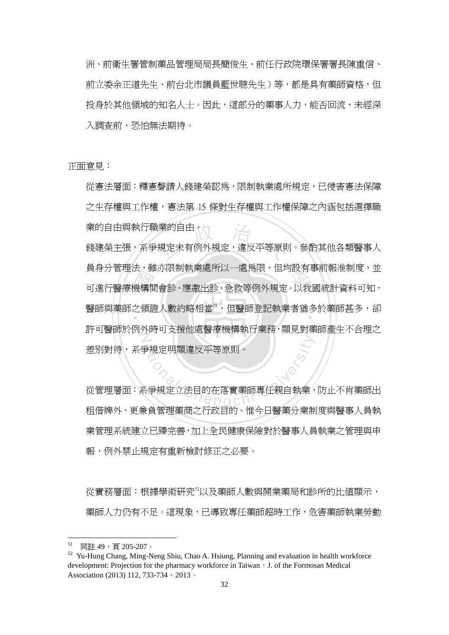洲、前衛生署管制藥品管理局局長簡俊生、前任行政院環保署署長陳重信、 前立委余正道先生、前台北市議員藍世聰先生)等,都是具有藥師資格,但 投身於其他領域的知名人士。因此,這部分的藥事人力,能否回流,未經深 入調查前,恐怕無法期待。

正面意見:

從憲法層面:釋憲聲請人錢建榮認為,限制執業處所規定,已侵害憲法保障 之生存權與工作權,憲法第 15 條對生存權與工作權保障之內涵包括選擇職 業的自由與執行職業的自由。

会<br>幾構間<br>它はE 漢的自由。<br>規定未有例外規定,違反平等原則<br> 真身刀 自生仏:雖勿飮兩秋未處所以,處寫飮,但均政日爭前報性刪反。亚<br><br>可進行醫療機構間會診、應邀出診、急救等例外規定。以我國統計資料可知, 醫師與藥師之領證人數約略相當<sup>51</sup>,但醫師登記執業者猶多於藥師甚多,卻 N 錢建榮主張,系爭規定未有例外規定,違反平等原則。參酌其他各類醫事人 員身分管理法,雖亦限制執業處所以一處為限,但均設有事前報准制度,並 許可醫師於例外時可支援他處醫療機構執行業務,顯見對藥師產生不合理之 差別對待,系爭規定明顯違反平等原則。

<del>。<br>事規定明顯違反平等原則。<br><br><br>各学規定立法目的在落實藥師專任親自執業<br></del> 從管理層面:系爭規定立法目的在落實藥師專任親自執業,防止不肖藥師出 租借牌外,更兼負管理藥商之行政目的。惟今日醫藥分業制度與醫事人員執 業管理系統建立已臻完善,加上全民健康保險對於醫事人員執業之管理與申 報,例外禁止規定有重新檢討修正之必要。

從實務層面:根據學術研究52以及藥師人數與開業藥局和診所的比值顯示, 藥師人力仍有不足。這現象,已導致專任藥師超時工作,危害藥師執業勞動

 $51$ 同註 49, 百 205-207。

<sup>&</sup>lt;sup>52</sup> Yu-Hung Chang, Ming-Neng Shiu, Chao A. Hsiung, Planning and evaluation in health workforce development: Projection for the pharmacy workforce in Taiwan, J. of the Formosan Medical Association (2013) 112, 733-734, 2013。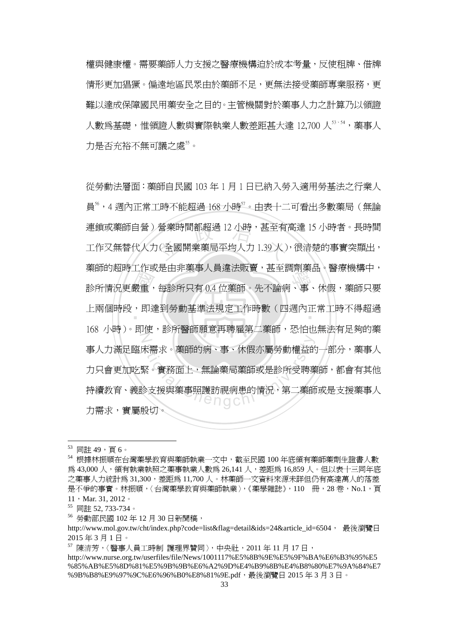權與健康權。需要藥師人力支援之醫療機構迫於成本考量,反使租牌、借牌 情形更加猖獗。偏遠地區民眾由於藥師不足,更無法接受藥師專業服務,更 難以達成保障國民用藥安全之目的。主管機關對於藥事人力之計算乃以領證 人數為基礎,惟領證人數與實際執業人數差距甚大達 12,700 人<sup>53、54</sup>,藥事人 力是否充裕不無可議之處"。

業部的過時工作致足出非案事入員進仏城員<sup>,</sup>甚主調刑案面、費源機構干<br>診所情況更嚴重,每診所只有 0.4 位藥師。先不論病、事、休假,藥師只要<br>上兩個時段,即達到勞動基準法規定工作時數(四週內正常工時不得超過 營業時間都超過 12 小時,甚至有<br><br>(全國開業藥局平均人力 1.39 人) 上兩個時段,即達到勞動基準法規定工作時數(四週內正常工時不得超過<br>-N 未需求。藥師的病、事、休假亦屬勞動權益的<br>緊。實務面上,無論藥局藥師或是診所受聘<br><br>多支援與藥事照護訪視病患的情況,第二藥師 從勞動法層面:藥師自民國 103 年 1 月 1 日已納入勞入適用勞基法之行業人 員56,4 週內正常工時不能超過 168 小時57。由表十二可看出多數藥局(無論 連鎖或藥師自營)營業時間都超過 12 小時,甚至有高達 15 小時者。長時間 工作又無替代人力(全國開業藥局平均人力 1.39 人),很清楚的事實突顯出, 藥師的超時工作或是由非藥事人員違法販賣,甚至調劑藥品。醫療機構中, 168 小時)。即使,診所醫師願意再聘雇第二藥師,恐怕也無法有足夠的藥 事人力滿足臨床需求。藥師的病、事、休假亦屬勞動權益的一部分,藥事人 力只會更加吃緊。實務面上,無論藥局藥師或是診所受聘藥師,都會有其他 持續教育、義診支援與藥事照護訪視病患的情況,第二藥師或是支援藥事人 力需求,實屬殷切。

<sup>53</sup> 同註 49,頁 6。

<sup>54</sup> 根據林振順在台灣藥學教育與藥師執業一文中,截至民國 100 年底領有藥師藥劑生證書人數 為 43,000 人,領有執業執照之藥事執業人數為 26,141 人,差距為 16,859 人。但以表十三同年底 之藥事人力統計為 31,300,差距為 11,700 人。林藥師一文資料來源未詳但仍有高達萬人的落差 是不爭的事實。林振順,〈台灣藥學教育與藥師執業〉,《藥學雜誌》,110 冊,28 卷,No.1,百 11, Mar. 31, 2012。

<sup>55</sup> 同註 52, 733-734。

<sup>56</sup> 勞動部民國 102 年 12 月 30 日新聞稿,

http://www.mol.gov.tw/cht/index.php?code=list&flag=detail&ids=24&article\_id=6504, 最後瀏覽日 2015 年 3 月 1 日。

 $^{57}$  陳清芳,〈醫事人員工時制 護理界贊同〉,中央社,2011年11月17日,

http://www.nurse.org.tw/userfiles/file/News/1001117%E5%8B%9E%E5%9F%BA%E6%B3%95%E5 %85%AB%E5%8D%81%E5%9B%9B%E6%A2%9D%E4%B9%8B%E4%B8%80%E7%9A%84%E7 %9B%B8%E9%97%9C%E6%96%B0%E8%81%9E.pdf,最後瀏覽日 2015年3月3日。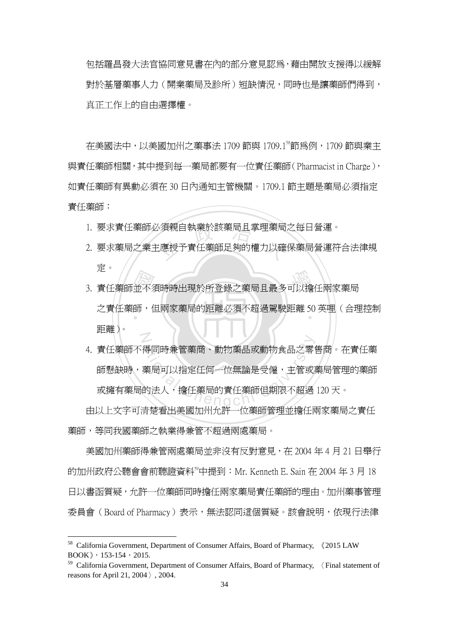包括羅昌發大法官協同意見書在內的部分意見認為,藉由開放支援得以緩解 對於基層藥事人力(開業藥局及診所)短缺情況,同時也是讓藥師們得到, 真正工作上的自由選擇權。

在美國法中,以美國加州之藥事法 1709 節與 1709.1<sup>58</sup>節為例, 1709 節與業主 與責任藥師相關,其中提到每一藥局都要有一位責任藥師(Pharmacist in Charge), 如責任藥師有異動必須在 30 日內通知主管機關。1709.1 節主題是藥局必須指定 責任藥師:

- 
- 1. 要求責任藥師必須親自執業於該藥局且掌理藥局之每日營運。<br>2. 要求藥局之業主應授予責任藥師足夠的權力以確保藥局營運符 2. 要求藥局之業主應授予責任藥師足夠的權力以確保藥局營運符合法律規 定。
- ル<br>3. 責任藥師並不須時時出現於所登錄之藥局且最多可以擔任兩家藥局<br>之責任藥師,但兩家藥局的距離必須不超過駕駛距離 50 英哩(合理<br>……、 ‧ 之責任藥師,但兩家藥局的距離必須不超過駕駛距離 50 英哩(合理控制 N 距離)。
- 得同時兼管藥商、動物藥品或動物食品之零<br><br>藥局可以指定任何一位無論是受僱,主管或<br>的法人,擔任藥局的責任藥師但期限不超過<br>ま数至出立門把出公業。仕藥無签理并擔任 4. 責任藥師不得同時兼管藥商、動物藥品或動物食品之零售商。在責任藥 師懸缺時,藥局可以指定任何一位無論是受僱,主管或藥局管理的藥師 或擁有藥局的法人,擔任藥局的責任藥師但期限不超過 120 天。

由以上文字可清楚看出美國加州允許一位藥師管理並擔任兩家藥局之責任 藥師,等同我國藥師之執業得兼管不超過兩處藥局。

美國加州藥師得兼管兩處藥局並非沒有反對意見,在 2004 年 4 月 21 日舉行 的加州政府公聽會會前聽證資料<sup>99</sup>中提到: Mr. Kenneth E. Sain 在 2004 年 3 月 18 日以書函質疑,允許一位藥師同時擔任兩家藥局責任藥師的理由。加州藥事管理 委員會(Board of Pharmacy)表示,無法認同這個質疑。該會說明,依現行法律

<sup>58</sup> California Government, Department of Consumer Affairs, Board of Pharmacy, 《2015 LAW  $BOOK$  , 153-154, 2015.

 $59$  California Government, Department of Consumer Affairs, Board of Pharmacy,  $\langle$  Final statement of reasons for April 21, 2004〉, 2004.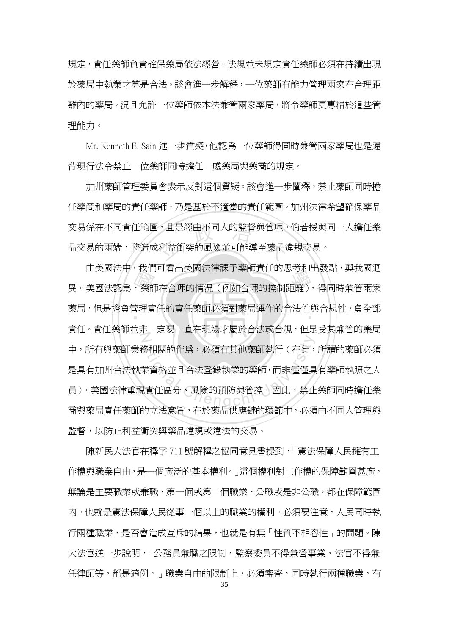規定,責任藥師負責確保藥局依法經營。法規並未規定責任藥師必須在持續出現 於藥局中執業才算是合法。該會進一步解釋,一位藥師有能力管理兩家在合理距 離內的藥局。況且允許一位藥師依本法兼管兩家藥局,將令藥師更專精於這些管 理能力。

Mr. Kenneth E. Sain 進一步質疑,他認為一位藥師得同時兼管兩家藥局也是違 背現行法令禁止一位藥師同時擔任一處藥局與藥商的規定。

|,且是經由不同人的監督與管理。<br>|<br>|利益衝突的風險並可能導至藥品 加州藥師管理委員會表示反對這個質疑。該會進一步闡釋,禁止藥師同時擔 任藥商和藥局的責任藥師,乃是基於不適當的責任範圍。加州法律希望確保藥品 交易係在不同責任範圍,且是經由不同人的監督與管理。倘若授與同一人擔任藥 品交易的兩端,將造成利益衝突的風險並可能導至藥品違規交易。

田夫國仏中,我们可有出夫國仏律誅」案師員は的心有相由發黏,無我國過<br>異。美國法認爲,藥師在合理的情況(例如合理的控制距離),得同時兼管兩家<br>藥局,但是擔負管理責任的責任藥師必須對藥局運作的合法性與合規性,負全部 ‧ 藥局,但是擔負管理責任的責任藥師必須對藥局運作的合法性與合規性,負全部  $Z$ を相關的作爲,必須有其他藥師執行(在此,<br>業資格並且合法登錄執業的藥師,而非僅僅具<br>!責任區分、風險的預防與管控。因此,禁止 由美國法中,我們可看出美國法律課予藥師責任的思考和出發點,與我國迴 責任。責任藥師並非一定要一直在現場才屬於合法或合規,但是受其兼管的藥局 中,所有與藥師業務相關的作為,必須有其他藥師執行(在此,所謂的藥師必須 是具有加州合法執業資格並且合法登錄執業的藥師,而非僅僅具有藥師執照之人 員)。美國法律重視責任區分、風險的預防與管控。因此,禁止藥師同時擔任藥 商與藥局責任藥師的立法意旨,在於藥品供應鏈的環節中,必須由不同人管理與 監督,以防止利益衝突與藥品違規或違法的交易。

陳新民大法官在釋字 711 號解釋之協同意見書提到,「憲法保障人民擁有工 作權與職業自由,是一個廣泛的基本權利。」這個權利對工作權的保障範圍甚廣, 無論是主要職業或兼職、第一個或第二個職業、公職或是非公職,都在保障範圍 內。也就是憲法保障人民從事一個以上的職業的權利。必須要注意,人民同時執 行兩種職業,是否會造成互斥的結果,也就是有無「性質不相容性」的問題。陳 大法官進一步說明,「公務員兼職之限制、監察委員不得兼營事業、法官不得兼 任律師等,都是適例。」職業自由的限制上,必須審查,同時執行兩種職業,有

35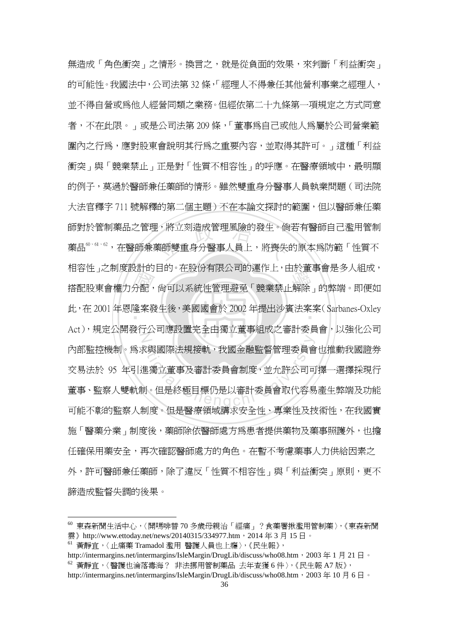怕谷田」と前受設計的自的。在放力有限公司的建作工,由於重事旨定多入組成。<br>搭配股東會權力分配,尙可以系統性管理避免「競業禁止解除」的弊端。即便如<br>此,在 2001 年恩隆案發生後,美國國會於 2002 年提出沙賓法案案(Sarbanes-Oxley !,將立刻造成管理風險的發生。倘<br><br><br><br><br><br><br><br><br><br><br><br><br><br><br><br><br><br><br><br><br><br><br> ‧ 此,在 2001 年恩隆案發生後,美國國會於 2002 年提出沙賓法案案(Sarbanes-Oxley  $\mathbb Z$ <sup>a</sup>t<sup>i</sup>ona<sup>l</sup> <sup>C</sup>hengch<sup>i</sup> <sup>U</sup>nivers<sup>i</sup>t<sup>y</sup> 無浩成「角色衝突」之情形。換言之,就是從負面的效果,來判斷「利益衝突」 的可能性。我國法中,公司法第 32 條,「經理人不得兼任其他營利事業之經理人, 並不得自營或為他人經營同類之業務。但經依第二十九條第一項規定之方式同意 者,不在此限。」或是公司法第 209 條,「董事為自己或他人為屬於公司營業範 圍內之行為,應對股東會說明其行為之重要內容,並取得其許可。」這種「利益 衝突」與「競業禁止」正是對「性質不相容性」的呼應。在醫療領域中,最明顯 的例子,莫過於醫師兼任藥師的情形。雖然雙重身分醫事人員執業問題(司法院 大法官釋字 711 號解釋的第二個主題)不在本論文探討的範圍,但以醫師兼任藥 師對於管制藥品之管理,將立刻造成管理風險的發生。倘若有醫師自己濫用管制 藥品<sup>60・61、62</sup>,在醫師兼藥師雙重身分醫事人員上,將喪失的原本爲防範「性質不 相容性」之制度設計的目的。在股份有限公司的運作上,由於董事會是多人組成, Act),規定公開發行公司應設置完全由獨立董事組成之審計委員會,以強化公司 內部監控機制。為求與國際法規接軌,我國金融監督管理委員會也推動我國證券 交易法於 95 年引進獨立董事及審計委員會制度,並允許公司可擇一選擇採現行 董事、監察人雙軌制。但是終極目標仍是以審計委員會取代容易產生弊端及功能 可能不彰的監察人制度。但是醫療領域講求安全性、專業性及技術性,在我國實 施「醫藥分業」制度後,藥師除依醫師處方為患者提供藥物及藥事照護外,也擔 任確保用藥安全,再次確認醫師處方的角色。在暫不考慮藥事人力供給因素之 外,許可醫師兼任藥師,除了違反「性質不相容性」與「利益衝突」原則,更不 諦造成監督失調的後果。

<sup>60</sup> 東森新聞生活中心,〈開嗎啡替 70 多歲母親治「經痛」?食藥署揪濫用管制藥〉,《東森新聞 雲》http://www.ettoday.net/news/20140315/334977.htm, 2014年 3 月 15 日。

<sup>61</sup> 黃靜宜,〈止痛藥 Tramadol 濫用 醫護人員也上癮〉,《民生報》,

http://intermargins.net/intermargins/IsleMargin/DrugLib/discuss/who08.htm,2003 年 1 月 21 日。 <sup>62</sup> 黃靜宜,〈醫護也淪落毒海? 非法挪用管制藥品 去年查獲 6 件〉,《民生報 A7 版》, http://intermargins.net/intermargins/IsleMargin/DrugLib/discuss/who08.htm,2003 年 10 月 6 日。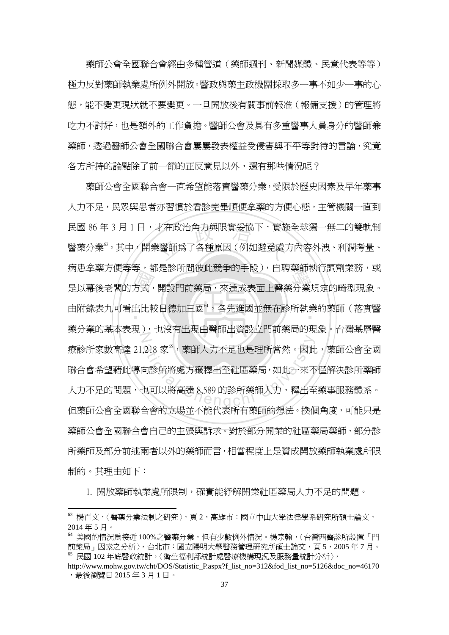藥師公會全國聯合會經由多種管道(藥師週刊、新聞媒體、民意代表等等) 極力反對藥師執業處所例外開放。醫政與藥主政機關採取多一事不如少一事的心 態,能不變更現狀就不要變更。一旦開放後有關事前報准(報備支援)的管理將 吃力不討好,也是額外的工作負擔。醫師公會及具有多重醫事人員身分的醫師兼 藥師,透過醫師公會全國聯合會屢屢發表權益受侵害與不平等對待的言論,究竟 各方所持的論點除了前一節的正反意見以外,還有那些情況呢?

了方式<br>出此<br> 才在政治角力與限實妥協下,實施<br>《醫師爲了各種原因(例如避免處) <sub>内心事来力医守守、那足影所向放此就尹的于投力、自将来帥我们調別未妨。<br><br>是以幕後老闆的方式,開設門前藥局,來達成表面上醫藥分業規定的畸型現象。</sub> 由附錄表九可看出比較日德加三國",各先進國並無在診所執業的藥師(落實醫 N 218 家",藥師人力不足也是理所當然。因此<br>句診所將處方籤釋出至社區藥局,如此一來不<br>也可以將高達 8,589 的診所藥師人力,釋出至<br>人会的士児並不能沿革毛存帶無始想法,投促 藥師公會全國聯合會一直希望能落實醫藥分業,受限於歷史因素及早年藥事 人力不足,民眾與患者亦習慣於看診完畢順便拿藥的方便心態,主管機關一直到 民國 86年3月1日,才在政治角力與限實妥協下,實施全球獨一無二的雙軌制 醫藥分業 $^{63}$ 。其中,開業醫師爲了各種原因(例如避免處方內容外洩、利潤考量、 病患拿藥方便等等,都是診所間彼此競爭的手段),自聘藥師執行調劑業務,或 藥分業的基本表現),也沒有出現由醫師出資設立門前藥局的現象。台灣基層醫 療診所家數高達 21,218 家",藥師人力不足也是理所當然。因此,藥師公會全國 聯合會希望藉此導向診所將處方籤釋出至社區藥局,如此一來不僅解決診所藥師 人力不足的問題,也可以將高達 8,589 的診所藥師人力,釋出至藥事服務體系。 但藥師公會全國聯合會的立場並不能代表所有藥師的想法。換個角度,可能只是 藥師公會全國聯合會自己的主張與訴求。對於部分開業的社區藥局藥師、部分診 所藥師及部分前述兩者以外的藥師而言,相當程度上是贊成開放藥師執業處所限 制的。其理由如下:

1. 開放藥師執業處所限制,確實能紓解開業社區藥局人力不足的問題。

<sup>63</sup> 楊百文,〈醫藥分業法制之研究〉,頁 2,高雄市:國立中山大學法律學系研究所碩士論文, 2014 年 5 月。

<sup>64</sup> 美國的情況為接近 100%之醫藥分業,但有少數例外情況。楊宗翰,〈台灣西醫診所設置「門 前藥局」因素之分析〉,台北市:國立陽明大學醫務管理研究所碩士論文,頁 5,2005 年 7 月。 <sup>65</sup> 民國 102 年底醫政統計,〈衛生福利部統計處醫療機構現況及服務量統計分析〉,

http://www.mohw.gov.tw/cht/DOS/Statistic\_P.aspx?f\_list\_no=312&fod\_list\_no=5126&doc\_no=46170 ,最後瀏覽日 2015 年 3 月 1 日。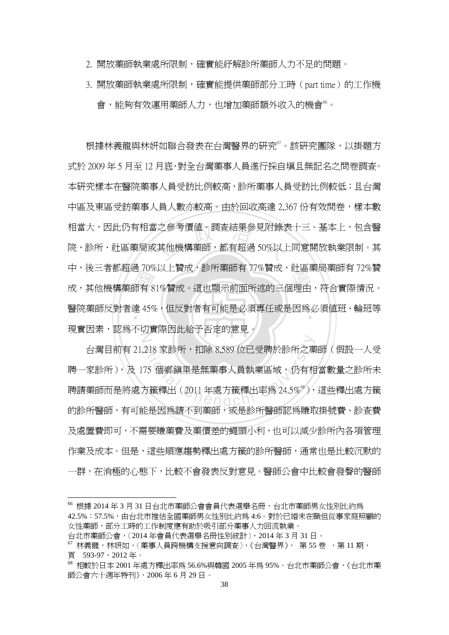- 2. 開放藥師執業處所限制,確實能紓解診所藥師人力不足的問題。
- 3. 開放藥師執業處所限制,確實能提供藥師部分工時(part time)的工作機 會,能夠有效運用藥師人力,也增加藥師額外收入的機會"。

〒 72~1日前超過 70%以上員成 7 診所案師有 77%員成 7 社画案周案師有 72%員<br>成,其他機構藥師有 81%贊成。這也顯示前面所述的三個理由,符合實際情況。<br>醫院藥師反對者達 45%,但反對者有可能是必須專任或是因爲必須値班、輪班等 相當大,因此仍有相當之參考價值。調查結果參見附錄表十三。基本上,包含醫<br>院、診所、社區藥局或其他機構藥師,都有超過 50%以上同意開放執業限制。其 醫院藥師反對者達 45%,但反對者有可能是必須專任或是因爲必須值班、輪班等<br>-N 根據林義龍與林妍如聯合發表在台灣醫界的研究<sup>67</sup>。該研究團隊,以掛題方 式於 2009 年 5 月至 12 月底,對全台灣藥事人員進行採自填且無記名之問卷調查。 本研究樣本在醫院藥事人員受訪比例較高,診所藥事人員受訪比例較低;且台灣 中區及東區受訪藥事人員人數亦較高。由於回收高達 2,367 份有效問卷,樣本數 院、診所、社區藥局或其他機構藥師,都有超過 50%以上同意開放執業限制。其 中,後三者都超過 70%以上贊成,診所藥師有 77%贊成,社區藥局藥師有 72%贊 現實因素,認為不切實際因此給予否定的意見。

218 家診所,扣除 8,589 位已受聘於診所之藥<br>75 個鄕鎭里是無藥事人員執業區域,仍有相<br>方籤釋出(2011 年處方籤釋出率爲 24.5%<sup>%</sup>), 台灣目前有 21,218 家診所,扣除 8,589 位已受聘於診所之藥師(假設一人受 聘一家診所),及 175 個鄉鎮里是無藥事人員執業區域,仍有相當數量之診所未 聘請藥師而是將處方籤釋出(2011 年處方籤釋出率爲 24.5%<sup>%</sup>),這些釋出處方籤 的診所醫師,有可能是因爲請不到藥師,或是診所醫師認爲賺取掛號費、診杳費 及處置費即可,不需要賺藥費及藥價差的蠅頭小利,也可以減少診所內各項管理 作業及成本。但是,這些順應趨勢釋出處方籤的診所醫師,通常也是比較沉默的 一群,在消極的心態下,比較不會發表反對意見。醫師公會中比較會發聲的醫師

<sup>66</sup> 根據 2014 年 3 月 31 日台北市藥師公會會員代表選舉名冊,台北市藥師男女性別比約為 42.5%:57.5%,由台北市推估全國藥師男女性別比約為 4:6。對於已婚未在職但從事家庭照顧的 女性藥師,部分工時的工作制度應有助於吸引部分藥事人力回流執業。

台北市藥師公會,〈2014 年會員代表選舉名冊性別統計〉,2014 年 3 月 31 日。

 $\frac{67}{3}$  林義龍,林妍如,〈藥事人員跨機構支援意向調査〉,《台灣醫界》, 第 55 卷, 第 11 期, 頁 593-97,2012 年。

<sup>68</sup> 相較於日本 2001 年處方釋出率為 56.6%與韓國 2005 年為 95%。台北市藥師公會,《台北市藥 師公會六十週年特刊》,2006 年 6 月 29 日。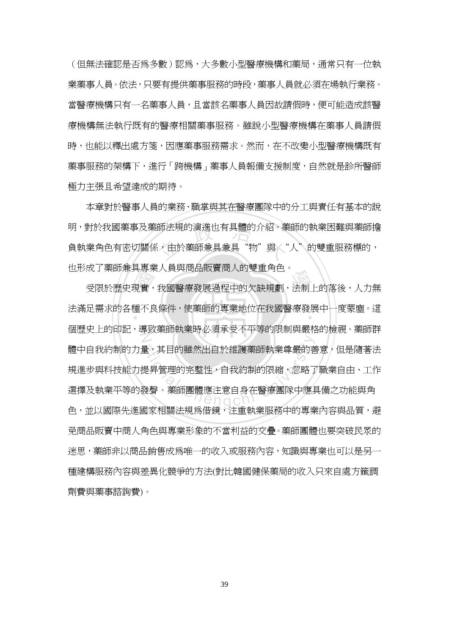(但無法確認是否為多數)認為,大多數小型醫療機構和藥局,通常只有一位執 業藥事人員。依法,只要有提供藥事服務的時段,藥事人員就必須在場執行業務。 當醫療機構只有一名藥事人員,且當該名藥事人員因故請假時,便可能造成該醫 療機構無法執行既有的醫療相關藥事服務。雖說小型醫療機構在藥事人員請假 時,也能以釋出處方箋,因應藥事服務需求。然而,在不改變小型醫療機構既有 **藥事服務的架構下,進行「跨機構」藥事人員報備支援制度,自然就是診所醫師** 極力主張且希望達成的期待。

師法規的演進也有具體的介紹。<br><br><sup>5</sup>,由於藥師兼具兼具"物"與 本章對於醫事人員的業務、職掌與其在醫療團隊中的分工與責任有基本的說 明,對於我國藥事及藥師法規的演進也有具體的介紹。藥師的執業困難與藥師擔 負執業角色有密切關係,由於藥師兼具兼具"物"與《"人"的雙重服務標的, 也形成了藥師兼具專業人員與商品販賣商人的雙重角色。

成」案部森兵寺未入員央問品販員問入的支重角色。<br>受限於歷史現實,我國醫療發展過程中的欠缺規劃,法制上的落後,人力無<br>足需求的各種不良條件,使藥師的專業地位在我國醫療發展中一度蒙塵。這 ‧ 法滿足需求的各種不良條件,使藥師的專業地位在我國醫療發展中一度蒙塵。這 N ー、其目的雖然出自於維護藥師執業尊嚴的善意,其目的雖然出自於維護藥師執業尊嚴的善意。<br><br>是昇管理的完整性,自我約制的限縮,忽略了<br>發聲。藥師團體應注意自身在醫療團隊中應具 個歷史上的印記,導致藥師執業時必須承受不平等的限制與嚴格的檢視。藥師群 體中自我約制的力量,其目的雖然出自於維護藥師執業尊嚴的善意,但是隨著法 規進步與科技能力提昇管理的完整性,自我約制的限縮,忽略了職業自由、工作 選擇及執業平等的發聲。藥師團體應注意自身在醫療團隊中應具備之功能與角 色,並以國際先進國家相關法規為借鏡,注重執業服務中的專業內容與品質,避 免商品販賣中商人角色與專業形象的不當利益的交疊。藥師團體也要突破民眾的 迷思,藥師非以商品銷售成為唯一的收入或服務內容,知識與專業也可以是另一 種建構服務內容與差異化競爭的方法(對比韓國健保藥局的收入只來自處方籤調 劑費與藥事諮詢費)。

39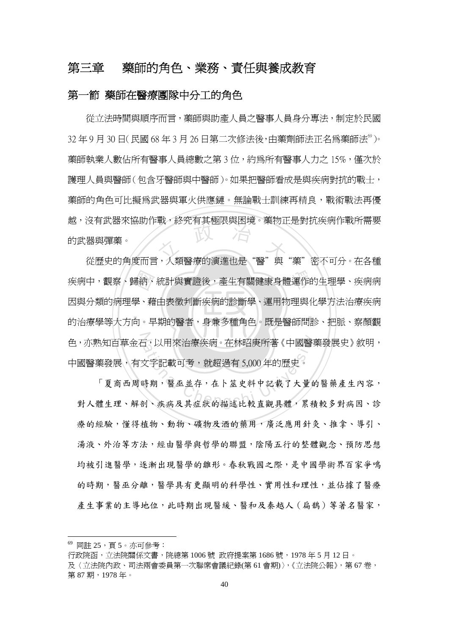## 第三章 藥師的角色、業務、責任與養成教育

#### 第一節 藥師在醫療團隊中分工的角色

<sup>立</sup> <sup>政</sup> <sup>治</sup> <sup>大</sup> 從歷史的角度而言,人類醫療的演進也是"醫"與"藥"密不可分。在各種 從立法時間與順序而言,藥師與助產人員之醫事人員身分專法,制定於民國  $32 \pm 9$  月 30 日(民國 68 年 3 月 26 日第二次修法後,由藥劑師法正名爲藥師法 $^{\circ}$ )。 藥師執業人數佔所有醫事人員總數之第3位,約為所有醫事人力之 15%,僅次於 護理人員與醫師(包含牙醫師與中醫師)。如果把醫師看成是與疾病對抗的戰士, 藥師的角色可比擬為武器與軍火供應鏈。無論戰士訓練再精良,戰術戰法再優 越,沒有武器來協助作戰,終究有其極限與困境。藥物正是對抗疾病作戰所需要 的武器與彈藥。

‧‧ 疾病中,觀察、歸納、統計與實證後,產生有關健康身體運作的生理學、疾病病<br>因與分類的病理學、藉由表徵判斷疾病的診斷學、運用物理與化學方法治療疾病<br>的治療學等大方向。早期的醫者,身兼多種角色。既是醫師問診、把脈、察顏觀 色,亦熟知百草金石,以用來治療疾病。在林昭庚所著《中國醫藥發展史》敘明,<br>中國醫藥發展,有文字記載可考,就超過有 5,000年的歷史。<br>「夏商西周時期,醫巫並存,在卜筮史料中記載了大量的醫藥產生內容,<br>對人體生理、解剖、疾病及其症狀的描述比較直觀具體,累積較多對病因、診 因與分類的病理學、藉由表徵判斷疾病的診斷學、運用物理與化學方法治療疾病 的治療學等大方向。早期的醫者,身兼多種角色。既是醫師問診、把脈、察顏觀 中國醫藥發展,有文字記載可考,就超過有 5,000 年的歷史。

「夏商西周時期,醫巫並存,在卜筮史料中記載了大量的醫藥產生內容, 對人體生理、解剖、疾病及其症狀的描述比較直觀具體,累積較多對病因、診 療的經驗,懂得植物、動物、礦物及酒的藥用,廣泛應用針灸、推拿、導引、 湯液、外治等方法,經由醫學與哲學的聯盟,陰陽五行的整體觀念、預防思想 均被引進醫學,逐漸出現醫學的雛形。春秋戰國之際,是中國學術界百家爭鳴 的時期,醫巫分離,醫學具有更顯明的科學性、實用性和理性,並佔據了醫療 產生事業的主導地位,此時期出現醫緩、醫和及秦越人(扁鵲)等著名醫家,

<sup>69</sup> 同註 25,頁 5。亦可參考:

行政院函,立法院關係文書,院總第 1006 號 政府提案第 1686 號,1978 年 5 月 12 日。 及〈立法院內政、司法兩會委員第一次聯席會議紀錄(第 61 會期)〉,《立法院公報》,第 67 卷, 第 87 期, 1978年。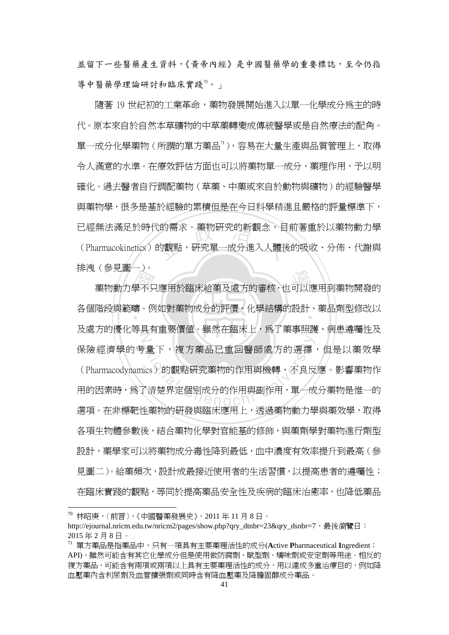並留下一些醫藥產生資料,《黃帝內經》是中國醫藥學的重要標誌,至今仍指 導中醫藥學理論研討和臨床實踐 $0$ 。」

已經無法滿足於時代的需求。藥物研究的新觀念,目前著重於以藥物動力學<br>(Pharmacokinetics)的觀點,研究單一成分進入人體後的吸收、分佈、代謝與 隨著 19 世紀初的工業革命,藥物發展開始進入以單一化學成分為主的時 代。原本來自於自然本草礦物的中草藥轉變成傳統醫學或是自然療法的配角。 單一成分化學藥物(所謂的單方藥品71),容易在大量生產與品質管理上,取得 令人滿意的水準。在療效評估方面也可以將藥物單一成分,藥理作用,予以明 確化。過去醫者自行調配藥物(草藥、中藥或來自於動物與礦物)的經驗醫學 與藥物學,很多是基於經驗的累積但是在今日科學精進且嚴格的評量標準下, (Pharmacokinetics)的觀點,研究單一成分淮入人體後的吸收、分佈、代謝與 排洩(參見圖一)。

→<br>學不<br>疇 、<br><sub>参加的</sub><br>藥物動力學不只應用於臨床給藥及處方的審核,也可以應用到藥物開發的 ‧ 各個階段與範疇。例如對藥物成分的評價、化學結構的設計、藥品劑型修改以 N 、量下,複方藥品已重回醫師處方的選擇<br>ics)的觀點研究藥物的作用與機轉、不良反<br><br>C清楚界定個別成分的作用與副作用,單一成 及處方的優化等具有重要價值。雖然在臨床上,為了藥事照護、病患遵囑性及 保險經濟學的考量下,複方藥品已重回醫師處方的選擇,但是以藥效學 (Pharmacodynamics)的觀點研究藥物的作用與機轉、不良反應。影響藥物作 用的因素時,為了清楚界定個別成分的作用與副作用,單一成分藥物是惟一的 選項。在非標靶性藥物的研發與臨床應用上,透過藥物動力學與藥效學,取得 各項生物體參數後,結合藥物化學對官能基的修飾,與藥劑學對藥物進行劑型 設計,藥學家可以將藥物成分毒性降到最低,血中濃度有效率提升到最高(參 見圖二)。給藥頻次,設計成最接近使用者的生活習慣,以提高患者的遵囑性; 在臨床實踐的觀點,等同於提高藥品安全性及疾病的臨床治癒率,也降低藥品

<sup>70</sup> 林昭庚,〈前言〉,《中國醫藥發展史》,2011 年 11 月 8 日。

http://ejournal.nricm.edu.tw/nricm2/pages/show.php?qry\_dtnbr=23&qry\_dsnbr=7, 最後瀏覽日: 2015 年 2 月 8 日。

<sup>71</sup> 單方藥品是指藥品中,只有一項具有主要藥理活性的成分(**A**ctive **P**harmaceutical **I**ngredient; API),雖然可能含有其它化學成分但是使用做防腐劑、賦型劑、矯味劑或安定劑等用途。相反的 複方藥品,可能含有兩項或兩項以上具有主要藥理活性的成分,用以達成多重治療目的,例如降 血壓藥內含利尿劑及血管擴張劑或同時含有降血壓藥及降膽固醇成分藥品。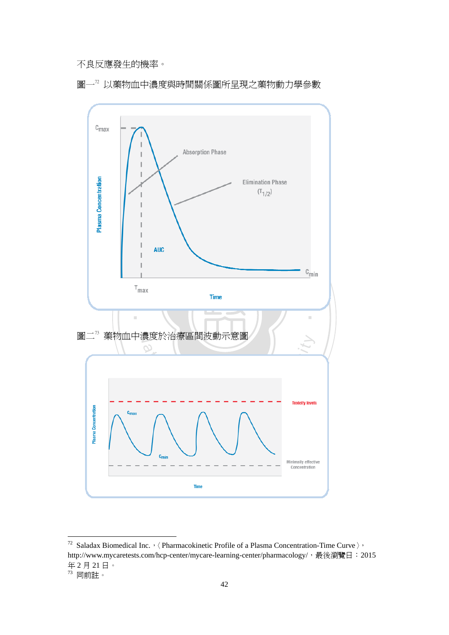不良反應發生的機率。





<sup>&</sup>lt;sup>72</sup> Saladax Biomedical Inc.,  $\langle$  Pharmacokinetic Profile of a Plasma Concentration-Time Curve  $\rangle$ , http://www.mycaretests.com/hcp-center/mycare-learning-center/pharmacology/,最後瀏覽日: 2015 年 2 月 21 日。

 $^{\prime\prime}$  同前註。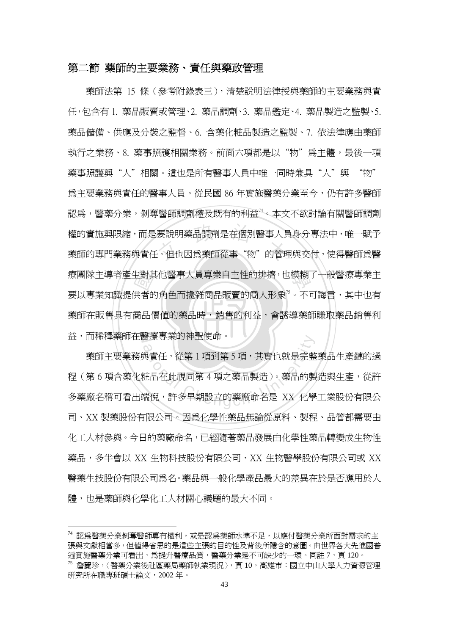#### 第二節 藥師的主要業務、責任與藥政管理

‧生對其<br>供者的<br>商品们 權的實施與限縮,而是要說明藥品調劑是在個別醫事人員身分專法中,唯一賦予<br>藥師的專門業務與責任。但也因爲藥師從事"物"的管理與交付,使得醫師爲醫 療團隊主導者產生對其他醫事人員專業自主性的排擠,也模糊了一般醫療專業主 ‧ 藥師在販售具有商品價值的藥品時,銷售的利益,會誘導藥師賺取藥品銷售利 益,而稀釋藥師在醫療專業的神聖使命。 藥師法第 15 條(參考附錄表三),清楚說明法律授與藥師的主要業務與責 任,包含有 1. 藥品販賣或管理、2. 藥品調劑、3. 藥品鑑定、4. 藥品製造之監製、5. 藥品儲備、供應及分裝之監督、6. 含藥化粧品製造之監製、7. 依法律應由藥師 執行之業務、8. 藥事照護相關業務。前面六項都是以"物"爲主體,最後一項 藥事照護與"人"相關。這也是所有醫事人員中唯一同時兼具"人"與 "物" 為主要業務與責任的醫事人員。從民國 86 年實施醫藥分業至今,仍有許多醫師 認為,醫藥分業,剝奪醫師調劑權及既有的利益74。本文不欲討論有關醫師調劑 權的實施與限縮,而是要說明藥品調劑是在個別醫事人員身分專法中,唯一賦予 要以專業知識提供者的角色而攙雜商品販賣的商人形象"。不可誨言,其中也有

<sub>會療 导</sub>来旳伸室便而。<br>◇<br>與責任,從第 1 項到第 5 項,其實也就是完整<br>脏品在此視同第 4 項之藥品製造)。藥品的製<br>端倪,許多早期設立的藥廠命名是 XX 化學 藥師主要業務與責任,從第 1 項到第 5 項,其實也就是完整藥品生產鏈的過 程(第 6 項含藥化粧品在此視同第 4 項之藥品製造)。藥品的製造與生產,從許 多藥廠名稱可看出端倪,許多早期設立的藥廠命名是 XX 化學工業股份有限公 司、XX 製藥股份有限公司。因為化學性藥品無論從原料、製程、品管都需要由 化工人材參與。今日的藥廠命名,已經隨著藥品發展由化學性藥品轉變成生物性 藥品,多半會以 XX 生物科技股份有限公司、XX 生物醫學股份有限公司或 XX 醫藥生技股份有限公司為名。藥品與一般化學產品最大的差異在於是否應用於人 體,也是藥師與化學化工人材關心議題的最大不同。

<sup>74</sup> 認為醫藥分業剝奪醫師專有權利,或是認為藥師水準不足,以應付醫藥分業所面對需求的主 張與文獻相當多,但值得省思的是這些主張的目的性及背後所隱含的意圖。由世界各大先進國普 遍實施醫藥分業可看出,爲提升醫療品質,醫藥分業是不可缺少的一環。同註 7,頁 120。 <sup>75</sup> 詹麗珍,〈醫藥分業後社區藥局藥師執業現況〉,頁 10,高雄市:國立中山大學人力資源管理 研究所在職專班碩士論文,2002 年。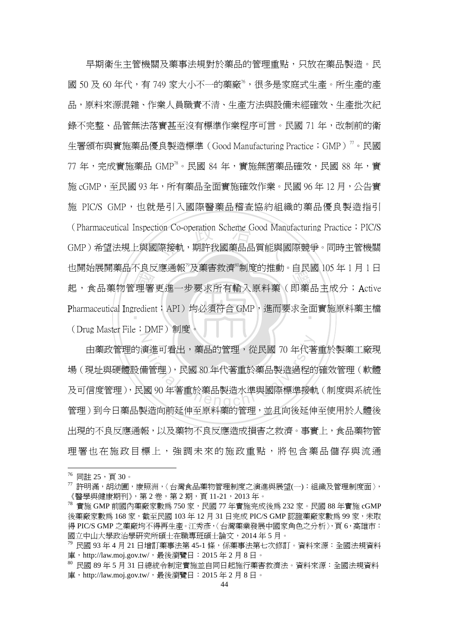·<br>·理署<br>redien (Pharmaceutical Inspection Co-operation Scheme Good Manufacturing Practice;PIC/S<br>GMP)希望法規上與國際接軌,期許我國藥品品質能與國際競爭。同時主管機關 也別知辰開案品不及及應通報 及案言教讲 刪反的進動 自以國 105 平 1 月 1 日<br>起,食品藥物管理署更進一步要求所有輸入原料藥(即藥品主成分;Active Pharmaceutical Ingredient;API)均必須符合 GMP,進而要求全面實施原料藥主檔 N 早期衛生主管機關及藥事法規對於藥品的管理重點,只放在藥品製造。民 國 50 及 60 年代,有 749 家大小不一的藥廠<sup>76</sup>,很多是家庭式生產。所生產的產 品,原料來源混雜、作業人員職責不清、生產方法與設備未經確效、生產批次紀 錄不完整、品管無法落實甚至沒有標準作業程序可言。民國 71 年,改制前的衛 生署頒布與實施藥品優良製造標準(Good Manufacturing Practice;GMP)<sup>77</sup>。民國  $77 \text{ } 4$ , 完成實施藥品  $\text{GMP}^{\text{78}} \circ \text{R}$ 國 84 年, 實施無菌藥品確效, 民國 88 年, 實 施 cGMP,至民國 93 年,所有藥品全面實施確效作業。民國 96 年 12 月,公告實 施 PIC/S GMP,也就是引入國際醫藥品稽查協約組織的藥品優良製浩指引 GMP)希望法規上與國際接軌,期許我國藥品品質能與國際競爭。同時主管機關 也開始展開藥品不良反應通報 $^{79}$ 及藥害救濟 $^{80}$ 制度的推動。自民國 105 年 1 月 1 日 (Drug Master File; DMF)制度。

ま進可看出,藥品的管理,從民國 70 年代著<br>備管理),民國 80 年代著重於藥品製造過程的<br>國 90 年著重於藥品製造水準與國際標準接動<br>國 90 年著重於藥品製造水準與國際標準接動 由藥政管理的演進可看出,藥品的管理,從民國 70 年代著重於製藥工廠現 場(現址與硬體設備管理),民國 80 年代著重於藥品製造過程的確效管理(軟體 及可信度管理),民國 90 年著重於藥品製造水準與國際標準接軌(制度與系統性 管理)到今日藥品製造向前延伸至原料藥的管理,並且向後延伸至使用於人體後 出現的不良反應通報,以及藥物不良反應造成損害之救濟。事實上,食品藥物管 理署也在施政目標上,強調未來的施政重點,將包含藥品儲存與流涌

 $76$  同註  $25$ , 頁  $30$ 。

 $^{\prime\prime}$  許明滿,胡幼圃,康照洲,〈台灣食品藥物管理制度之演進與展望(一):組織及管理制度面〉, 《醫學與健康期刊》,第2卷,第2期,頁11-21,2013年。

 $^{78}$  實施 GMP 前國內藥廠家數爲 750 家, 民國 77 年實施完成後爲 232 家。民國 88 年實施 cGMP 後藥廠家數為 168 家,截至民國 103 年 12 月 31 日完成 PIC/S GMP 認證藥廠家數為 99 家,未取 得 PIC/S GMP 之藥廠均不得再生產。江秀彥,〈台灣藥業發展中國家角色之分析〉,頁6,高雄市: 國立中山大學政治學研究所碩士在職專班碩士論文,2014 年 5 月。

 $^{79}$  民國 93年4月21日增訂藥事法第 45-1條,係藥事法第七次修訂。資料來源:全國法規資料 庫, http://law.moj.gov.tw/, 最後瀏覽日: 2015年2月8日。

<sup>80</sup> 民國 89 年 5 月 31 日總統令制定實施並自同日起施行藥害救濟法。資料來源:全國法規資料 庫, http://law.moj.gov.tw/, 最後瀏覽日: 2015年2月8日。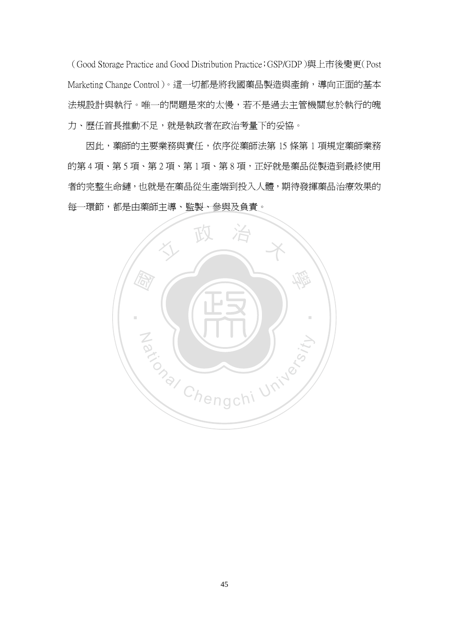(Good Storage Practice and Good Distribution Practice;GSP/GDP)與上市後變更(Post Marketing Change Control)。這一切都是將我國藥品製造與產銷,導向正面的基本 法規設計與執行。唯一的問題是來的太慢,若不是過去主管機關怠於執行的魄 力、歷任首長推動不足,就是執政者在政治考量下的妥協。

因此,藥師的主要業務與責任,依序從藥師法第 15 條第 1 項規定藥師業務 的第4項、第5項、第2項、第1項、第8項,正好就是藥品從製造到最終使用 者的完整生命鏈,也就是在藥品從生產端到投入人體,期待發揮藥品治療效果的 每一環節,都是由藥師主導、監製、參與及負責。

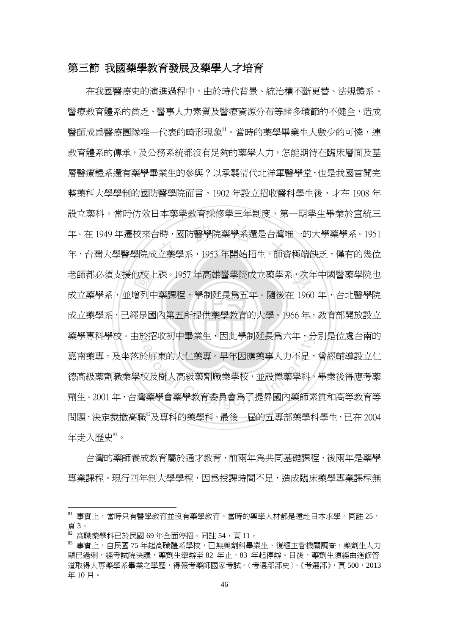#### 第三節 我國藥學教育發展及藥學人才培育

成立藥學系,已經是國內第五所提供藥學教育的大學。1966年,教育部開放設立 也校士<br>僧列中<br>堅是國 <sub>1</sub>時,國防醫學院藥學系還是台灣™<br>立藥學系,1953 年開始招生。師資 學 老師都必須支援他校上課。1957 年高雄醫學院成立藥學系,次年中國醫藥學院也 藥學專科學校。由於招收初中畢業生,因此學制延長爲六年,分別是位處台南的 <sup>a</sup>t<sup>i</sup>ona<sup>l</sup> <sup>C</sup>hengch<sup>i</sup> <sup>U</sup>nivers<sup>i</sup>t<sup>y</sup> 在我國醫療史的演進過程中,由於時代背景、統治權不斷更替、法規體系、 醫療教育體系的貧乏、醫事人力素質及醫療資源分布等諸多環節的不健全,造成 醫師成為醫療團隊唯一代表的畸形現象81。當時的藥學畢業生人數少的可憐,連 教育體系的傳承,及公務系統都沒有足夠的藥學人力,怎能期待在臨床層面及基 層醫療體系還有藥學畢業生的參與?以承襲清代北洋軍醫學堂,也是我國首開完 整藥科大學學制的國防醫學院而言,1902 年設立招收醫科學生後,才在 1908 年 設立藥科。當時仿效日本藥學教育採修學三年制度,第一期學生畢業於宣統三 年。在 1949 年遷校來台時,國防醫學院藥學系還是台灣唯一的大學藥學系。1951 年,台灣大學醫學院成立藥學系,1953 年開始招生。師資極端缺乏,僅有的幾位 成立藥學系,並增列中藥課程,學制延長爲五年。隨後在 1960 年,台北醫學院 嘉南藥專,及坐落於屏東的大仁藥專。早年因應藥事人力不足,曾經輔導設立仁 德高級藥劑職業學校及樹人高級藥劑職業學校,並設置藥學科,畢業後得應考藥 劑生。2001 年,台灣藥學會藥學教育委員會為了提昇國內藥師素質和高等教育等 問題,決定裁撤高職 $^{\circ}$ 及專科的藥學科。最後一屆的五專部藥學科學生,已在 2004 年走入歷史<sup>83</sup>。

台灣的藥師養成教育屬於通才教育,前兩年為共同基礎課程,後兩年是藥學 專業課程。現行四年制大學學程,因為授課時間不足,造成臨床藥學專業課程無

<sup>81</sup> 事實上,當時只有醫學教育並沒有藥學教育。當時的藥學人材都是遠赴日本求學。同註 25, 頁 3。

 $82$  高職藥學科已於民國 69年全面停招。同註 54,頁 11。

<sup>83</sup> 事實上,自民國 75 年起高職體系學校,已無藥劑科畢業生,復經主管機關調查,藥劑生人力 顯已過剩,經考試院決議,藥劑生舉辦至 82 年止,83 年起停辦。日後,藥劑生須經由進修管 道取得大專藥學系畢業之學歷,得報考藥師國家考試。〈考選部部史〉,《考選部》,頁 500,2013 年 10 月。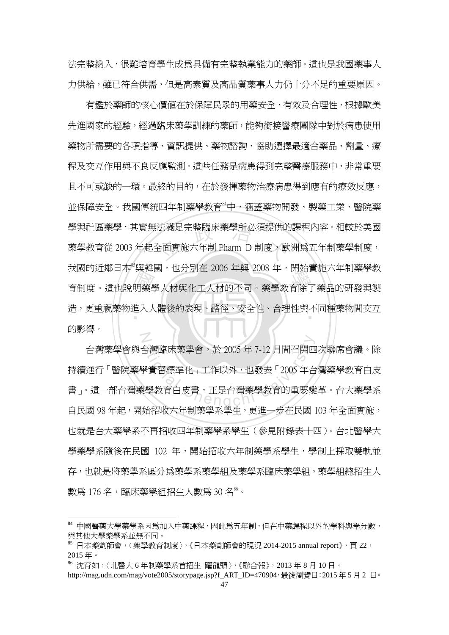法完整納入,很難培育學生成為具備有完整執業能力的藥師。這也是我國藥事人 力供給,雖已符合供需,但是高素質及高品質藥事人力仍十分不足的重要原因。

我國的近鄉日本 实辖國,也分別社 2000 平央 2006 平,開始員施八平刪案字教<br>育制度。這也說明藥學人材與化工人材的不同。藥學教育除了藥品的研發與製<br>造,更重視藥物進入人體後的表現、路徑、安全性、合理性與不同種藥物間交互 法滿足完整臨床藥學所必須提供的<br>全面實施六年制 Pharm D 制度・歐 ‧ 造,更重視藥物進入人體後的表現、路徑、安全性、合理性與不同種藥物間交互 N 有鑑於藥師的核心價值在於保障民眾的用藥安全、有效及合理性,根據歐美 先進國家的經驗,經過臨床藥學訓練的藥師,能夠銜接醫療團隊中對於病患使用 藥物所需要的各項指導、資訊提供、藥物諮詢、協助選擇最適合藥品、劑量、療 程及交互作用與不良反應監測。這些任務是病患得到完整醫療服務中,非常重要 且不可或缺的一環。最終的目的,在於發揮藥物治療病患得到應有的療效反應, 並保障安全。我國傳統四年制藥學教育<sup>84</sup>中,涵蓋藥物開發、製藥工業、醫院藥 學與社區藥學,其實無法滿足完整臨床藥學所必須提供的課程內容。相較於美國 藥學教育從 2003 年起全面實施六年制 Pharm D 制度,歐洲為五年制藥學制度, 我國的近鄰日本 $^8$ 與韓國,也分別在 2006 年與 2008 年,開始實施六年制藥學教 的影響。

会灣臨床藥學會,於 2005 年 7-12 月間召開匹<br><br>學實習標準化」工作以外,也發表「2005 年台<br>《學教育白皮書,正是台灣藥學教育的重要變 台灣藥學會與台灣臨床藥學會,於 2005 年 7-12 月間召開四次聯席會議。除 持續進行「醫院藥學實習標準化」工作以外,也發表「2005 年台灣藥學教育白皮 書」。這一部台灣藥學教育上皮書,正是台灣藥學教育的重要變革。台大藥學系 自民國 98 年起,開始招收六年制藥學系學生,更進一步在民國 103 年全面實施, 也就是台大藥學系不再招收四年制藥學系學生(參見附錄表十四)。台北醫學大 學藥學系隨後在民國 102 年,開始招收六年制藥學系學生,學制上採取雙軌並 存,也就是將藥學系區分為藥學系藥學組及藥學系臨床藥學組。藥學組總招生人 數爲 176 名,臨床藥學組招生人數爲 30 名 $^{8}$ 。

<sup>84</sup> 中國醫藥大學藥學系因為加入中藥課程,因此為五年制,但在中藥課程以外的學科與學分數, 與其他大學藥學系並無不同。

 $85$  日本藥劑師會,〈藥學教育制度〉,《日本藥劑師會的現況 2014-2015 annual report》, 頁 22, 2015 年。

<sup>86</sup> 沈育如,〈北醫大 6 年制藥學系首招生 躍龍頭〉,《聯合報》,2013 年 8 月 10 日。

http://mag.udn.com/mag/vote2005/storypage.jsp?f\_ART\_ID=470904,最後瀏覽日:2015年5月2日。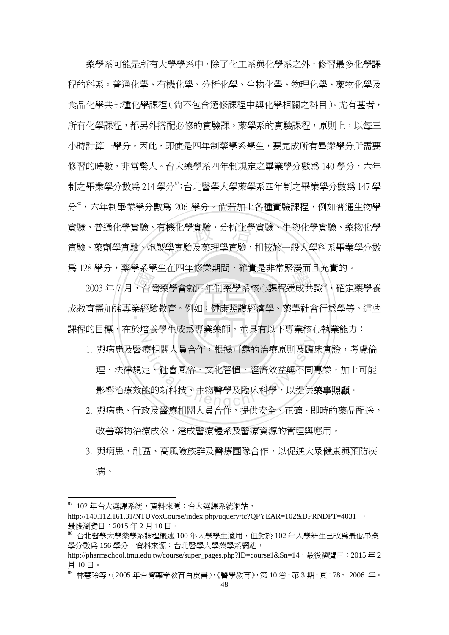實驗、普通化學實驗、有機化學實驗、分析化學實驗、生物化學實驗、藥物化學<br><br>實驗、藥劑學實驗、炮製學實驗及藥理學實驗,相較於一般大學科系畢業學分數 藥學系可能是所有大學學系中,除了化工系與化學系之外,修習最多化學課 程的科系。普通化學、有機化學、分析化學、生物化學、物理化學、藥物化學及 食品化學共七種化學課程(尚不包含選修課程中與化學相關之科目)。尤有甚者, 所有化學課程,都另外搭配必修的實驗課。藥學系的實驗課程,原則上,以每三 小時計算一學分。因此,即使是四年制藥學系學生,要完成所有畢業學分所需要 修習的時數,非常驚人。台大藥學系四年制規定之畢業學分數為 140 學分,六年 制之畢業學分數為 214 學分<sup>87</sup>;台北醫學大學藥學系四年制之畢業學分數為 147 學 分88,六年制畢業學分數為 206 學分。倘若加上各種實驗課程,例如普通生物學 實驗、藥劑學實驗、炮製學實驗及藥理學實驗,相較於一般大學科系畢業學分數 為 128 學分,藥學系學生在四年修業期間,確實是非常緊湊而且充實的。

8年),来学未学王任四平修未期間,確員定升市系接而五九員的。<br>2003年7月,台灣藥學會就四年制藥學系核心課程達成共識<sup>89</sup>,確定藥學養<br>育需加強專業經驗教育。例如:健康照護經濟學、藥學社會行爲學等。這些 ‧ 成教育需加強專業經驗教育。例如:健康照護經濟學、藥學社會行為學等。這些 N 課程的目標,在於培養學生成為專業藥師,並具有以下專業核心執業能力:

- 療相關人員合作,根據可靠的治療原則及臨<br>定、社會風俗、文化習慣、經濟效益與不同!<br>能的新科技、生物醫學及臨床科學,以提供?<br>たて醫療切問!日へ次、担供安へ、下次 1. 與病患及醫療相關人員合作,根據可靠的治療原則及臨床實證,考慮倫 理、法律規定、社會風俗、文化習慣、經濟效益與不同專業,加上可能 影響治療效能的新科技、生物醫學及臨床科學,以提供**藥事照顧**。
- 2. 與病患、行政及醫療相關人員合作,提供安全、正確、即時的藥品配送, 改善藥物治療成效,達成醫療體系及醫療資源的管理與應用。
- 3. 與病患、社區、高風險族群及醫療團隊合作,以促進大眾健康與預防疾 病。

 $87$  102 年台大選課系統,黃料來源:台大選課系統網站,

http://140.112.161.31/NTUVoxCourse/index.php/uquery/tc?QPYEAR=102&DPRNDPT=4031+, 最後瀏覽日:2015 年 2 月 10 日。

<sup>88</sup> 台北醫學大學藥學系課程概述 100 年入學學生適用,但對於 102 年入學新生已改為最低畢業 學分數為 156 學分, 資料來源: 台北醫學大學藥學系網站,

http://pharmschool.tmu.edu.tw/course/super\_pages.php?ID=course1&Sn=14,最後瀏覽日: 2015年2 月 10 日。

 $89\,$  林慧玲等,〈2005年台灣藥學教育白皮書〉,《醫學教育》,第10卷,第3期,頁178, 2006年。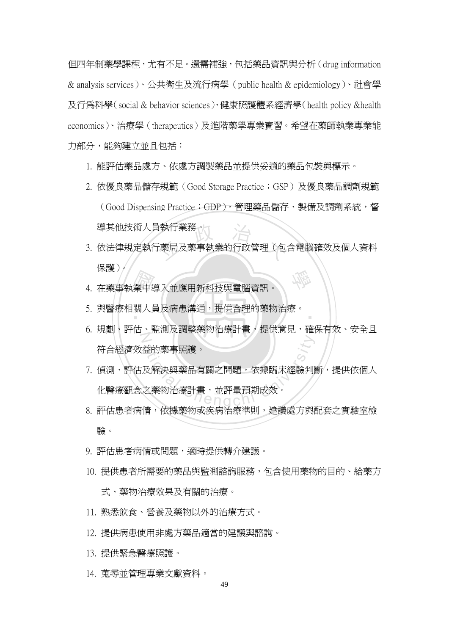但四年制藥學課程,尤有不足。還需補強,包括藥品資訊與分析(drug information & analysis services)、公共衛生及流行病學(public health & epidemiology)、社會學 及行為科學(social & behavior sciences)、健康照護體系經濟學(health policy &health economics)、治療學(therapeutics)及進階藥學專業實習。希望在藥師執業專業能 力部分,能夠建立並且包括:

- 1. 能評估藥品處方、依處方調製藥品並提供妥適的藥品包裝與標示。
- 2. 依優良藥品儲存規範 (Good Storage Practice; GSP) 及優良藥品調劑規範 (Good Dispensing Practice;GDP),管理藥品儲存、製備及調劑系統,督 導其他技術人員執行業務。
- 』執行業務。<br><br>「藥局及藥事執業的行政管理(包 學 3. 依法律規定執行藥局及藥事執業的行政管理(包含電腦確效及個人資料 保護)。
- 業中期 4. 在藥事執業中導入並應用新科技與電腦資訊。
- 5. 與醫療相關人員及病患溝通,提供合理的藥物治療。
- N 6. 規劃、評估、監測及調整藥物治療計畫,提供意見,確保有效、安全且 符合經濟效益的藥事照護。

‧

- る<br>放解決與藥品有關之問題,依據臨床經驗判<br>之藥物治療計畫,並評量預期成效。<br>之藥物治療計畫,並評量預期成效。 7. 偵測、評估及解決與藥品有關之問題,依據臨床經驗判斷,提供依個人 化醫療觀念之藥物治療計畫,並評量預期成效。
- 8. 評估患者病情,依據藥物或疾病治療準則,建議處方與配套之實驗室檢 驗。
- 9. 評估患者病情或問題,適時提供轉介建議。
- 10. 提供患者所需要的藥品與監測諮詢服務,包含使用藥物的目的、給藥方 式、藥物治療效果及有關的治療。
- 11. 熟悉飲食、營養及藥物以外的治療方式。
- 12. 提供病患使用非處方藥品適當的建議與諮詢。
- 13. 提供緊急醫療照護。
- 14. 蒐尋並管理專業文獻資料。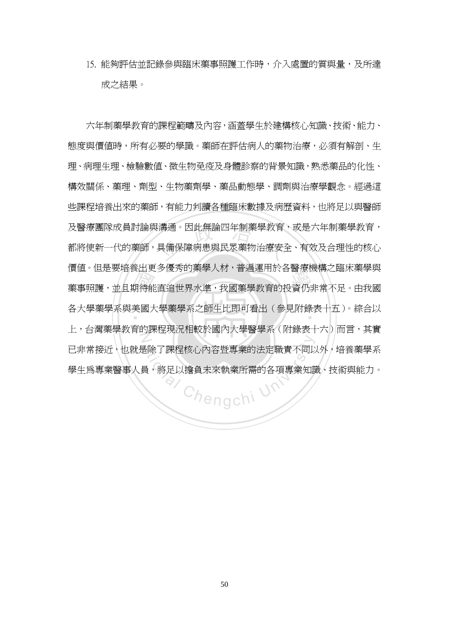15. 能夠評估並記錄參與臨床藥事照護工作時,介入處置的質與量,及所達 成之結果。

、山人<br>期待能<br>だだい !溝通。因此無論四年制藥學教育<br><br>具備保障病患與民眾藥物治療安全 <sub>頃 値・巴定安特食山丈シ度方的来字入物 - 自遍建市広台圏泉恢特に輸水来字央<br><br>藥事照護,並且期待能直追世界水準,我國藥學教育的投資仍非常不足。由我國</sub> ‧ 各大學藥學系與美國大學藥學系之師生比即可看出(參見附錄表十五)。綜合以 N 六年制藥學教育的課程範疇及內容,涵蓋學生於建構核心知識、技術、能力、 態度與價值時,所有必要的學識。藥師在評估病人的藥物治療,必須有解剖、生 理、病理生理、檢驗數值、微生物免疫及身體診察的背景知識,熟悉藥品的化性、 構效關係、藥理、劑型、生物藥劑學、藥品動態學、調劑與治療學觀念。經過這 些課程培養出來的藥師,有能力判讀各種臨床數據及病歷資料,也將足以與醫師 及醫療團隊成員討論與溝通。因此無論四年制藥學教育,或是六年制藥學教育, 都將使新一代的藥師,具備保障病患與民眾藥物治療安全、有效及合理性的核心 價值。但是要培養出更多優秀的藥學人材,普遍運用於各醫療機構之臨床藥學與 上,台灣藥學教育的課程現況相較於國內大學醫學系(附錄表十六)而言,其實 已非常接近,也就是除了課程核心內容暨專業的法定職責不同以外,培養藥學系 學生為專業醫事人員,將足以擔負未來執業所需的各項專業知識、技術與能力。

Chengchi Un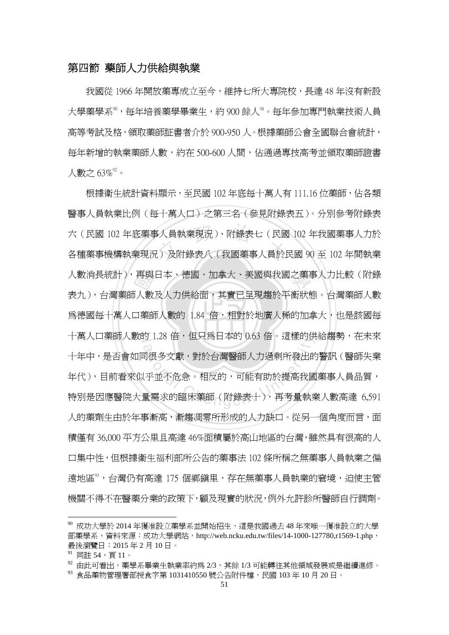#### 第四節 藥師人力供給與執業

我國從 1966 年開放藥專成立至今,維持七所大專院校,長達 48 年沒有新設 大學藥學系<sup>90</sup>,每年培養藥學畢業生,約 900 餘人<sup>91</sup>。每年參加專門執業技術人員 高等考試及格,領取藥師証書者介於 900-950 人。根據藥師公會全國聯合會統計, 每年新增的執業藥師人數,約在 500-600 人間,佔通過專技高考並領取藥師證書 人數之 63% $^{\mathrm{92}}$ 。

烏德國每十萬人口藥師人數的 1.84 倍,相對於地廣人稀的加拿大,也是該國每 再興<br>「人數<br>「薬師」 六(民國 102 年底藥事人員執業現況)、附錄表七(民國 102 年我國藥事人力於<br>各種藥事機構執業現況)及附錄表八(我國藥事人員於民國 90 至 102 年間執業 學 人數消長統計),再與日本、德國、加拿大、美國與我國之藥事人力比較(附錄 十萬人口藥師人數的 1.28 倍,但只為日本的 0.63 倍。這樣的供給趨勢,在未來 f) 1.28 倍,但只烏日本的 0.63 倍。這傢的供<br>「很多文獻,對於台灣醫師人力過剩所發出的<br>「很多文獻,對於台灣醫師人力過剩所發出的<br>「平並不危急。相反的,可能有助於提高我國<br>「聖需求的臨床藥師(附錄表十),再考量執 根據衛生統計資料顯示,至民國 102 年底每十萬人有 111.16 位藥師,佔各類 醫事人員執業比例(每十萬人口)之第三名(參見附錄表五)。分別參考附錄表 六(民國 102 年底藥事人員執業現況)、附錄表七(民國 102 年我國藥事人力於 表九),台灣藥師人數及人力供給面,其實已呈現趨於平衡狀態。台灣藥師人數 十年中,是否會如同很多文獻,對於台灣醫師人力過剩所發出的警訊(醫師失業 年代),目前看來似乎並不危急。相反的,可能有助於提高我國藥事人員品質, 特別是因應醫院大量需求的臨床藥師(附錄表十),再考量執業人數高達 6,591 人的藥劑生由於年事漸高,漸趨凋零所形成的人力缺口。從另一個角度而言,面 積僅有 36,000 平方公里且高達 46%面積屬於高山地區的台灣,雖然具有很高的人 口集中性,但根據衛生福利部所公告的藥事法 102 條所稱之無藥事人員執業之偏 遠地區93,台灣仍有高達 175 個鄉鎮里,存在無藥事人員執業的窘境,迫使主管 機關不得不在醫藥分業的政策下,顧及現實的狀況,例外允許診所醫師自行調劑。

<sup>90</sup> 成功大學於 2014 年獲准設立藥學系並開始招生,這是我國過去 48 年來唯一獲准設立的大學 部藥學系,資料來源:成功大學網站,http://web.ncku.edu.tw/files/14-1000-127780,r1569-1.php, 最後瀏覽日:2015 年 2 月 10 日。

<sup>&</sup>lt;sup>91</sup> 同註 54,頁 11。<br><sup>92</sup> 由此可看出,藥學系畢業生執業率約爲 2/3,其餘 1/3 可能轉往其他領域發展或是繼續進修。

<sup>93</sup> 食品藥物管理署部授食字第 1031410550 號公告附件檔,民國 103 年 10 月 20 日。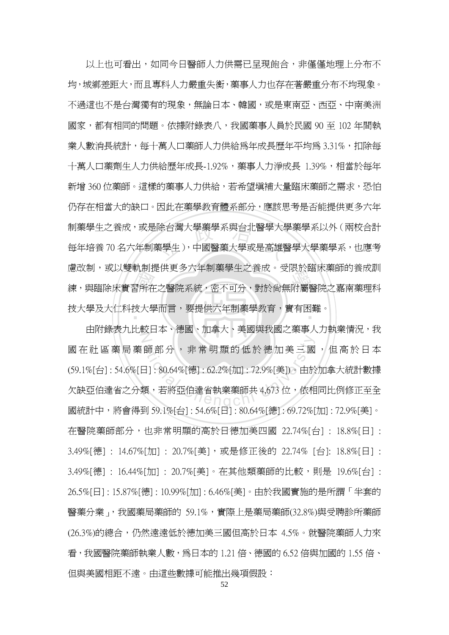。<br>習所在<br>技大學 制藥學生之養成,或是除台灣大學藥學系與台北醫學大學藥學系以外(兩校合計<br>每年培養 70 名六年制藥學生),中國醫藥大學或是高雄醫學大學藥學系,也應考 <sub>應以而,致以支<sub>制的地 医文</sub>クハ+中需字 エと食 。<br><br>練,與臨除床實習所在之醫院系統,密不可分,對於尙無附屬醫院之嘉南藥理科</sub> 技大學及大仁科技大學而言,要提供六年制藥學教育,實有困難。<br>| 以上也可看出,如同今日醫師人力供需已呈現飽合,非僅僅地理上分布不 均,城鄉差距大,而且專科人力嚴重失衡,藥事人力也存在著嚴重分布不均現象。 不過這也不是台灣獨有的現象,無論日本、韓國,或是東南亞、西亞、中南美洲 國家,都有相同的問題。依據附錄表八,我國藥事人員於民國 90 至 102 年間執 業人數消長統計,每十萬人口藥師人力供給為年成長歷年平均為 3.31%,扣除每 十萬人口藥劑生人力供給歷年成長-1.92%,藥事人力淨成長 1.39%,相當於每年 新增 360 位藥師。這樣的藥事人力供給,若希望填補大量臨床藥師之需求,恐怕 仍存在相當大的缺口。因此在藥學教育體系部分,應該思考是否能提供更多六年 每年培養 70 名六年制藥學生),中國醫藥大學或是高雄醫學大學藥學系,也應考 慮改制,或以雙軌制提供更多六年制藥學生之養成。受限於臨床藥師的養成訓

Z 師部分, 非常明顯的低於德加美三國<br>日]: 80.64%[德]: 62.2%[加]: 72.9%[美])。由於<br>類, 若將亞伯達省執業藥師共 4,673位, 依相 由附錄表九比較日本、德國、加拿大、美國與我國之藥事人力執業情況,我 國在社區藥局藥師部分,非常明顯的低於德加美三國,但高於日本 (59.1%[台] : 54.6%[日] : 80.64%[德] : 62.2%[加] : 72.9%[美])。由於加拿大統計數據 欠缺亞伯達省之分類,若將亞伯達省執業藥師共 4,673 位,依相同比例修正至全 國統計中,將會得到 59.1%[台] : 54.6%[日] : 80.64%[德] : 69.72%[加] : 72.9%[美]。 在醫院藥師部分,也非常明顯的高於日德加美四國 22.74%[台] : 18.8%[日] : 3.49%[德] : 14.67%[加] : 20.7%[美],或是修正後的 22.74% [台]: 18.8%[日] : 3.49%[德] : 16.44%[加] : 20.7%[美]。在其他類藥師的比較,則是 19.6%[台] : 26.5%[日] : 15.87%[德] : 10.99%[加] : 6.46%[美]。由於我國實施的是所謂「半套的 醫藥分業」,我國藥局藥師的 59.1%,實際上是藥局藥師(32.8%)與受聘診所藥師 (26.3%)的總合,仍然遠遠低於德加美三國但高於日本 4.5%。就醫院藥師人力來 看,我國醫院藥師執業人數,為日本的 1.21 倍、德國的 6.52 倍與加國的 1.55 倍、 但與美國相距不遠。由這些數據可能推出幾項假設:

52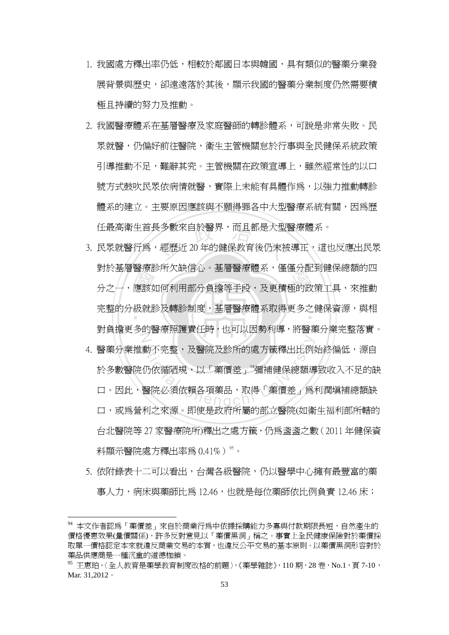- 1. 我國處方釋出率仍低,相較於鄰國日本與韓國,具有類似的醫藥分業發 展背景與歷史,卻遠遠落於其後,顯示我國的醫藥分業制度仍然需要積 極且持續的努力及推動。
- 2. 我國醫療體系在基層醫療及家庭醫師的轉診體系,可說是非常失敗。民 眾就醫,仍偏好前往醫院,衛生主管機關怠於行事與全民健保系統政策 引導推動不足,難辭其究。主管機關在政策宣導上,雖然經常性的以口 號方式鼓吹民眾依病情就醫,實際上未能有具體作為,以強力推動轉診 體系的建立。主要原因應該與不願得罪各中大型醫療系統有關,因為歷
- 到於金層會療影所入砍旧心。金層會療體來,僅僅分配到健休総确的<br>分之一,應該如何利用部分負擔等手段,及更積極的政策工具,來推動<br>完整的分級就診及轉診制度,基層醫療體系取得更多之健保資源,與相 任最高衛生首長多數來自於醫界,而且都是大型醫療體系。<br>3. 民眾就醫行為,經歷近 20 年的健保教育後仍未被導正、這也 完整的分級就診及轉診制度,基層醫療體系取得更多之健保資源,與相  $\mathbb Z$ 3. 民眾就醫行為,經歷沂 20 年的健保教育後仍未被導正、這也反應出民眾 對於基層醫療診所欠缺信心。基層醫療體系,僅僅分配到健保總額的四 對負擔更多的醫療照護責任時,也可以因勢利導,將醫藥分業完整落實。
- 、<br>動不完整,及醫院及診所的處方籤釋出比例<br>仍依循陋規,以「藥價差」<sup>9</sup>彌補健保總額導<br>醫院必須依賴各項藥品,取得「藥價差」爲 4. 醫藥分業推動不完整,及醫院及診所的處方籤釋出比例始終偏低,源自 於多數醫院仍依循陋規,以「藥價差」"彌補健保總額導致收入不足的缺 口。因此,醫院必須依賴各項藥品,取得「藥價差」為利潤填補總額缺 口,或為營利之來源。即使是政府所屬的部立醫院(如衛生福利部所轄的 台北醫院等 27 家醫療院所)釋出之處方籤,仍為盞盞之數(2011 年健保資 料顯示醫院處方釋出率爲 $0.41\%$ ) $^{\rm 95}$ 。
- 5. 依附錄表十二可以看出,台灣各級醫院,仍以醫學中心擁有最豐富的藥 事人力,病床與藥師比爲 12.46,也就是每位藥師依比例負責 12.46 床;

<sup>94</sup> 本文作者認爲「藥價差」來自於商業行爲中依據採購能力多寡與付款期限長短,自然產生的 價格優惠效果(量價關係),許多反對意見以「藥價黑洞」稱之。事實上全民健康保險對於藥價採 取單一價格認定本來就違反商業交易的本質,也違反公平交易的基本原則。以藥價黑洞形容對於 藥品供應商是一種沉重的道德枷鎖。

 $^{95}$  王惠珀,〈全人教育是藥學教育制度改格的前題〉,《藥學雜誌》,110期,28卷,No.1,頁 7-10, Mar. 31,2012。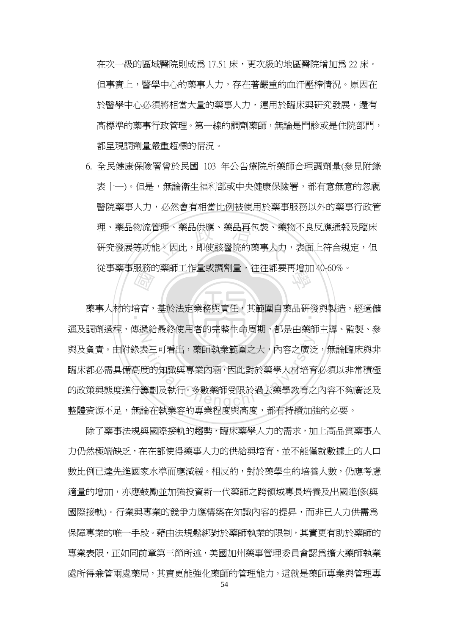在次一級的區域醫院則成為 17.51 床,更次級的地區醫院增加為 22 床。 但事實上,醫學中心的藥事人力,存在著嚴重的血汗壓榨情況。原因在 於醫學中心必須將相當大量的藥事人力,運用於臨床與研究發展,還有 高標準的藥事行政管理。第一線的調劑藥師,無論是門診或是住院部門, 都呈現調劑量嚴重超標的情況。

理、藥品物流管理、藥品供應、藥品再包裝、藥物不良反應通報及臨床<br>研究發展等功能。因此,即使該醫院的藥事人力,表面上符合規定,但 學 從事藥事服務的藥師工作量或調劑量,往往都要再增加 40-60%。 6. 全民健康保險署曾於民國 103 年公告療院所藥師合理調劑量(參見附錄 表十一)。但是,無論衛生福利部或中央健康保險署,都有意無意的忽視 醫院藥事人力,必然會有相當比例被使用於藥事服務以外的藥事行政管 研究發展等功能。因此,即使該醫院的藥事人力,表面上符合規定,但

■<br>音音, ‧ 藥事人材的培育,基於法定業務與責任,其範圍自藥品研發與製造,經過儲 N <sup>a</sup>t<sup>i</sup>ona<sup>l</sup> <sup>C</sup>hengch<sup>i</sup> <sup>U</sup>nivers<sup>i</sup>t<sup>y</sup> 運及調劑過程,傳遞給最終使用者的完整生命周期,都是由藥師主導、監製、參 與及負責。由附錄表三可看出,藥師執業範圍之大,內容之廣泛,無論臨床與非 臨床都必需具備高度的知識與專業內涵,因此對於藥學人材培育必須以非常積極 的政策與態度進行籌劃及執行。多數藥師受限於過去藥學教育之內容不夠廣泛及 整體資源不足,無論在執業容的專業程度與高度,都有持續加強的必要。

除了藥事法規與國際接軌的趨勢,臨床藥學人力的需求,加上高品質藥事人 力仍然極端缺乏,在在都使得藥事人力的供給與培育,並不能僅就數據上的人口 數比例已達先進國家水準而應減緩。相反的,對於藥學生的培養人數,仍應考慮 適量的增加,亦應鼓勵並加強投資新一代藥師之跨領域專長培養及出國進修(與 國際接軌)。行業與專業的競爭力應構築在知識內容的提昇,而非已人力供需為 保障專業的唯一手段。藉由法規鬆綁對於藥師執業的限制,其實更有助於藥師的 專業表限,正如同前章第三節所述,美國加州藥事管理委員會認為擴大藥師執業 處所得兼管兩處藥局,其實更能強化藥師的管理能力。這就是藥師專業與管理專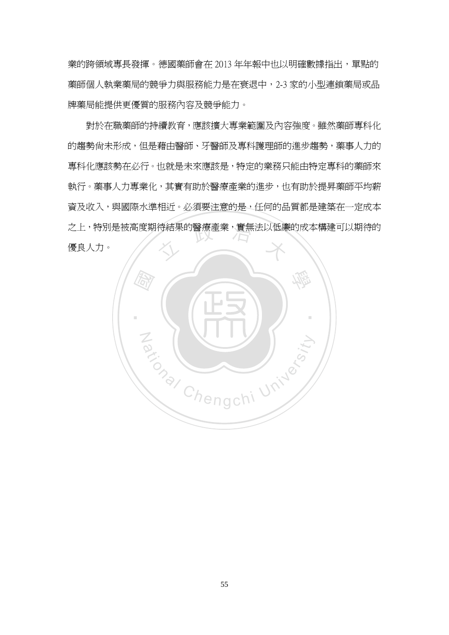業的跨領域專長發揮。德國藥師會在 2013 年年報中也以明確數據指出,單點的 藥師個人執業藥局的競爭力與服務能力是在衰退中,2-3 家的小型連鎖藥局或品 牌藥局能提供更優質的服務內容及競爭能力。

之上,特別是被高度期待結果的醫療產業,實無法以低廉的成本構建可以期待的<br>優良人力。<br> 對於在職藥師的持續教育,應該擴大專業範圍及內容強度。雖然藥師專科化 的趨勢尙未形成,但是藉由醫師、牙醫師及專科護理師的進步趨勢,藥事人力的 專科化應該勢在必行。也就是未來應該是,特定的業務只能由特定專科的藥師來 執行。藥事人力專業化,其實有助於醫療產業的進步,也有助於提昇藥師平均薪 資及收入,與國際水準相近。必須要注意的是,任何的品質都是建築在一定成本 優良人力。

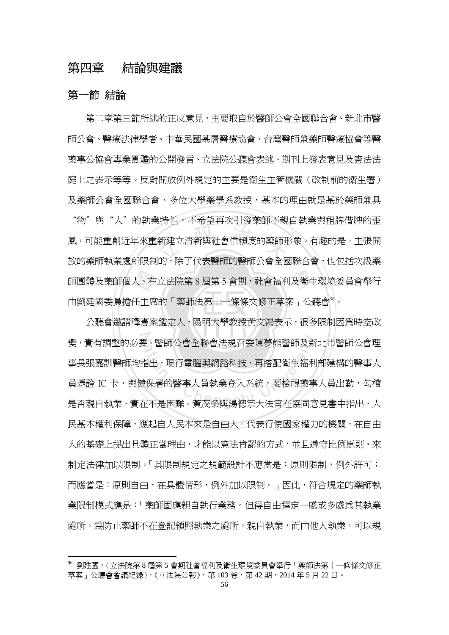### 第四章 結論與建議

#### 第一節 結論

 $\overline{a}$ 

人。在<br>任主<br>釋憲案 、131上 - 1315年119人5月及米郎 1920<br>新建立清新與社會信賴度的藥師<br>[的, 险了代実毆師的毆師八命全同 學 師團體及藥師個人。在立法院第 8 屆第 5 會期,社會福利及衛生環境委員會舉行 第二章第三節所述的正反意見,主要取自於醫師公會全國聯合會、新北市醫 師公會、醫療法律學者、中華民國基層醫療協會、台灣醫師兼藥師醫療協會等醫 藥事公協會專業團體的公開發言、立法院公聽會表述、期刊上發表意見及憲法法 庭上之表示等等。反對開放例外規定的主要是衛生主管機關(改制前的衛生署) 及藥師公會全國聯合會、多位大學藥學系教授,基本的理由就是基於藥師兼具 "物" 與"人"的執業特性,不希望再次引發藥師不親自執業與和牌借牌的否 風,可能重創近年來重新建立清新與社會信賴度的藥師形象。有趣的是,主張開 放的藥師執業處所限制的,除了代表醫師的醫師公會全國聯合會,也包括次級藥 由劉建國委員擔任主席的「藥師法第十一條條文修正草案」公聽會 $^{\circ}$ 。

‧‧ 變,實有調整的必要。醫師公會全聯會法規召委陳夢熊醫師及新北市醫師公會理<br>事長張嘉訓醫師均指出,現行電腦與網路科技,再搭配衛生福利部建構的醫事人<br>員憑證 IC 卡,與健保署的醫事人員執業登入系統,要檢視藥事人員出勤,勾稽<br>是否親自執業,實在不是困難。黃茂榮與湯德宗大法官在協同意見書中指出,人 公聽會邀請釋憲案鑑定人,陽明大學教授黃文鴻表示,很多限制因為時空改 事長張嘉訓醫師均指出,現行電腦與網路科技,再搭配衛生福利部建構的醫事人 員憑證 IC 卡,與健保署的醫事人員執業登入系統,要檢視藥事人員出勤,勾稽 是否親自執業,實在不是困難。黃茂榮與湯德宗大法官在協同意見書中指出,人 民基本權利保障,應起自人民本來是自由人。代表行使國家權力的機關,在自由 人的基礎上提出具體正當理由,才能以憲法肯認的方式,並且遵守比例原則,來 制定法律加以限制。「其限制規定之規範設計不應當是:原則限制,例外許可; 而應當是:原則自由,在具體情形,例外加以限制。」因此,符合規定的藥師執 業限制模式應是:「藥師固應親自執行業務。但得自由擇定一處或多處為其執業 處所。為防止藥師不在登記領照執業之處所,親自執業,而由他人執業,可以規

<sup>96</sup> 劉建國,〈立法院第 8 屆第 5 會期社會福利及衛生環境委員會舉行「藥師法第十一條條文修正 草案」公聽會會議紀錄〉,《立法院公報》,第103卷,第42期,2014年5月22日。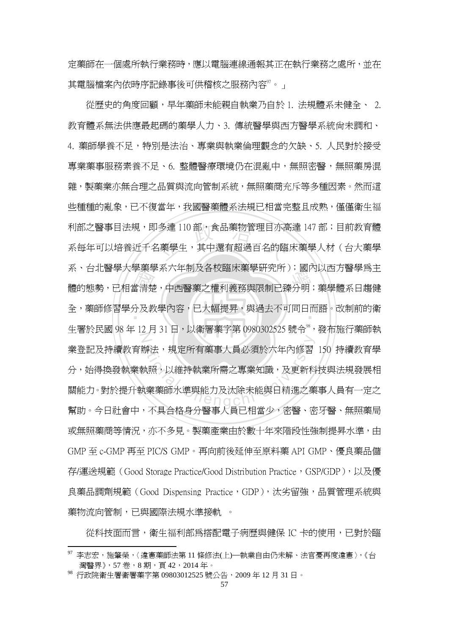定藥師在一個處所執行業務時,應以電腦連線通報其正在執行業務之處所,並在 其電腦檔案內依時序記錄事後可供稽核之服務內容<sup>97</sup>。」

ポ 日北<del>國字八字案字示八中而</del>及在夜輪水案字町先所), 國內以四力會字為王<br>體的態勢,已相當清楚,中西醫藥之權利義務與限制已臻分明;藥學體系日趨健<br>全, 藥師修習學分及教學內容, 已大幅提昇, 與過去不可同日而語。改制前的衛 利部之醫事目法規,即多達 110 部,食品藥物管理目亦高達 147 部;目前教育體<br>系每年可以培養近千名藥學生,其中還有超過百名的臨床藥學人材(台大藥學 ‧ 全,藥師修習學分及教學內容,已大幅提昇,與過去不可同日而語。改制前的衛 N <sup>a</sup>t<sup>i</sup>ona<sup>l</sup> <sup>C</sup>hengch<sup>i</sup> <sup>U</sup>nivers<sup>i</sup>t<sup>y</sup> 從歷史的角度回顧,早年藥師未能親自執業乃自於 1. 法規體系未健全、 2. 教育體系無法供應最起碼的藥學人力、3. 傳統醫學與西方醫學系統尚未調和、 4. 藥師學養不足,特別是法治、專業與執業倫理觀念的欠缺、5. 人民對於接受 專業藥事服務素養不足、6. 整體醫療環境仍在混亂中,無照密醫,無照藥房混 雜,製藥業亦無合理之品質與流向管制系統,無照藥商充斥等多種因素。然而這 些種種的亂象,已不復當年,我國醫藥體系法規已相當完整且成熟,僅僅衛生福 系每年可以培養近千名藥學生,其中還有超過百名的臨床藥學人材(台大藥學 系、台北醫學大學藥學系六年制及各校臨床藥學研究所);國內以西方醫學為主 牛署於民國 98年 12月 31日,以衛署藥字第 0980302525 號令<sup>8</sup>,發布施行藥師執 業登記及持續教育辦法,規定所有藥事人員必須於六年內修習 150 持續教育學 分,始得換發執業執照,以維持執業所需之專業知識,及更新科技與法規發展相 關能力。對於提升執業藥師水準與能力及汰除未能與日精進之藥事人員有一定之 幫助。今日社會中,不具合格身分醫事人員已相當少,密醫、密牙醫、無照藥局 或無照藥商等情況,亦不多見。製藥產業由於數十年來階段性強制提昇水準,由 GMP 至 c-GMP 再至 PIC/S GMP。再向前後延伸至原料藥 API GMP、優良藥品儲 存/運送規範 (Good Storage Practice/Good Distribution Practice, GSP/GDP), 以及優 良藥品調劑規範 (Good Dispensing Practice,GDP),汰劣留強,品質管理系統與 藥物流向管制,已與國際法規水準接軌 。

從科技面而言,衛生福利部為搭配電子病歷與健保 IC 卡的使用,已對於臨

<sup>97</sup> 李志宏,施肇榮,〈違憲藥師法第 11 條修法(上)─執業自由仍未解、法官憂再度違憲〉,《台 灣醫界》, 57 卷, 8 期, 百 42, 2014年。

<sup>98</sup> 行政院衛生署衛署藥字第 09803012525 號公告,2009 年 12 月 31 日。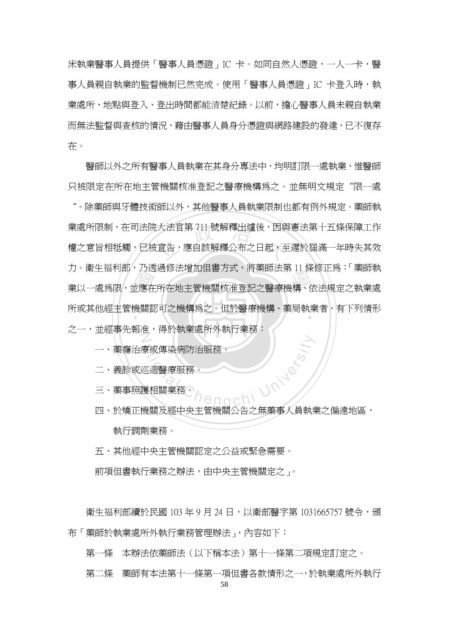床執業醫事人員提供「醫事人員憑證」IC 卡。如同自然人憑證,一人一卡,醫 事人員親自執業的監督機制已然完成。使用「醫事人員憑證」IC 卡登入時,執 業處所、地點與登入、登出時間都能清楚紀錄。以前,擔心醫事人員未親自執業 而無法監督與查核的情況,藉由醫事人員身分憑證與網路建設的發達,已不復存 在。

了<br>一應在<br>微關認 大法官第 711 號解釋出爐後,因與<br>宣告,應自該解釋公布之日起,至 フ・南王福智的?力返廻修仏宿加邑貴力式?府来師仏弟 II 床修正局・ 来師教<br>業以一處爲限,並應在所在地主管機關核准登記之醫療機構、依法規定之執業處 所或其他經主管機關認可之機構爲之。但於醫療機構、藥局執業者,有下列情形<br>-N 醫師以外之所有醫事人員執業在其身分專法中,均明訂限一處執業,惟醫師 只被限定在所在地主管機關核准登記之醫療機構為之。並無明文規定"限一處 "。除藥師與牙體技術師以外,其他醫事人員執業限制也都有例外規定。藥師執 業處所限制, 在司法院大法官第 711 號解釋出爐後, 因與憲法第十五條保障工作 權之意旨相牴觸,已被宣告,應自該解釋公布之日起,至遲於屆滿一年時失其效 力。衛生福利部,乃透過修法增加但書方式,將藥師法第 11 條修正為:「藥師執 之一,並經事先報准,得於執業處所外執行業務:

- 一、藥癮治療或傳染病防治服務。
- 二、義診或巡迴醫療服務。
- 三、藥事照護相關業務。
- Chi University 四、於矯正機關及經中央主管機關公告之無藥事人員執業之偏遠地區, 執行調劑業務。
- 五、其他經中央主管機關認定之公益或緊急需要。

前項但書執行業務之辦法,由中央主管機關定之」。

衛生福利部續於民國 103 年 9 月 24 日,以衛部醫字第 1031665757 號令,頒 布「藥師於執業處所外執行業務管理辦法」,內容如下:

第一條 本辦法依藥師法(以下稱本法)第十一條第二項規定訂定之。

第二條 藥師有本法第十一條第一項但書各款情形之一,於執業處所外執行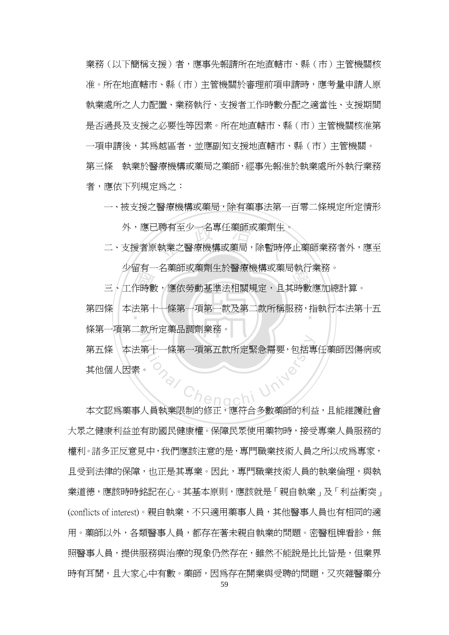業務(以下簡稱支援)者,應事先報請所在地直轄市、縣(市)主管機關核 准。所在地直轄市、縣(市)主管機關於審理前項申請時,應考量申請人原 執業處所之人力配置、業務執行、支援者工作時數分配之適當性、支援期間 是否過長及支援之必要性等因素。所在地直轄市、縣(市)主管機關核准第 一項申請後,其為越區者,並應副知支援地直轄市、縣(市)主管機關。 第三條 執業於醫療機構或藥局之藥師,經事先報准於執業處所外執行業務 者,應依下列規定為之:

一、被支援之醫療機構或藥局,除有藥事法第一百零二條規定所定情形

外,應已聘有至少一名專任藥師或藥劑生。

!聘有至少一名專任藥師或藥劑生<br>執業之醫療機構或藥局,除暫時停 二、支援者原執業之醫療機構或藥局,除暫時停止藥師業務者外,應至 少留有一名藥師或藥劑生於醫療機構或藥局執行業務。

ッ<br>ローコントの<br>ニーエ作時數,應依勞動基準法相關規定,且其時數應加總計算。

一作時數<br>作時第二章 第四條 本法第十一條第一項第一款及第二款所稱服務,指執行本法第十五<br>————————————————————  $\overline{Z}$ 條第一項第二款所定藥品調劑業務。

<sup>a</sup>t<sup>i</sup>ona<sup>l</sup> <sup>C</sup>hengch<sup>i</sup> <sup>U</sup>nivers<sup>i</sup>t<sup>y</sup> 第五條 本法第十一條第一項第五款所定緊急需要,包括專任藥師因傷病或 其他個人因素。

本文認為藥事人員執業限制的修正,應符合多數藥師的利益,且能維護社會 大眾之健康利益並有助國民健康權。保障民眾使用藥物時,接受專業人員服務的 權利。諸多正反意見中,我們應該注意的是,專門職業技術人員之所以成為專家, 日受到法律的保障,也正是其專業。因此,專門職業技術人員的執業倫理,與執 業道德,應該時時銘記在心。其基本原則,應該就是「親自執業」及「利益衝突」 (conflicts of interest)。親自執業,不只適用藥事人員,其他醫事人員也有相同的適 用。藥師以外,各類醫事人員,都存在著未親自執業的問題。密醫和牌看診,無 照醫事人員,提供服務與治療的現象仍然存在,雖然不能說是比比皆是,但業界 時有耳聞,日大家心中有數。藥師,因爲存在開業與受聘的問題,又夾雜醫藥分

59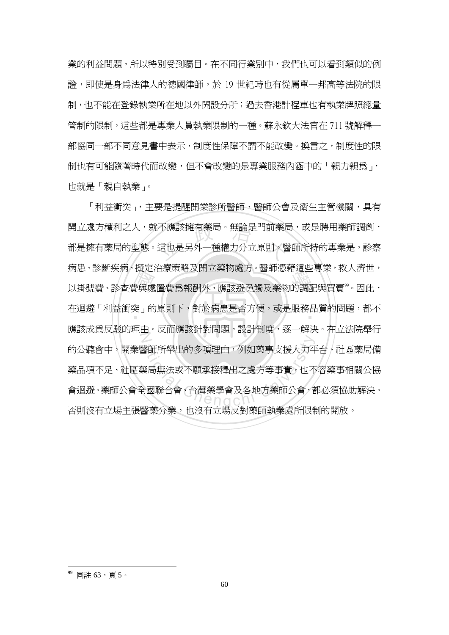業的利益問題,所以特別受到矚目。在不同行業別中,我們也可以看到類似的例 證,即使是身為法律人的德國律師,於 19 世紀時也有從屬單一邦高等法院的限 制,也不能在登錄執業所在地以外開設分所;過去香港計程車也有執業牌照總量 管制的限制,這些都是專業人員執業限制的一種。蘇永欽大法官在 711 號解釋一 部協同一部不同意見書中表示,制度性保障不謂不能改變。換言之,制度性的限 制也有可能隨著時代而改變,但不會改變的是專業服務內涵中的「親力親爲」, 也就是「親自執業」。

 國 :不應該擁有藥局。無論是門前藥局<br>這也是另外一種權力分立原則。 <sub>内志・矽剛大内・斑足向源來帽及開立案初處力、罾帥窓相迫三寻来、<br><br>以掛號費、診査費與處置費爲報酬外,應該避免觸及藥物的調配與買賣<sup>99</sup>。因此,</sub> ‧ 在迴避「利益衝突」的原則下,對於病患是否方便,或是服務品質的問題,都不 Z ■<br>全国無法或不願承接釋出之處方等事實,也不<br>全國聯合會、台灣藥學會及各地方藥師公會,<br>全國聯合會、台灣藥學會及各地方藥師公會, 「利益衝突」,主要是提醒開業診所醫師、醫師公會及衛生主管機關,具有 開立處方權利之人,就不應該擁有藥局。無論是門前藥局,或是聘用藥師調劑, 都是擁有藥局的型態。這也是另外一種權力分立原則。醫師所持的專業是,診察 病患、診斷疾病、擬定治療策略及開立藥物處方。醫師憑藉這些專業,救人濟世, 應該成為反駁的理由。反而應該針對問題,設計制度,逐一解決。在立法院舉行 的公聽會中,開業醫師所舉出的多項理由,例如藥事支援人力平台、社區藥局備 藥品項不足、社區藥局無法或不願承接釋出之處方等事實,也不容藥事相關公協 會迴避。藥師公會全國聯合會、台灣藥學會及各地方藥師公會,都必須協助解決。 否則沒有立場主張醫藥分業,也沒有立場反對藥師執業處所限制的開放。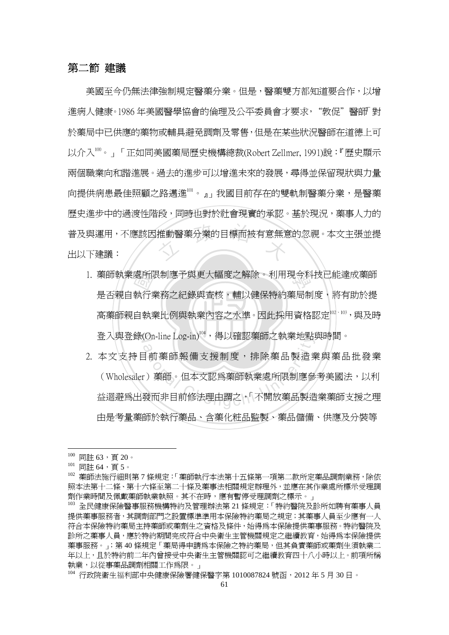#### 第二節 建議

<sup>立</sup> <sup>政</sup> <sup>治</sup> <sup>大</sup> 美國至今仍無法律強制規定醫藥分業。但是,醫藥雙方都知道要合作,以增 進病人健康。1986年美國醫學協會的倫理及公平委員會才要求,"敦促"醫師「對 於藥局中已供應的藥物或輔具避免調劑及零售,但是在某些狀況醫師在道德上可 以介入100。」「正如同美國藥局歷史機構總裁(Robert Zellmer, 1991)說:『歷史顯示 兩個職業向和諧進展。過去的進步可以增進未來的發展,尋得並保留現狀與力量 向提供病患最佳照顧之路邁進 $^{\text{\tiny{[0]}}}$ 。』我國目前存在的雙軌制醫藥分業,是醫藥 歷史進步中的過渡性階段,同時也對於社會現實的承認。基於現況,藥事人力的 普及與運用,不應該因推動醫藥分業的目標而被有意無意的忽視。本文主張並提 出以下建議:

- ‧處所附<br>執行<br>自執 1. 藥師執業處所限制應予與更大幅度之解除。利用現今科技已能達成藥師 高藥師親自執業比例與執業內容之水準。因此採用資格認定 $^{\text{lo2}}$   $^{\text{lo3}}$  , 與及時 登入與登錄(On-line Log-in) $^{\text{104}}$ ,得以確認藥師之執業地點與時間。 是否親自執行業務之紀錄與查核,輔以健保特約藥局制度,將有助於提
- (On-line Log-in) ,侍以帷認衆即之執耒地點<br>「前藥師報備支援制度,排除藥品製造身<br>「前藥師報備支援制度,排除藥品製造<br><br>發而非目前修法理由謂之,「不開放藥品製造 2. 本文支持目前藥師報備支援制度,排除藥品製造業與藥品批發業 (Wholesaler)藥師。但本文認為藥師執業處所限制應參考美國法,以利 益迴避為出發而非目前修法理由謂之,「不開放藥品製造業藥師支援之理 由是考量藥師於執行藥品、含藥化粧品監製、藥品儲備、供應及分裝等

 $100$  同註 63,頁 20。

<sup>101</sup> 同註 64,頁 5。

<sup>102</sup> 藥師法施行細則第 7 條規定:「藥師執行本法第十五條第一項第二款所定藥品調劑業務,除依 照本法第十二條、第十六條至第二十條及藥事法相關規定辦理外,並應在其作業處所標示受理調 劑作業時間及佩戴藥師執業執照。其不在時,應有暫停受理調劑之標示。」

<sup>103</sup> 全民健康保險醫事服務機構特約及管理辦法第 21 條規定:「特約醫院及診所如聘有藥事人員 提供藥事服務者,其調劑部門之設置標準準用本保險特約藥局之規定;其藥事人員至少應有一人 符合本保險特約藥局主持藥師或藥劑生之資格及條件,始得為本保險提供藥事服務。特約醫院及 診所之藥事人員,應於特約期間完成符合中央衛生主管機關規定之繼續教育,始得為本保險提供 藥事服務。」;第 40 條規定「藥局得申請為本保險之特約藥局,但其負責藥師或藥劑生須執業二 年以上,且於特約前二年內曾接受中央衛生主管機關認可之繼續教育四十八小時以上。前項所稱 執業,以從事藥品調劑相關工作為限。」

<sup>104</sup> 行政院衛生福利部中央健康保險署健保醫字第 1010087824 號函, 2012 年 5 月 30 日。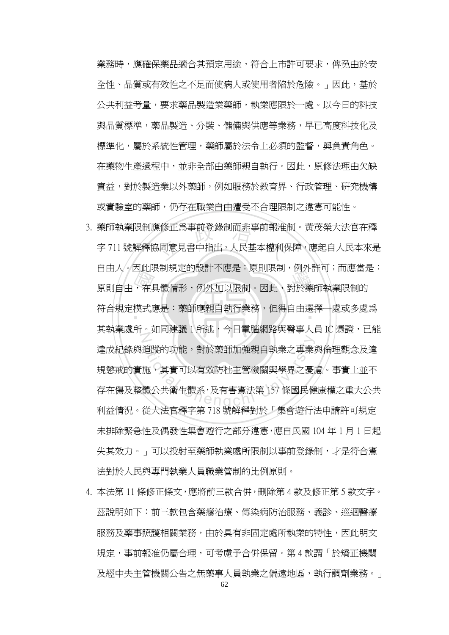業務時,應確保藥品滴合其預定用涂,符合上市許可要求,俾免由於安 全性、品質或有效性之不足而使病人或使用者陷於危險。」因此,基於 公共利益考量,要求藥品製造業藥師,執業應限於一處。以今日的科技 與品質標準,藥品製造、分裝、儲備與供應等業務,早已高度科技化及 標準化,屬於系統性管理,藥師屬於法令上必須的監督,與負責角色。 在藥物生產過程中,並非全部由藥師親自執行。因此,原修法理由欠缺 實益,對於製造業以外藥師,例如服務於教育界、行政管理、研究機構 或實驗室的藥師,仍存在職業自由遭受不合理限制之違憲可能性。

- "真人"<br>「在大人" <sup>.</sup><br>修正爲事前登錄制而非事前報准<br><mark>。同意見書中指出,人民基本權利</mark> 日田八,凶武政制死足的政計不應定,床則政刑,例不計当,而應由<br>原則自由,在具體情形,例外加以限制。因此,對於藥師執業限制的 符合規定模式應是:藥師應親自執行業務,但得自由選擇一處或多處為 N を通りている。<br>通りは、對於藥師加強親自執業之專業<br>施り其實可以有效防杜主管機關與學界之憂<br>體公共衛生體系,及有害憲法第 157 條國民健<br>《公共定體定答 710 時智體點於「焦合進行 3. 藥師執業限制應修正為事前登錄制而非事前報准制。黃茂榮大法官在釋 字 711 號解釋協同意見書中指出,人民基本權利保障,應起自人民本來是 自由人。因此限制規定的設計不應是:原則限制,例外許可;而應當是: — 其執業處所。如同建議 1 所述,今日電腦網路與醫事人員 IC 憑證,已能 達成紀錄與追蹤的功能,對於藥師加強親自執業之專業與倫理觀念及違 規懲戒的實施,其實可以有效防杜主管機關與學界之憂慮。事實上並不 存在傷及整體公共衛生體系,及有害憲法第 157 條國民健康權之重大公共 利益情況。從大法官釋字第 718 號解釋對於「集會遊行法申請許可規定 未排除緊急性及偶發性集會遊行之部分違憲,應自民國 104 年 1 月 1 日起 失其效力。」可以投射至藥師執業處所限制以事前登錄制,才是符合憲 法對於人民與專門執業人員職業管制的比例原則。
- 4. 本法第 11 條修正條文,應將前三款合倂,刪除第 4 款及修正第 5 款文字。 茲說明如下:前三款包含藥癮治療、傳染病防治服務、義診、巡迴醫療 服務及藥事照護相關業務,由於具有非固定處所執業的特性,因此明文 規定,事前報准仍屬合理,可考慮予合併保留。第4款謂「於矯正機關 及經中央主管機關公告之無藥事人員執業之偏遠地區,執行調劑業務。」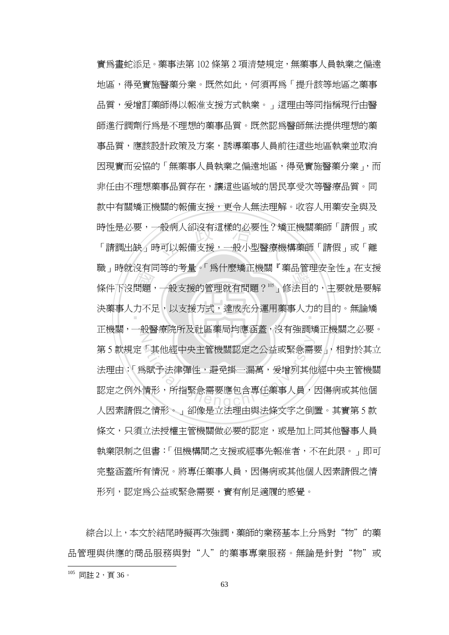城」 時況及日向寺的与重。 為自家病正候論 《秦品旨生女主任』 社文及<br>條件下沒問題,一般支援的管理就有問題? <sup>105</sup>」 修法目的,主要就是要解<br>決藥事人力不足,以支援方式,達成充分運用藥事人力的目的。 無論矯 -般病人卻沒有這樣的必要性?矯<br><br><br><br>「可以報備支援,一般小型醫療機 決藥事人力不足,以支援方式,達成充分運用藥事人力的目的。無論矯  $\sum$ 、其他經中央主管機關認定之公益或緊急需<br><br>3賦予法律彈性,避免掛一漏萬,爰增列其他<br>情形,所指緊急需要應包含專任藥事人員,<br>4時で、《四位員士法理士與法族大宮大衆 實為畫蛇添足。藥事法第 102 條第 2 項清楚規定,無藥事人員執業之偏遠 地區,得免實施醫藥分業。既然如此,何須再為「提升該等地區之藥事 品質,爱增訂藥師得以報准支援方式執業。」這理由等同指稱現行由醫 師進行調劑行為是不理想的藥事品質。既然認為醫師無法提供理想的藥 事品質,應該設計政策及方案,誘導藥事人員前往這些地區執業並取消 因現實而妥協的「無藥事人員執業之偏遠地區,得免實施醫藥分業」,而 非任由不理想藥事品質存在,讓這些區域的居民享受次等醫療品質。同 款中有關矯正機關的報備支援,更令人無法理解。收容人用藥安全與及 時性是必要,一般病人卻沒有這樣的必要性?矯正機關藥師「請假」或 「請調出缺」時可以報備支援,一般小型醫療機構藥師「請假」或「離 職」時就沒有同等的考量。「為什麼矯正機關『藥品管理安全性』在支援 正機關,一般醫療院所及社區藥局均應涵蓋,沒有強調矯正機關之必要。 第 5 款規定「其他經中央主管機關認定之公益或緊急需要」, 相對於其立 法理由:「為賦予法律彈性,避免掛一漏萬,爰增列其他經中央主管機關 認定之例外情形,所指緊急需要應包含專任藥事人員,因傷病或其他個 人因素請假之情形。」卻像是立法理由與法條文字之倒置。其實第 5 款 條文,只須立法授權主管機關做必要的認定,或是加上同其他醫事人員 執業限制之但書:「但機構間之支援或經事先報准者,不在此限。」即可 完整涵蓋所有情況。將專任藥事人員,因傷病或其他個人因素請假之情 形列,認定為公益或緊急需要,實有削足適履的感覺。

綜合以上,本文於結尾時擬再次強調,藥師的業務基本上分爲對"物"的藥 品管理與供應的商品服務與對"人"的藥事專業服務。無論是針對"物"或

 $105$  同註 2, 百 36。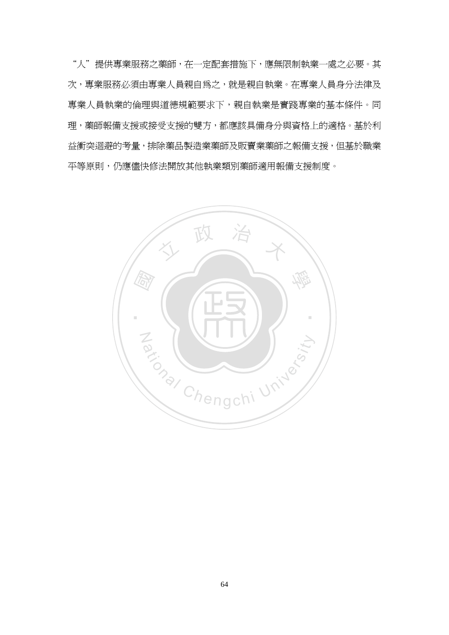"人"提供專業服務之藥師,在一定配套措施下,應無限制執業一處之必要。其 次,專業服務必須由專業人員親自為之,就是親自執業。在專業人員身分法律及 專業人員執業的倫理與道德規範要求下,親自執業是實踐專業的基本條件。同 理,藥師報備支援或接受支援的雙方,都應該具備身分與資格上的適格。基於利 益衝突迴避的考量,排除藥品製造業藥師及販賣業藥師之報備支援,但基於職業 平等原則,仍應儘快修法開放其他執業類別藥師適用報備支援制度。

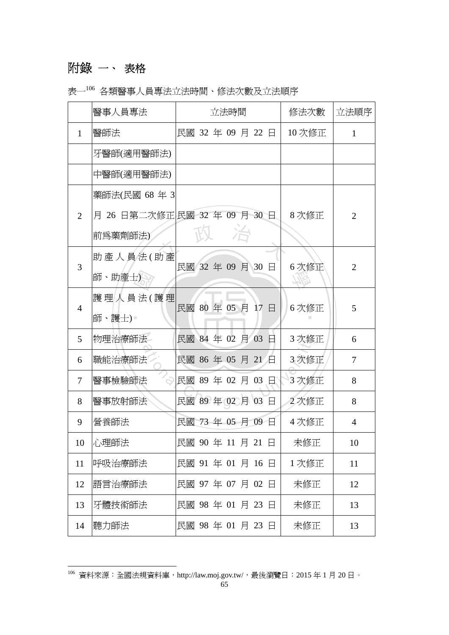# 附錄 一、 表格

 $\overline{a}$ 

|  |  |  |  | 表一 <sup>106</sup> 各類醫事人員專法立法時間、修法次數及立法順序 |
|--|--|--|--|------------------------------------------|
|--|--|--|--|------------------------------------------|

|                | 醫事人員專法                        | 立法時間              |  |  |  |  | 修法次數 | 立法順序                 |                |
|----------------|-------------------------------|-------------------|--|--|--|--|------|----------------------|----------------|
| $\mathbf{1}$   | 醫師法                           | 民國 32 年 09 月 22 日 |  |  |  |  |      | $10 \times \times E$ | 1              |
|                | 牙醫師(適用醫師法)                    |                   |  |  |  |  |      |                      |                |
|                | 中醫師(適用醫師法)                    |                   |  |  |  |  |      |                      |                |
|                | 藥師法(民國 68年 3                  |                   |  |  |  |  |      |                      |                |
| 2              | 月 26 日第二次修正 民國 32 年 09 月 30 日 |                   |  |  |  |  |      | 8次修正                 | $\overline{2}$ |
|                | 前爲藥劑師法)                       |                   |  |  |  |  |      |                      |                |
| 3              | 助產人員法(助產                      | 民國 32年 09月 30日    |  |  |  |  |      | 6次修正                 | $\overline{2}$ |
|                | 師、助產士)                        |                   |  |  |  |  |      |                      |                |
| $\overline{4}$ | 護理人員法(護理                      | 民國 80 年 05 月 17 日 |  |  |  |  |      | 6次修正                 | 5              |
|                | 師、護士)■                        |                   |  |  |  |  |      |                      |                |
| 5              | 物理治療師法                        | 民國 84 年 02 月 03   |  |  |  |  | E.   | 3次修正                 | 6              |
| 6              | 職能治療師法                        | 民國 86 年 05 月 21 日 |  |  |  |  |      | 3次修正                 | $\overline{7}$ |
| $\tau$         | 醫事檢驗師法                        | 民國 89年 02月 03日    |  |  |  |  |      | 3次修正                 | 8              |
| 8              | 醫事放射師法                        | 民國 89年 02月 03     |  |  |  |  | 日    | 2次修正                 | 8              |
| 9              | 營養師法                          | 民國 73 年 05 月 09 日 |  |  |  |  |      | 4次修正                 | 4              |
| 10             | 心理師法                          | 民國 90年 11月 21日    |  |  |  |  |      | 未修正                  | 10             |
| 11             | 呼吸治療師法                        | 民國 91 年 01 月 16 日 |  |  |  |  |      | 1次修正                 | 11             |
| 12             | 語言治療師法                        | 民國 97 年 07 月 02 日 |  |  |  |  |      | 未修正                  | 12             |
| 13             | 牙體技術師法                        | 民國 98年 01月 23日    |  |  |  |  |      | 未修正                  | 13             |
| 14             | 聽力師法                          | 民國 98年 01月 23日    |  |  |  |  |      | 未修正                  | 13             |

 $^{106}$  資料來源:全國法規資料庫,http://law.moj.gov.tw/,最後瀏覽日:2015 年 1 月 20 日。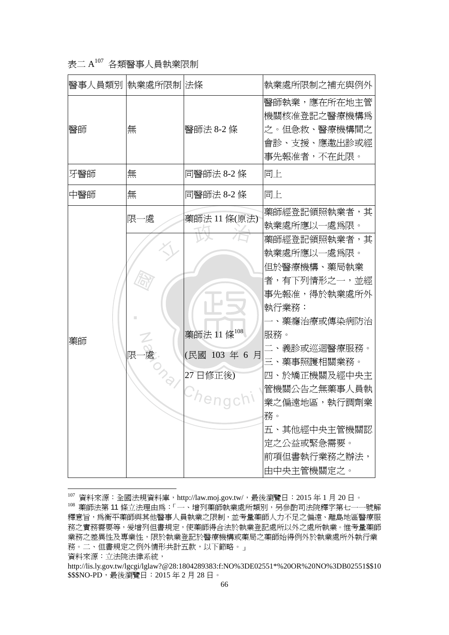## 表二 A107 各類醫事人員執業限制

|     | 醫事人員類別  執業處所限制 法條 |                                            | 執業處所限制之補充與例外                                                                                                                                                                                                                                              |
|-----|-------------------|--------------------------------------------|-----------------------------------------------------------------------------------------------------------------------------------------------------------------------------------------------------------------------------------------------------------|
| 醫師  | 無                 | 醫師法 8-2 條                                  | 醫師執業,應在所在地主管<br>機關核准登記之醫療機構爲<br>之。但急救、醫療機構間之<br>會診、支援、應邀出診或經<br>事先報准者,不在此限。                                                                                                                                                                               |
| 牙醫師 | 無                 | 同醫師法 8-2 條                                 | 同上                                                                                                                                                                                                                                                        |
| 中醫師 | 無                 | 同醫師法 8-2 條                                 | 同上                                                                                                                                                                                                                                                        |
|     | 限一處               | 藥師法 11 條(原法)                               | 藥師經登記領照執業者,其<br>執業處所應以一處爲限。                                                                                                                                                                                                                               |
| 藥師  | Z<br>處<br>限       | 藥師法 11條 $^{108}$<br>(民國 103年6月<br>27 日修正後) | 藥師經登記領照執業者,其<br>執業處所應以一處爲限。<br>但於醫療機構、藥局執業<br>者,有下列情形之一,並經<br>事先報准,得於執業處所外<br>執行業務:<br>藥癮治療或傳染病防治<br>服務。<br>二、義診或巡迴醫療服務。<br>三、藥事照護相關業務。<br>四、於矯正機關及經中央主<br>管機關公告之無藥事人員執<br>業之偏遠地區,執行調劑業<br>務。<br>五、其他經中央主管機關認<br>定之公益或緊急需要。<br>前項但書執行業務之辦法,<br>由中央主管機關定之。 |

 $^{107}$  資料來源:全國法規資料庫,http://law.moj.gov.tw/,最後瀏覽日:2015 年 1 月 20 日。 108 藥師法第 11 條立法理由為:「一、增列藥師執業處所類別,另參酌司法院釋字第七一一號解 釋意旨,為衡平藥師與其他醫事人員執業之限制,並考量藥師人力不足之偏遠、離島地區醫療服 務之實務需要等,爱增列但書規定,使藥師得合法於執業登記處所以外之處所執業。惟考量藥師 業務之差異性及專業性,限於執業登記於醫療機構或藥局之藥師始得例外於執業處所外執行業 務。二、但書規定之例外情形共計五款,以下節略。」

資料來源:立法院法律系統,

http://lis.ly.gov.tw/lgcgi/lglaw?@28:1804289383:f:NO%3DE02551\*%20OR%20NO%3DB02551\$\$10  $$$ \$\$NO-PD,最後瀏覽日: 2015年2月28日。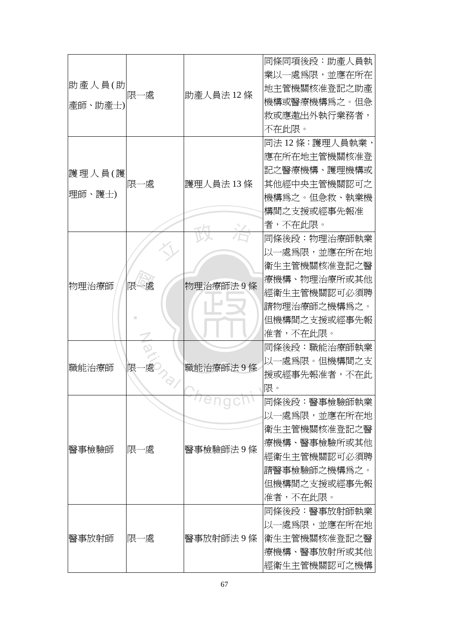|         |     |  |              | 同條同項後段:助產人員執    |
|---------|-----|--|--------------|-----------------|
|         | 限一處 |  | 業以一處爲限,並應在所在 |                 |
| 助產人員(助  |     |  | 助產人員法12條     | 地主管機關核准登記之助產    |
| 産師、助産士) |     |  |              | 機構或醫療機構爲之。但急    |
|         |     |  |              | 救或應邀出外執行業務者,    |
|         |     |  |              | 不在此限。           |
|         |     |  |              | 同法 12 條:護理人員執業, |
|         |     |  |              | 應在所在地主管機關核准登    |
| 護理人員(護  |     |  |              | 記之醫療機構、護理機構或    |
|         | 限一處 |  | 護理人員法 13 條   | 其他經中央主管機關認可之    |
| 理師、護士)  |     |  |              | 機構爲之。但急救、執業機    |
|         |     |  |              | 構間之支援或經事先報准     |
|         |     |  |              | 者,不在此限。         |
|         |     |  |              | 同條後段:物理治療師執業    |
|         |     |  |              | 以一處爲限,並應在所在地    |
|         |     |  |              | 衛生主管機關核准登記之醫    |
| 物理治療師   |     |  | 物理治療師法9條     | 療機構、物理治療所或其他    |
|         | 限一處 |  | 經衛生主管機關認可必須聘 |                 |
|         |     |  | 請物理治療師之機構爲之。 |                 |
|         |     |  | 但機構間之支援或經事先報 |                 |
|         |     |  |              | 准者,不在此限。        |
|         |     |  |              | 同條後段:職能治療師執業    |
| 職能治療師   | 限   |  | 職能治療師法9條     | 以一處爲限。但機構間之支    |
|         |     |  |              | 援或經事先報准者,不在此    |
|         |     |  | 限。           |                 |
|         |     |  | Tenaci       | 同條後段:醫事檢驗師執業    |
|         |     |  |              | 以一處爲限,並應在所在地    |
|         |     |  |              | 衛生主管機關核准登記之醫    |
| 醫事檢驗師   | 限一處 |  | 醫事檢驗師法9條     | 療機構、醫事檢驗所或其他    |
|         |     |  |              | 經衛生主管機關認可必須聘    |
|         |     |  |              | 請醫事檢驗師之機構爲之。    |
|         |     |  |              | 但機構間之支援或經事先報    |
|         |     |  | 准者,不在此限。     |                 |
| 醫事放射師   |     |  | 醫事放射師法9條     | 同條後段:醫事放射師執業    |
|         | 限一處 |  |              | 以一處爲限,並應在所在地    |
|         |     |  |              | 衛生主管機關核准登記之醫    |
|         |     |  | 療機構、醫事放射所或其他 |                 |
|         |     |  |              | 經衛生主管機關認可之機構    |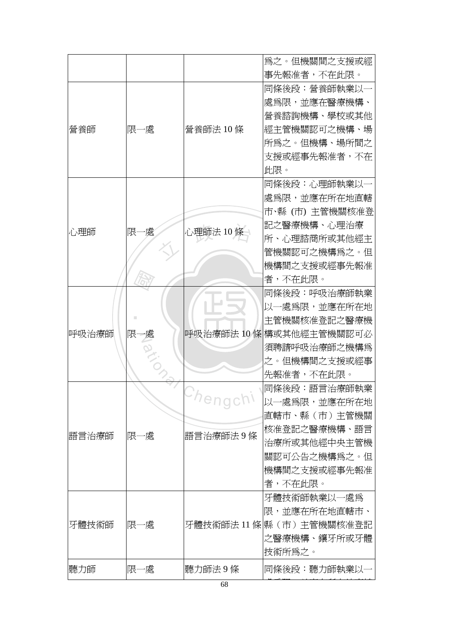|       |          |           | 爲之。但機關間之支援或經             |
|-------|----------|-----------|--------------------------|
|       |          |           | 事先報准者,不在此限。              |
|       |          |           | 同條後段:營養師執業以              |
|       |          |           | 處為限,並應在醫療機構、             |
|       |          |           | 營養諮詢機構、學校或其他             |
| 營養師   | 限一處      | 營養師法 10 條 | 經主管機關認可之機構、場             |
|       |          |           | 所爲之。但機構、場所間之             |
|       |          |           | 支援或經事先報准者,不在             |
|       |          |           | 此限。                      |
|       |          |           | 同條後段:心理師執業以              |
|       |          |           | 處爲限,並應在所在地直轄             |
|       |          |           | 市、縣 (市) 主管機關核准登          |
| 心理師   | 限-<br>−處 | 心理師法 10 個 | 記之醫療機構、心理治療              |
|       |          |           | 所、心理諮商所或其他經主             |
|       |          |           | 管機關認可之機構爲之。但             |
|       |          |           | 機構間之支援或經事先報准             |
|       |          |           | 者,不在此限。                  |
|       |          |           | 同條後段:呼吸治療師執業             |
|       |          |           | 以一處爲限,並應在所在地             |
|       |          |           | 主管機關核准登記之醫療機             |
| 呼吸治療師 | 限一處      |           | 呼吸治療師法 10 條 構或其他經主管機關認可必 |
|       |          |           | 須聘請呼吸治療師之機構爲             |
|       |          |           | 之。但機構間之支援或經事             |
|       |          |           | 先報准者,不在此限。               |
|       |          |           | 同條後段:語言治療師執業             |
|       |          | Chengch!  | 以一處爲限,並應在所在地             |
|       |          |           | 直轄市、縣(市)主管機關             |
| 語言治療師 | 限一處      | 語言治療師法9條  | 核准登記之醫療機構、語言             |
|       |          |           | 治療所或其他經中央主管機             |
|       |          |           | 關認可公告之機構爲之。但             |
|       |          |           | 機構間之支援或經事先報准             |
|       |          |           | 者,不在此限。                  |
|       |          |           | 牙體技術師執業以一處爲              |
|       |          |           | 限,並應在所在地直轄市、             |
| 牙體技術師 | 限一處      |           | 牙體技術師法 11 條 縣(市)主管機關核准登記 |
|       |          |           | 之醫療機構、鑲牙所或牙體             |
|       |          |           | 技術所為之。                   |
| 聽力師   | 限一處      | 聽力師法9條    | 同條後段:聽力師執業以-             |
|       |          | 68        |                          |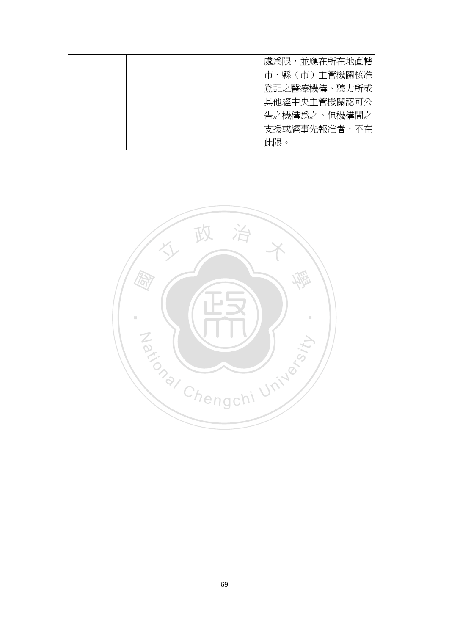|  | 處爲限,並應在所在地直轄 |  |
|--|--------------|--|
|  | 市、縣(市)主管機關核准 |  |
|  | 登記之醫療機構、聽力所或 |  |
|  | 其他經中央主管機關認可公 |  |
|  | 告之機構爲之。但機構間之 |  |
|  | 支援或經事先報准者,不在 |  |
|  | 此限。          |  |

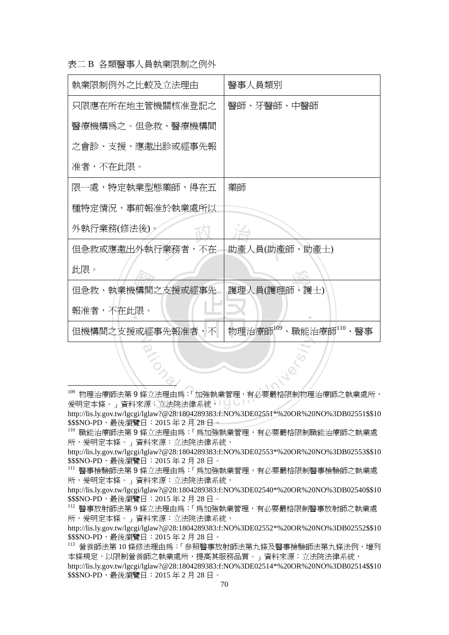表二 B 各類醫事人員執業限制之例外

 $\overline{a}$ 

| 執業限制例外之比較及立法理由   | 醫事人員類別                                                    |
|------------------|-----------------------------------------------------------|
| 只限應在所在地主管機關核准登記之 | 醫師、牙醫師、中醫師                                                |
| 醫療機構爲之。但急救、醫療機構間 |                                                           |
| 之會診、支援、應邀出診或經事先報 |                                                           |
| 准者,不在此限。         |                                                           |
| 限一處,特定執業型態藥師,得在五 | 藥師                                                        |
| 種特定情況,事前報准於執業處所以 |                                                           |
| 外執行業務(修法後)。      |                                                           |
| 但急救或應邀出外執行業務者,不在 | 助產人員(助產師、助產士)                                             |
| 此限。              |                                                           |
| 但急救、執業機構間之支援或經事先 | 護理人員(護理師、護士)                                              |
| 報准者,不在此限。        |                                                           |
| 但機構間之支援或經事先報准者,不 | 物理治療師 <sup>109</sup><br>職能治療師110、醫事<br>$\bar{\mathbf{v}}$ |

<sup>a</sup>t<sup>i</sup>ona<sup>l</sup> <sup>C</sup>hengch<sup>i</sup> <sup>U</sup>nivers<sup>i</sup>t<sup>y</sup> <sup>109</sup> 物理治療師法第 9 條立法理由為:「加強執業管理,有必要嚴格限制物理治療師之執業處所, 爰明定本條。」資料來源:立法院法律系統,

http://lis.ly.gov.tw/lgcgi/lglaw?@28:1804289383:f:NO%3DE02551\*%20OR%20NO%3DB02551\$\$10 \$\$\$NO-PD,最後瀏覽日: 2015年2月28日。

<sup>110</sup> 職能治療師法第 9 條立法理由為:「為加強執業管理,有必要嚴格限制職能治療師之執業處 所, 爱明定本條。」 資料來源: 立法院法律系統,

http://lis.ly.gov.tw/lgcgi/lglaw?@28:1804289383:f:NO%3DE02553\*%20OR%20NO%3DB02553\$\$10 \$\$\$NO-PD,最後瀏覽日: 2015年2月28日。

<sup>111</sup> 醫事檢驗師法第 9 條立法理由為:「為加強執業管理,有必要嚴格限制醫事檢驗師之執業處 所,爱明定本條。」資料來源: 立法院法律系統,

http://lis.ly.gov.tw/lgcgi/lglaw?@28:1804289383:f:NO%3DE02540\*%20OR%20NO%3DB02540\$\$10 \$\$\$NO-PD,最後瀏覽日: 2015年2月28日。

<sup>112</sup> 醫事放射師法第 9 條立法理由為:「為加強執業管理,有必要嚴格限制醫事放射師之執業處 所,爱明定本條。」資料來源:立法院法律系統,

http://lis.ly.gov.tw/lgcgi/lglaw?@28:1804289383:f:NO%3DE02552\*%20OR%20NO%3DB02552\$\$10 \$\$\$NO-PD,最後瀏覽日: 2015年2月28日。

113 營養師法第 10 條修法理由為:「參照醫事放射師法第九條及醫事檢驗師法第九條法例,增列 本條規定,以限制營養師之執業處所,提高其服務品質。」資料來源:立法院法律系統, http://lis.ly.gov.tw/lgcgi/lglaw?@28:1804289383:f:NO%3DE02514\*%20OR%20NO%3DB02514\$\$10 \$\$\$NO-PD,最後瀏覽日: 2015年2月28日。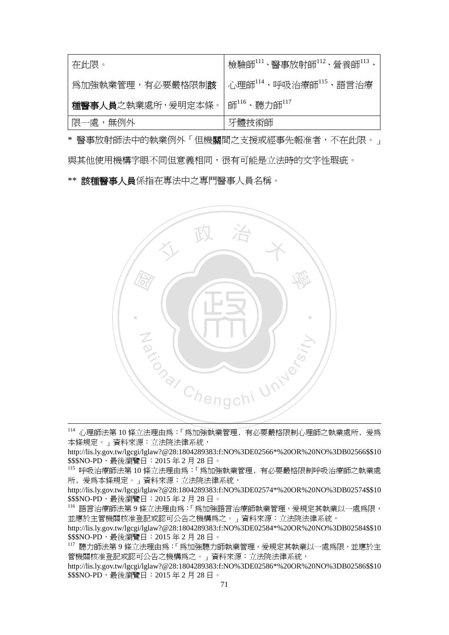| 在此限。                      | 檢驗師111、醫事放射師112、營養師113                          |
|---------------------------|-------------------------------------------------|
| 為加強執業管理,有必要嚴格限制 <b>該</b>  | │心理師 <sup>114</sup> 、呼吸治療師 <sup>115</sup> 、語言治療 |
| <b>種醫事人員</b> 之執業處所,爰明定本條。 | 師 <sup>116</sup> 、聽力師 <sup>117</sup>            |
| ' 限一處,無例外                 | 牙體技術師                                           |

\* 醫事放射師法中的執業例外「但機關間之支援或經事先報准者,不在此限。」 與其他使用機構字眼不同但意義相同,很有可能是立法時的文字性瑕疵。

\*\* 該種醫事人員係指在專法中之專門醫事人員名稱。



 114 心理師法第 <sup>10</sup> 條立法理由為:「為加強執業管理﹐有必要嚴格限制心理師之執業處所﹐爰為 本條規定。」資料來源:立法院法律系統,

http://lis.ly.gov.tw/lgcgi/lglaw?@28:1804289383:f:NO%3DE02566\*%20OR%20NO%3DB02566\$\$10 \$\$\$NO-PD,最後瀏覽日: 2015年2月28日。

<sup>115</sup> 呼吸治療師法第 10 條立法理由為:「為加強執業管理﹐有必要嚴格限制呼吸治療師之執業處 所, 爱為本條規定。」資料來源: 立法院法律系統,

http://lis.ly.gov.tw/lgcgi/lglaw?@28:1804289383:f:NO%3DE02574\*%20OR%20NO%3DB02574\$\$10 \$\$\$NO-PD,最後瀏覽日: 2015年2月28日。

<sup>116</sup> 語言治療師法第 9 條立法理由為:「為加強語言治療師執業管理,爰規定其執業以一處為限, 並應於主管機關核准登記或認可公告之機構為之。」資料來源:立法院法律系統,

http://lis.ly.gov.tw/lgcgi/lglaw?@28:1804289383:f:NO%3DE02584\*%20OR%20NO%3DB02584\$\$10 \$\$\$NO-PD,最後瀏覽日: 2015年2月28日。

<sup>117</sup> 聽力師法第 9 條立法理由為:「為加強聽力師執業管理,爰規定其執業以一處為限,並應於主 管機關核准登記或認可公告之機構為之。」資料來源:立法院法律系統,

http://lis.ly.gov.tw/lgcgi/lglaw?@28:1804289383:f:NO%3DE02586\*%20OR%20NO%3DB02586\$\$10 \$\$\$NO-PD,最後瀏覽日: 2015年2月28日。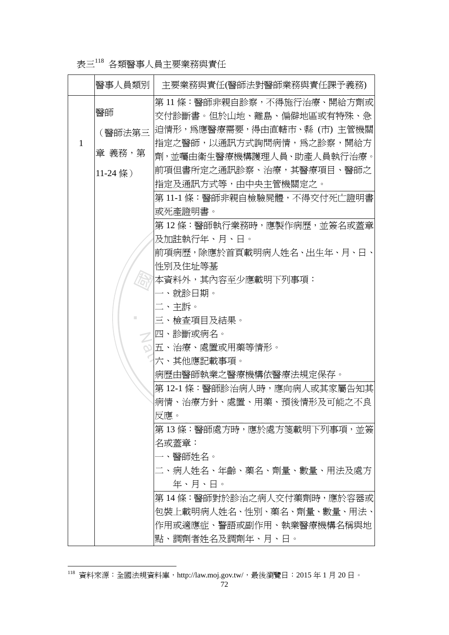# 表三<sup>118</sup> 各類醫事人員主要業務與責任

|   | 醫事人員類別     | 主要業務與責任(醫師法對醫師業務與責任課予義務)     |
|---|------------|------------------------------|
|   |            | 第 11 條:醫師非親自診察,不得施行治療、開給方劑或  |
|   | 醫師         | 交付診斷書。但於山地、離島、偏僻地區或有特殊、急     |
|   | (醫師法第三     | 迫情形,爲應醫療需要,得由直轄市、縣 (市) 主管機關  |
| 1 |            | 指定之醫師,以通訊方式詢問病情,爲之診察,開給方     |
|   | 章 義務,第     | 劑,並囑由衛生醫療機構護理人員、助產人員執行治療。    |
|   | $11-24$ 條) | 前項但書所定之通訊診察、治療,其醫療項目、醫師之     |
|   |            | 指定及通訊方式等,由中央主管機關定之。          |
|   |            | 第 11-1 條:醫師非親自檢驗屍體,不得交付死亡證明書 |
|   |            | 或死產證明書。                      |
|   |            | 第 12 條:醫師執行業務時,應製作病歷,並簽名或蓋章  |
|   |            | 及加註執行年、月、日。                  |
|   |            | 前項病歷,除應於首頁載明病人姓名、出生年、月、日、    |
|   |            | 性別及住址等基                      |
|   |            | 本資料外,其內容至少應載明下列事項:           |
|   |            | 一、就診日期。                      |
|   |            | 二、主訴。                        |
|   |            | 三、檢查項目及結果。                   |
|   |            | 四、診斷或病名。                     |
|   |            | ∾ 五、治療、處置或用藥等情形。             |
|   |            | 六、其他應記載事項。                   |
|   |            | 病歷由醫師執業之醫療機構依醫療法規定保存。        |
|   |            | 第 12-1 條:醫師診治病人時,應向病人或其家屬告知其 |
|   |            | 病情、治療方針、處置、用藥、預後情形及可能之不良     |
|   |            | 反應。                          |
|   |            | 第 13 條:醫師處方時,應於處方箋載明下列事項,並簽  |
|   |            | 名或蓋章:                        |
|   |            | 一、醫師姓名。                      |
|   |            | 二、病人姓名、年齡、藥名、劑量、數量、用法及處方     |
|   |            | 年、月、日。                       |
|   |            | 第 14 條:醫師對於診治之病人交付藥劑時,應於容器或  |
|   |            | 包裝上載明病人姓名、性別、藥名、劑量、數量、用法、    |
|   |            | 作用或適應症、警語或副作用、執業醫療機構名稱與地     |
|   |            | 點、調劑者姓名及調劑年、月、日。             |

 $^{118}$  資料來源:全國法規資料庫,http://law.moj.gov.tw/,最後瀏覽日:2015 年 1 月 20 日。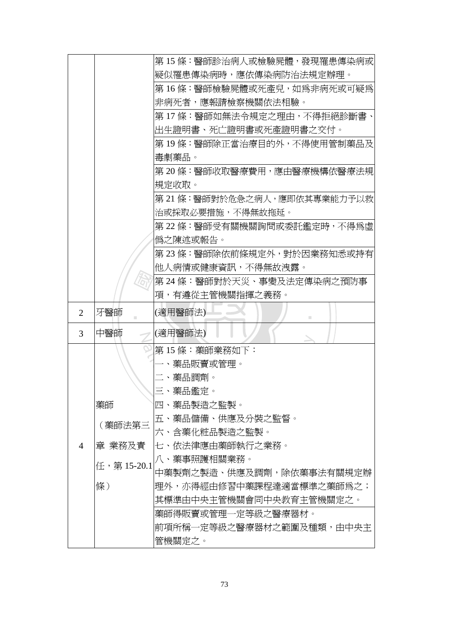|                |             | 第 15 條:醫師診治病人或檢驗屍體,發現罹患傳染病或  |
|----------------|-------------|------------------------------|
|                |             | 疑似罹患傳染病時,應依傳染病防治法規定辦理。       |
|                |             | 第16條:醫師檢驗屍體或死產兒,如爲非病死或可疑爲    |
|                |             | 非病死者,應報請檢察機關依法相驗。            |
|                |             | 第 17 條:醫師如無法令規定之理由,不得拒絕診斷書、  |
|                |             | 出生證明書、死亡證明書或死產證明書之交付。        |
|                |             | 第 19 條:醫師除正當治療目的外,不得使用管制藥品及  |
|                |             | 毒劇藥品。                        |
|                |             | 第 20 條:醫師收取醫療費用,應由醫療機構依醫療法規  |
|                |             | 規定收取。                        |
|                |             | 第 21 條:醫師對於危急之病人,應即依其專業能力予以救 |
|                |             | 治或採取必要措施,不得無故拖延。             |
|                |             | 第 22 條:醫師受有關機關詢問或委託鑑定時,不得爲虛  |
|                |             | 僞之陳述或報告。                     |
|                |             | 第 23 條:醫師除依前條規定外,對於因業務知悉或持有  |
|                |             | 他人病情或健康資訊,不得無故洩露。            |
|                |             | 第24條:醫師對於天災、事變及法定傳染病之預防事     |
|                |             | 項,有遵從主管機關指揮之義務。              |
| 2              | 牙醫師         | (適用醫師法)                      |
| 3              | 中醫師         | (適用醫師法)                      |
|                |             | 第15條:藥師業務如下:                 |
|                |             | ・、藥品販賣或管理。                   |
|                |             | 二、藥品調劑。                      |
|                |             | 三、藥品鑑定。                      |
|                | 藥師          | 四、藥品製造之監製。                   |
|                | (藥師法第三      | 五、藥品儲備、供應及分裝之監督。             |
|                |             | 六、含藥化粧品製造之監製。                |
| $\overline{4}$ | 章 業務及責      | 七、依法律應由藥師執行之業務。              |
|                | 任, 第15-20.1 | 八、藥事照護相關業務。                  |
|                |             | 中藥製劑之製造、供應及調劑,除依藥事法有關規定辦     |
|                | 條)          | 理外,亦得經由修習中藥課程達適當標準之藥師爲之;     |
|                |             | 其標準由中央主管機關會同中央教育主管機關定之。      |
|                |             | 藥師得販賣或管理一定等級之醫療器材。           |
|                |             |                              |
|                |             | 前項所稱一定等級之醫療器材之範圍及種類,由中央主     |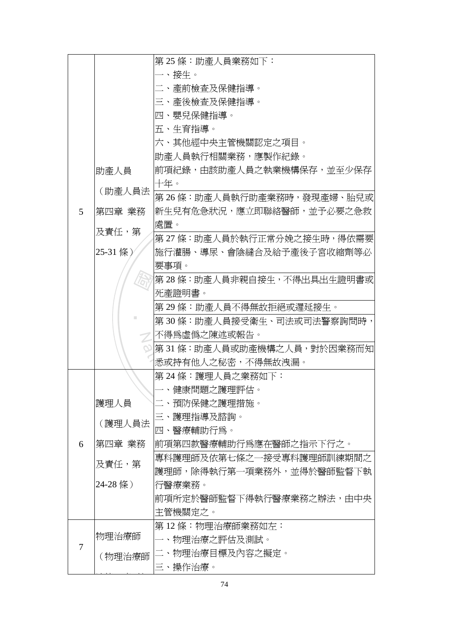|   |          | 第25條:助產人員業務如下:                 |
|---|----------|--------------------------------|
|   |          | 一、接生。                          |
|   |          | 二、產前檢查及保健指導。                   |
|   |          | 三、產後檢查及保健指導。                   |
|   |          | 四、嬰兒保健指導。                      |
|   |          | 五、生育指導。                        |
|   |          | 六、其他經中央主管機關認定之項目。              |
|   |          | 助產人員執行相關業務,應製作紀錄。              |
|   | 助產人員     | 前項紀錄,由該助產人員之執業機構保存,並至少保存       |
|   |          | 十年。                            |
|   | (助產人員法   | 第 26 條:助產人員執行助產業務時,發現產婦、胎兒或    |
| 5 | 第四章 業務   | 新生兒有危急狀況,應立即聯絡醫師,並予必要之急救       |
|   | 及責任,第    | 處置。                            |
|   |          | 第 27 條:助產人員於執行正常分娩之接生時,得依需要    |
|   | 25-31 條) | 施行灌腸、導尿、會陰縫合及給予產後子宮收縮劑等必       |
|   |          | 要事項。                           |
|   |          | 第 28 條:助產人員非親自接生,不得出具出生證明書或    |
|   |          | 死產證明書。                         |
|   |          | 第 29 條:助產人員不得無故拒絕或遲延接生。        |
|   |          | 第 30 條:助產人員接受衛生、司法或司法警察詢問時,    |
|   |          | 不得爲虛僞之陳述或報告。                   |
|   |          | ◎  第 31 條:助產人員或助產機構之人員,對於因業務而知 |
|   |          | 悉或持有他人之秘密,不得無故洩漏。              |
|   |          | 第 24 條:護理人員之業務如下:              |
|   |          | 一、健康問題之護理評估。                   |
|   | 護理人員     | 二、預防保健之護理措施。                   |
|   | (護理人員法   | 三、護理指導及諮詢。                     |
|   |          | 四、醫療輔助行爲。                      |
| 6 | 第四章 業務   | 前項第四款醫療輔助行爲應在醫師之指示下行之。         |
|   | 及責任,第    | 專科護理師及依第七條之一接受專科護理師訓練期間之       |
|   |          | 護理師,除得執行第一項業務外,並得於醫師監督下執       |
|   | 24-28 條) | 行醫療業務。                         |
|   |          | 前項所定於醫師監督下得執行醫療業務之辦法,由中央       |
|   |          | 主管機關定之。                        |
|   |          | 第 12 條:物理治療師業務如左:              |
| 7 | 物理治療師    | 一、物理治療之評估及測試。                  |
|   | (物理治療師   | 二、物理治療目標及內容之擬定。                |
|   |          | 三、操作治療。                        |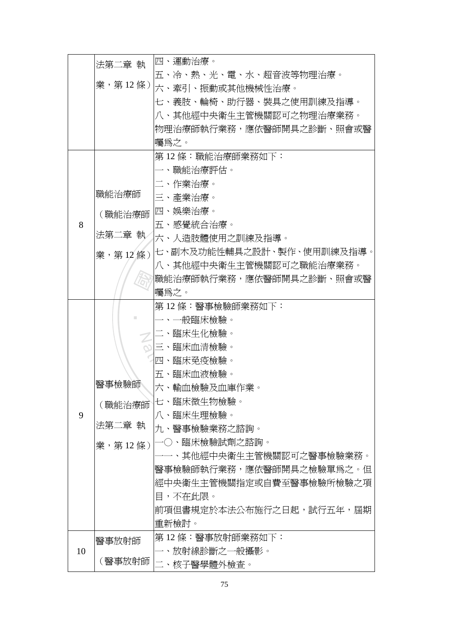|    | 法第二章 執          | 四、運動治療。                      |
|----|-----------------|------------------------------|
|    |                 | 五、冷、熱、光、電、水、超音波等物理治療。        |
|    |                 | 業,第 12 條 )  六、牽引、振動或其他機械性治療。 |
|    |                 | 七、義肢、輪椅、助行器、裝具之使用訓練及指導。      |
|    |                 | 八、其他經中央衛生主管機關認可之物理治療業務。      |
|    |                 | 物理治療師執行業務,應依醫師開具之診斷、照會或醫     |
|    |                 | 囑爲之。                         |
|    |                 | 第 12 條:職能治療師業務如下:            |
|    |                 | 一、職能治療評估。                    |
|    |                 | 二、作業治療。                      |
|    | 職能治療師           | 三、產業治療。                      |
|    | (職能治療師          | 四、娛樂治療。                      |
| 8  |                 | 五、感覺統合治療。                    |
|    | 法第二章 執          | 六、人造肢體使用之訓練及指導。              |
|    | 業, 第12條)        | 七、副木及功能性輔具之設計、製作、使用訓練及指導。    |
|    |                 | 八、其他經中央衛生主管機關認可之職能治療業務。      |
|    |                 | 職能治療師執行業務,應依醫師開具之診斷、照會或醫     |
|    |                 | 囑爲之。                         |
|    |                 | 第 12 條:醫事檢驗師業務如下:            |
|    |                 | ·般臨床檢驗。                      |
|    |                 | 二、臨床生化檢驗。                    |
|    |                 | 三、臨床血清檢驗。                    |
|    |                 | 四、臨床免疫檢驗。                    |
|    |                 | 五、臨床血液檢驗。                    |
|    | 醫事檢驗師           | 六、輸血檢驗及血庫作業。                 |
|    | (職能治療師          | 七、臨床微生物檢驗。                   |
| 9  |                 | 八、臨床生理檢驗。                    |
|    | 法第二章 執          | 九、醫事檢驗業務之諮詢。                 |
|    |                 |                              |
|    |                 | -○、臨床檢驗試劑之諮詢。                |
|    | 業,第12條)         | -、其他經中央衛生主管機關認可之醫事檢驗業務。      |
|    |                 | 醫事檢驗師執行業務,應依醫師開具之檢驗單爲之。但     |
|    |                 | 經中央衛生主管機關指定或自費至醫事檢驗所檢驗之項     |
|    |                 | 目,不在此限。                      |
|    |                 | 前項但書規定於本法公布施行之日起,試行五年,屆期     |
|    |                 | 重新檢討。                        |
|    |                 | 第 12 條:醫事放射師業務如下:            |
| 10 | 醫事放射師<br>(醫事放射師 | -、放射線診斷之一般攝影。                |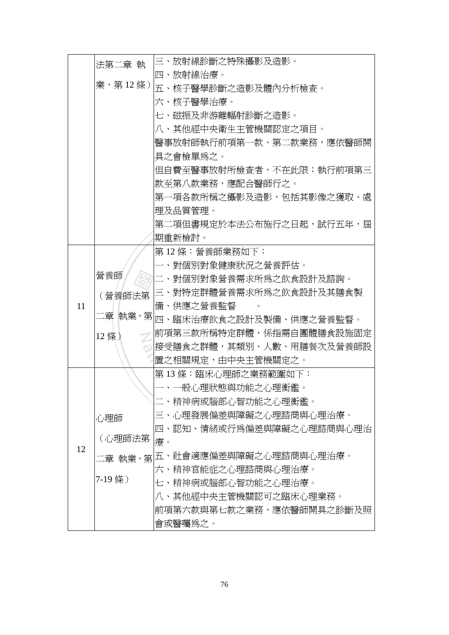|    | 法第二章 執            | 三、放射線診斷之特殊攝影及造影。                                    |
|----|-------------------|-----------------------------------------------------|
|    |                   | 四、放射線治療。                                            |
|    |                   | 業,第12條)  $\overline{\mathrm{h}}$ 、核子醫學診斷之造影及體內分析檢查。 |
|    |                   | 六、核子醫學治療。                                           |
|    |                   | 七、磁振及非游離輻射診斷之造影。                                    |
|    |                   | 八、其他經中央衛生主管機關認定之項目。                                 |
|    |                   | 醫事放射師執行前項第一款、第二款業務,應依醫師開                            |
|    |                   | 具之會檢單爲之。                                            |
|    |                   | 但自費至醫事放射所檢查者,不在此限;執行前項第三                            |
|    |                   | 款至第八款業務,應配合醫師行之。                                    |
|    |                   | 第一項各款所稱之攝影及造影,包括其影像之獲取、處                            |
|    |                   | 理及品質管理。                                             |
|    |                   | 第二項但書規定於本法公布施行之日起,試行五年,屆                            |
|    |                   | 期重新檢討。                                              |
|    |                   | 第12條:營養師業務如下:                                       |
|    | 營養師               | 一、對個別對象健康狀況之營養評估。                                   |
|    |                   | 二、對個別對象營養需求所爲之飲食設計及諮詢。                              |
|    | (營養師法第<br>二章 執業,第 | 三、對特定群體營養需求所爲之飲食設計及其膳食製                             |
| 11 |                   | 備、供應之營養監督                                           |
|    |                   | 四、臨床治療飲食之設計及製備、供應之營養監督。                             |
|    | 12 條)             | 前項第三款所稱特定群體,係指需自團體膳食設施固定                            |
|    |                   | 接受膳食之群體,其類別、人數、用膳餐次及營養師設                            |
|    |                   | 置之相關規定,由中央主管機關定之。                                   |
|    |                   | 第13條:臨床心理師之業務範圍如下:                                  |
|    |                   | 一、一般心理狀態與功能之心理衡鑑。                                   |
|    |                   | 二、精神病或腦部心智功能之心理衡鑑。                                  |
|    | 心理師               | 三、心理發展偏差與障礙之心理諮商與心理治療。                              |
|    |                   | 四、認知、情緒或行爲偏差與障礙之心理諮商與心理治                            |
| 12 | (心理師法第            | 療。                                                  |
|    |                   | 二章 執業,第 五、社會適應偏差與障礙之心理諮商與心理治療。                      |
|    |                   | 六、精神官能症之心理諮商與心理治療。                                  |
|    | 7-19 條)           | 七、精神病或腦部心智功能之心理治療。                                  |
|    |                   | 八、其他經中央主管機關認可之臨床心理業務。                               |
|    |                   | 前項第六款與第七款之業務,應依醫師開具之診斷及照                            |
|    |                   | 會或醫囑爲之。                                             |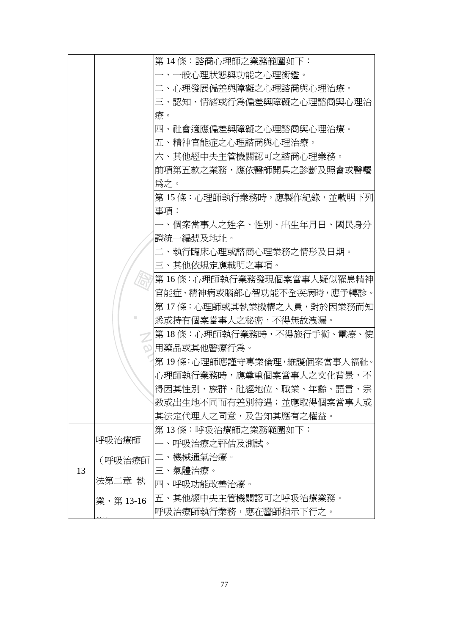|    |           | 第 14 條:諮商心理師之業務範圍如下:         |
|----|-----------|------------------------------|
|    |           | -、一般心理狀態與功能之心理衡鑑。            |
|    |           | 二、心理發展偏差與障礙之心理諮商與心理治療。       |
|    |           | 三、認知、情緒或行爲偏差與障礙之心理諮商與心理治     |
|    |           | 療。                           |
|    |           | 四、社會適應偏差與障礙之心理諮商與心理治療。       |
|    |           | 五、精神官能症之心理諮商與心理治療。           |
|    |           | 六、其他經中央主管機關認可之諮商心理業務。        |
|    |           | 前項第五款之業務,應依醫師開具之診斷及照會或醫囑     |
|    |           | 爲之。                          |
|    |           | 第 15 條:心理師執行業務時,應製作紀錄,並載明下列  |
|    |           | 事項:                          |
|    |           | 一、個案當事人之姓名、性別、出生年月日、國民身分     |
|    |           | 證統一編號及地址。                    |
|    |           | 二、執行臨床心理或諮商心理業務之情形及日期。       |
|    |           | 三、其他依規定應載明之事項。               |
|    |           | 第 16 條:心理師執行業務發現個案當事人疑似罹患精神  |
|    |           | 官能症、精神病或腦部心智功能不全疾病時,應予轉診。    |
|    |           | 第 17 條:心理師或其執業機構之人員,對於因業務而知  |
|    |           | 悉或持有個案當事人之秘密,不得無故洩漏。         |
|    |           | 第 18 條:心理師執行業務時,不得施行手術、電療、使  |
|    |           | 用藥品或其他醫療行爲。                  |
|    |           | 第 19 條:心理師應謹守專業倫理,維護個案當事人福祉。 |
|    |           | 心理師執行業務時,應尊重個案當事人之文化背景,不     |
|    |           | 得因其性別、族群、社經地位、職業、年齡、語言、宗     |
|    |           | 教或出生地不同而有差別待遇;並應取得個案當事人或     |
|    |           | 其法定代理人之同意,及告知其應有之權益。         |
|    |           | 第 13 條:呼吸治療師之業務範圍如下:         |
|    | 呼吸治療師     | 、呼吸治療之評估及測試。                 |
|    | (呼吸治療師    | 、機械通氣治療。                     |
| 13 |           | 三、氣體治療。                      |
|    | 法第二章 執    | 四、呼吸功能改善治療。                  |
|    | 業,第 13-16 | 五、其他經中央主管機關認可之呼吸治療業務。        |
|    |           | 呼吸治療師執行業務,應在醫師指示下行之。         |
|    |           |                              |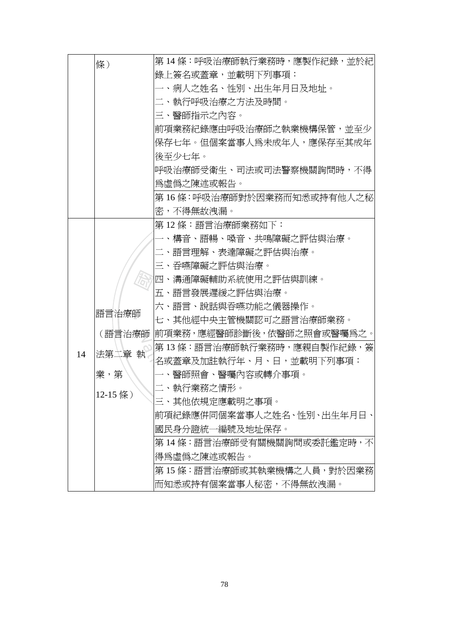|    | 條)         | 第 14 條:呼吸治療師執行業務時,應製作紀錄,並於紀       |
|----|------------|-----------------------------------|
|    |            | 錄上簽名或蓋章,並載明下列事項:                  |
|    |            | 一、病人之姓名、性別、出生年月日及地址。              |
|    |            | 二、執行呼吸治療之方法及時間。                   |
|    |            | 三、醫師指示之內容。                        |
|    |            | 前項業務紀錄應由呼吸治療師之執業機構保管,並至少          |
|    |            | 保存七年。但個案當事人爲未成年人,應保存至其成年          |
|    |            | 後至少七年。                            |
|    |            | 呼吸治療師受衛生、司法或司法警察機關詢問時,不得          |
|    |            | 爲虛僞之陳述或報告。                        |
|    |            | 第 16 條:呼吸治療師對於因業務而知悉或持有他人之秘       |
|    |            | 密,不得無故洩漏。                         |
|    |            | 第 12 條:語言治療師業務如下:                 |
|    |            | 一、構音、語暢、嗓音、共鳴障礙之評估與治療。            |
|    | 語言治療師      | 二、語言理解、表達障礙之評估與治療。                |
|    |            | 三、吞嚥障礙之評估與治療。                     |
|    |            | 四、溝通障礙輔助系統使用之評估與訓練。               |
|    |            | 五、語言發展遲緩之評估與治療。                   |
|    |            | 六、語言、說話與吞嚥功能之儀器操作。                |
|    |            | 七、其他經中央主管機關認可之語言治療師業務。            |
|    |            | (語言治療師  前項業務,應經醫師診斷後,依醫師之照會或醫囑爲之。 |
| 14 | 執<br> 法第二章 | 第 13 條:語言治療師執行業務時,應親自製作紀錄,簽       |
|    |            | 名或蓋章及加註執行年、月、日,並載明下列事項:           |
|    | 業,第        | -、醫師照會、醫囑內容或轉介事項。                 |
|    | 12-15 條)   | 二、執行業務之情形。                        |
|    |            | 三、其他依規定應載明之事項。                    |
|    |            | 前項紀錄應併同個案當事人之姓名、性別、出生年月日、         |
|    |            | 國民身分證統一編號及地址保存。                   |
|    |            | 第 14 條:語言治療師受有關機關詢問或委託鑑定時,不       |
|    |            | 得爲虛僞之陳述或報告。                       |
|    |            | 第 15 條:語言治療師或其執業機構之人員,對於因業務       |
|    |            | 而知悉或持有個案當事人秘密,不得無故洩漏。             |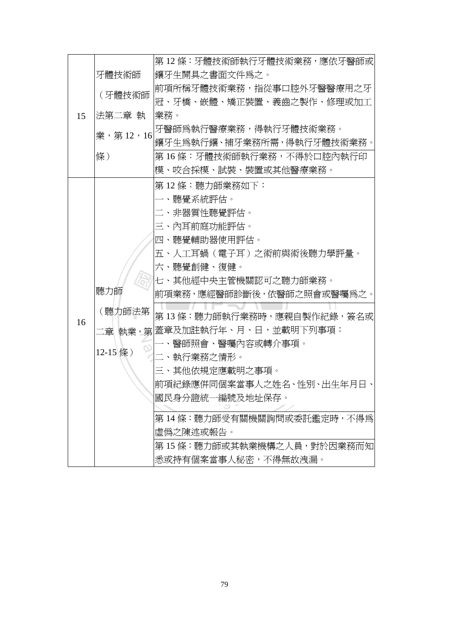|    |            | 第 12 條:牙體技術師執行牙體技術業務,應依牙醫師或   |
|----|------------|-------------------------------|
|    | 牙體技術師      | 镶牙生開具之書面文件爲之。                 |
| 15 | (牙體技術師     | 前項所稱牙體技術業務,指從事口腔外牙醫醫療用之牙      |
|    |            | 冠、牙橋、嵌體、矯正裝置、義齒之製作、修理或加工      |
|    | 法第二章 執     | 業務。                           |
|    | 業, 第12, 16 | 牙醫師爲執行醫療業務,得執行牙體技術業務。         |
|    |            | 鑲牙生爲執行鑲、補牙業務所需,得執行牙體技術業務。     |
|    | 條)         | 第 16 條:牙體技術師執行業務,不得於口腔內執行印    |
|    |            | 模、咬合採模、試裝、裝置或其他醫療業務。          |
|    |            | 第 12 條:聽力師業務如下:               |
|    |            | 一、聽覺系統評估。                     |
|    |            | 二、非器質性聽覺評估。                   |
|    |            | 三、內耳前庭功能評估。                   |
|    |            | 四、聽覺輔助器使用評估。                  |
|    |            | 五、人工耳蝸(電子耳)之術前與術後聽力學評量。       |
|    |            | 六、聽覺創健、復健。                    |
|    |            | 七、其他經中央主管機關認可之聽力師業務。          |
|    | 聽力師        | 前項業務,應經醫師診斷後,依醫師之照會或醫囑爲之。     |
|    | (聽力師法第     | 第 13 條:聽力師執行業務時,應親自製作紀錄,簽名或   |
| 16 |            | 二章 執業,第 蓋章及加註執行年、月、日,並載明下列事項: |
|    |            | 一、醫師照會、醫囑內容或轉介事項。             |
|    | 12-15條)    | 二、執行業務之情形。                    |
|    |            | 三、其他依規定應載明之事項。                |
|    |            | 前項紀錄應併同個案當事人之姓名、性別、出生年月日、     |
|    |            | 國民身分證統一編號及地址保存。               |
|    |            |                               |
|    |            | 第14條:聽力師受有關機關詢問或委託鑑定時,不得爲     |
|    |            | 虛僞之陳述或報告。                     |
|    |            | 第15條:聽力師或其執業機構之人員,對於因業務而知     |
|    |            | 悉或持有個案當事人秘密,不得無故洩漏。           |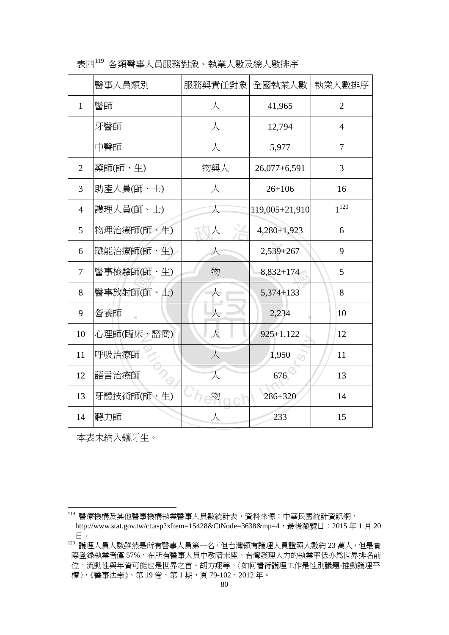|                | 醫事人員類別     | 服務與責任對象                  | 全國執業人數         | 執業人數排序         |
|----------------|------------|--------------------------|----------------|----------------|
| $\mathbf{1}$   | 醫師         | 人                        | 41,965         | $\overline{2}$ |
|                | 牙醫師        | 人                        | 12,794         | $\overline{4}$ |
|                | 中醫師        | 人                        | 5,977          | $\overline{7}$ |
| $\overline{2}$ | 藥師(師、生)    | 物與人                      | $26,077+6,591$ | 3              |
| 3              | 助產人員(師、士)  | $\sqrt{}$                | $26 + 106$     | 16             |
| $\overline{4}$ | 護理人員(師、士)  | 人                        | 119,005+21,910 | $1^{120}$      |
| 5              | 物理治療師(師、生) | 人                        | $4,280+1,923$  | 6              |
| 6              | 職能治療師(師、生) | 人                        | 2,539+267      | 9              |
| $\overline{7}$ | 醫事檢驗師(師、生) | 物                        | $8,832+174$    | 5              |
| 8              | 醫事放射師(師、士) | 人                        | 5,374+133      | 8              |
| 9              | 營養師        | $\overline{\mathcal{N}}$ | 2,234          | 10             |
| 10             | 心理師(臨床、諮商) | $\lambda$                | $925 + 1,122$  | 12             |
| 11             | 呼吸治療師      | 人                        | 1,950          | 11             |
| 12             | 語言治療師      | 人                        | 676            | 13             |
| 13             | 牙體技術師(師、生) | 物                        | 286+320        | 14             |
| 14             | 聽力師        |                          | 233            | 15             |

表四<sup>119</sup> 各類醫事人員服務對象、執業人數及總人數排序

本表未納入鑲牙生。

<sup>&</sup>lt;sup>119</sup> 醫療機構及其他醫事機構執業醫事人員數統計表,資料來源:中華民國統計資訊網,

http://www.stat.gov.tw/ct.asp?xItem=15428&CtNode=3638&mp=4,最後瀏覽日:2015年1月20 日。

<sup>。」。&</sup>lt;br><sup>120</sup> 護理人員人數雖然是所有醫事人員第一名,但台灣領有護理人員證照人數約 23 萬人,但是實 際登錄執業者僅57%,在所有醫事人員中敬陪末座。台灣護理人力的執業率低亦為世界排名前 位,流動性與年資可能也是世界之首。胡方翔等,〈如何看待護理工作是性別議題-推動護理平 權〉,《醫事法學》,第19卷,第1期,頁79-102,2012年。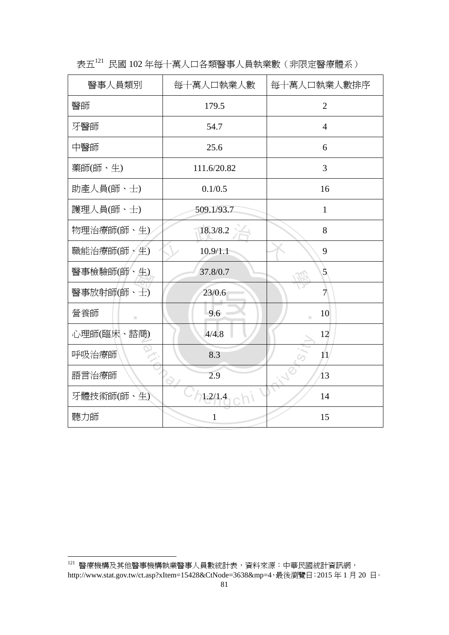| 醫事人員類別       | 每十萬人口執業人數   | 每十萬人口執業人數排序    |
|--------------|-------------|----------------|
| 醫師           | 179.5       | $\overline{2}$ |
| 牙醫師          | 54.7        | $\overline{4}$ |
| 中醫師          | 25.6        | 6              |
| 藥師(師、生)      | 111.6/20.82 | 3              |
| 助產人員(師、士)    | 0.1/0.5     | 16             |
| 護理人員(師、士)    | 509.1/93.7  | $\mathbf{1}$   |
| 物理治療師(師、生)   | 18.3/8.2    | 8              |
| 職能治療師(師 > 生) | 10.9/1.1    | 9              |
| 醫事檢驗師(師、生)   | 37.8/0.7    | $\mathfrak{S}$ |
| 醫事放射師(師、士)   | 23/0.6      | 7              |
| 營養師<br>m.    | 9.6         | 10             |
| 心理師(臨床、諮商)   | 4/4.8       | 12             |
| 呼吸治療師        | 8.3         | 11             |
| 語言治療師        | 2.9         | 13             |
| 牙體技術師(師、生)   | 1.2/1.4     | 14             |
| 聽力師          | 1           | 15             |

表五<sup>121</sup> 民國 102 年每十萬人口各類醫事人員執業數(非限定醫療體系)

<sup>121</sup> 醫療機構及其他醫事機構執業醫事人員數統計表,資料來源:中華民國統計資訊網, http://www.stat.gov.tw/ct.asp?xItem=15428&CtNode=3638&mp=4,最後瀏覽日:2015年1月20日。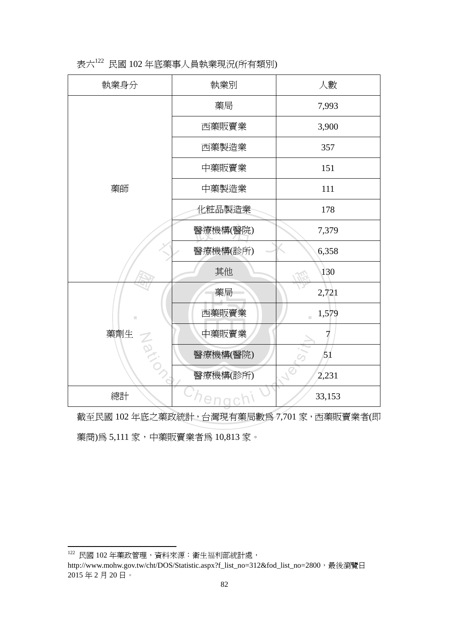| 執業身分     | 執業別      | 人數          |
|----------|----------|-------------|
|          | 藥局       | 7,993       |
|          | 西藥販賣業    | 3,900       |
|          | 西藥製造業    | 357         |
|          | 中藥販賣業    | 151         |
| 藥師       | 中藥製造業    | 111         |
|          | 化粧品製造業   | 178         |
|          | 醫療機構(醫院) | 7,379       |
|          | 醫療機構(診所) | 6,358       |
|          | 其他       | 130         |
|          | 藥局       | 2,721       |
| П        | 西藥販賣業    | 1,579<br>m. |
| 藥劑生      | 中藥販賣業    | 7           |
|          | 醫療機構(醫院) | 51          |
| National | 醫療機構(診所) | 2,231       |
| 總計       | Chengc   | 33,153      |

表六<sup>122</sup> 民國 102 年底藥事人員執業現況(所有類別)

截至民國 102 年底之藥政統計,台灣現有藥局數為 7,701 家,西藥販賣業者(即 藥商)為 5,111 家,中藥販賣業者為 10,813 家。

122 民國 102 年藥政管理,資料來源:衛生福利部統計處,

http://www.mohw.gov.tw/cht/DOS/Statistic.aspx?f\_list\_no=312&fod\_list\_no=2800,最後瀏覽日 2015 年 2 月 20 日。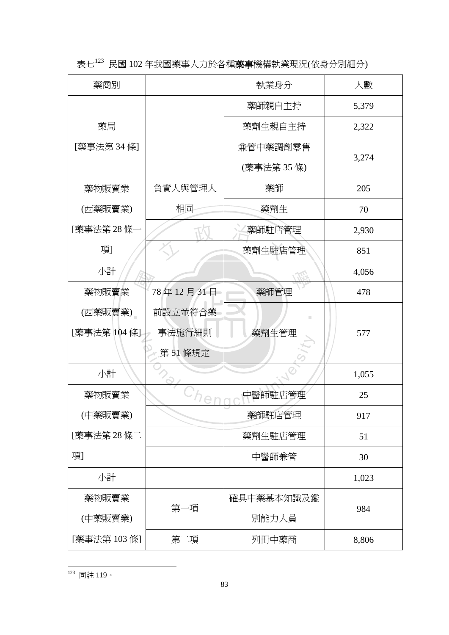表七<sup>123</sup> 民國 102 年我國藥事人力於各種藥事機構執業現況(依身分別細分)

| 藥商別          |           | 執業身分       | 人數    |
|--------------|-----------|------------|-------|
|              |           | 藥師親自主持     | 5,379 |
| 藥局           |           | 藥劑生親自主持    | 2,322 |
| [藥事法第 34 條]  |           | 兼管中藥調劑零售   |       |
|              |           | (藥事法第35條)  | 3,274 |
| 藥物販賣業        | 負責人與管理人   | 藥師         | 205   |
| (西藥販賣業)      | 相同        | 藥劑生        | 70    |
| [藥事法第28條     |           | 藥師駐店管理     | 2,930 |
| 項1           |           | 藥劑生駐店管理    | 851   |
| 小計           |           |            | 4,056 |
| 藥物販賣業        | 78年12月31日 | 藥師管理       | 478   |
| (西藥販賣業)      | 前設立並符合藥   |            |       |
| [藥事法第 104 條] | 事法施行細則    | 藥劑生管理      | 577   |
|              | 第51條規定    |            |       |
| 小計           |           |            | 1,055 |
| 藥物販賣業        |           | 中醫師駐店管理    | 25    |
| (中藥販賣業)      |           | 藥師駐店管理     | 917   |
| [藥事法第28條二    |           | 藥劑生駐店管理    | 51    |
| 項            |           | 中醫師兼管      | 30    |
| 小計           |           |            | 1,023 |
| 藥物販賣業        |           | 確具中藥基本知識及鑑 |       |
| (中藥販賣業)      | 第一項       | 別能力人員      | 984   |
| [藥事法第 103 條] | 第二項       | 列冊中藥商      | 8,806 |

<sup>123</sup> 同註 119。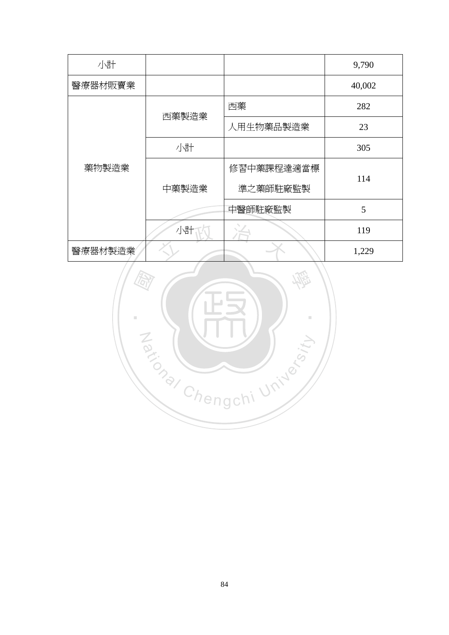| 小計      |       |            | 9,790  |  |
|---------|-------|------------|--------|--|
| 醫療器材販賣業 |       |            | 40,002 |  |
|         | 西藥製造業 | 西藥         | 282    |  |
|         |       | 人用生物藥品製造業  | 23     |  |
|         | 小計    |            | 305    |  |
| 藥物製造業   |       | 修習中藥課程達適當標 | 114    |  |
|         | 中藥製造業 | 準之藥師駐廠監製   |        |  |
|         |       | 中醫師駐廠監製    | 5      |  |
|         | 小計    |            | 119    |  |
| 醫療器材製造業 |       |            | 1,229  |  |

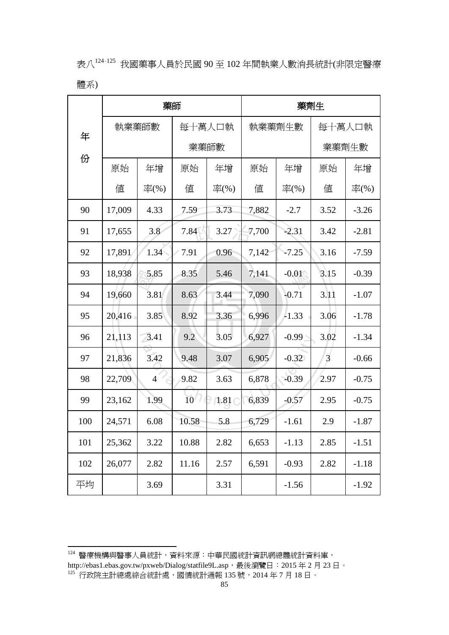表八<sup>124</sup>,<sup>125</sup> 我國藥事人員於民國 90 至 102 年間執業人數消長統計(非限定醫療 體系)

|     | 藥師              |                |                 |        | 藥劑生   |         |      |         |
|-----|-----------------|----------------|-----------------|--------|-------|---------|------|---------|
| 年   | 每十萬人口執<br>執業藥師數 |                |                 | 執業藥劑生數 |       | 每十萬人口執  |      |         |
|     |                 |                |                 | 業藥師數   |       |         |      | 業藥劑生數   |
| 份   | 原始              | 年增             | 原始              | 年增     | 原始    | 年增      | 原始   | 年增      |
|     | 値               | 率(%)           | 値               | 率(%)   | 値     | 率(%)    | 値    | 率(%)    |
| 90  | 17,009          | 4.33           | 7.59            | 3.73   | 7,882 | $-2.7$  | 3.52 | $-3.26$ |
| 91  | 17,655          | 3.8            | 7.84            | 3.27   | 7,700 | $-2.31$ | 3.42 | $-2.81$ |
| 92  | 17,891          | 1.34           | 7.91            | 0.96   | 7,142 | $-7.25$ | 3.16 | $-7.59$ |
| 93  | 18,938          | 5.85           | 8.35            | 5.46   | 7,141 | $-0.01$ | 3.15 | $-0.39$ |
| 94  | 19,660          | 3.81           | 8.63            | 3.44   | 7,090 | $-0.71$ | 3.11 | $-1.07$ |
| 95  | 20,416          | 3.85           | 8.92            | 3.36   | 6.996 | $-1.33$ | 3.06 | $-1.78$ |
| 96  | 21,113          | 3.41           | 9.2             | 3.05   | 6,927 | $-0.99$ | 3.02 | $-1.34$ |
| 97  | 21,836          | 3.42           | 9.48            | 3.07   | 6,905 | $-0.32$ | 3    | $-0.66$ |
| 98  | 22,709          | $\overline{4}$ | 9.82            | 3.63   | 6,878 | $-0.39$ | 2.97 | $-0.75$ |
| 99  | 23,162          | 1.99           | 10 <sup>7</sup> | 1.81   | 6,839 | $-0.57$ | 2.95 | $-0.75$ |
| 100 | 24,571          | 6.08           | 10.58           | 5.8    | 6,729 | $-1.61$ | 2.9  | $-1.87$ |
| 101 | 25,362          | 3.22           | 10.88           | 2.82   | 6,653 | $-1.13$ | 2.85 | $-1.51$ |
| 102 | 26,077          | 2.82           | 11.16           | 2.57   | 6,591 | $-0.93$ | 2.82 | $-1.18$ |
| 平均  |                 | 3.69           |                 | 3.31   |       | $-1.56$ |      | $-1.92$ |

<sup>&</sup>lt;sup>124</sup> 醫療機構與醫事人員統計,資料來源:中華民國統計資訊網總體統計資料庫, http://ebas1.ebas.gov.tw/pxweb/Dialog/statfile9L.asp,最後瀏覽日:2015 年 2 月 23 日。

 $^{125}$  行政院主計總處綜合統計處,國情統計通報 135 號,2014 年 7 月 18 日。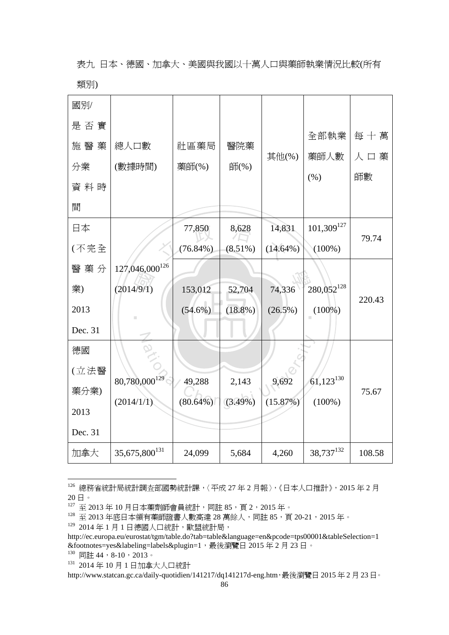表九 日本、德國、加拿大、美國與我國以十萬人口與藥師執業情況比較(所有 類別)

| 國別/     |                            |             |            |             |                  |         |
|---------|----------------------------|-------------|------------|-------------|------------------|---------|
| 是否實     |                            |             |            |             |                  | 每十萬     |
| 施醫<br>藥 | 總人口數                       | 社區藥局        | 醫院藥        |             | 全部執業             |         |
| 分業      | (數據時間)                     | 藥師(%)       | 師(%)       | 其他(%)       | 藥師人數             | 藥<br>人口 |
| 資料時     |                            |             |            |             | (% )             | 師數      |
| 間       |                            |             |            |             |                  |         |
| 日本      |                            | 77,850      | 8,628      | 14,831      | $101,309^{127}$  | 79.74   |
| (不完全    |                            | $(76.84\%)$ | $(8.51\%)$ | $(14.64\%)$ | $(100\%)$        |         |
| 醫藥分     | 127,046,000 <sup>126</sup> |             |            |             |                  |         |
| 業)      | (2014/9/1)                 | 153,012     | 52,704     | 74,336      | 280,052 $^{128}$ | 220.43  |
| 2013    |                            | $(54.6\%)$  | $(18.8\%)$ | $(26.5\%)$  | $(100\%)$        |         |
| Dec. 31 |                            |             |            |             |                  |         |
| 德國      |                            |             |            |             |                  |         |
| (立法醫    | $80,780,000^{129}$         | 49,288      | 2,143      | 9,692       | $61,123^{130}$   |         |
| 藥分業)    | (2014/1/1)                 | $(80.64\%)$ | $(3.49\%)$ | (15.87%)    | $(100\%)$        | 75.67   |
| 2013    |                            |             |            |             |                  |         |
| Dec. 31 |                            |             |            |             |                  |         |
| 加拿大     | 35,675,800 $^{131}$        | 24,099      | 5,684      | 4,260       | 38,737132        | 108.58  |

<sup>126</sup> 總務省統計局統計調査部國勢統計課,〈平成 27 年 2 月報〉,《日本人口推計》,2015 年 2 月 20 日。

<sup>127</sup> 至 2013 年 10 月日本藥劑師會員統計,同註 85,頁 2,2015 年。

<sup>128</sup> 至 2013 午 10 月日午不月開日 《『『『『『『『』』』 - 2015 年 - 『<br>128 至 2013 年底日本領有藥師證書人數高達 28 萬餘人,同註 85,頁 20-21,2015 年。

<sup>129 2014</sup>年1月1日德國人口統計,歐盟統計局,

http://ec.europa.eu/eurostat/tgm/table.do?tab=table&language=en&pcode=tps00001&tableSelection=1 &footnotes=yes&labeling=labels&plugin=1,最後瀏覽日 2015 年 2 月 23 日。

 $130$  同註 44, 8-10, 2013。

<sup>131 2014</sup>年10月1日加拿大人口統計

http://www.statcan.gc.ca/daily-quotidien/141217/dq141217d-eng.htm,最後瀏覽日 2015年2月23日。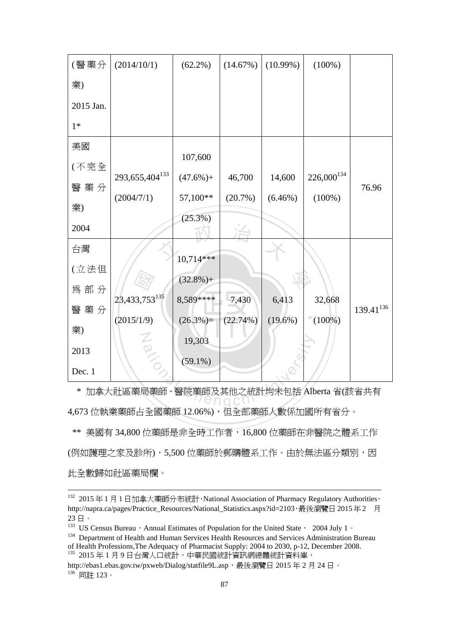| (醫藥分      | (2014/10/1)                             | $(62.2\%)$  | (14.67%)   | $(10.99\%)$ | $(100\%)$       |                |
|-----------|-----------------------------------------|-------------|------------|-------------|-----------------|----------------|
| 業)        |                                         |             |            |             |                 |                |
| 2015 Jan. |                                         |             |            |             |                 |                |
| $1*$      |                                         |             |            |             |                 |                |
| 美國        |                                         | 107,600     |            |             |                 |                |
| (不完全      |                                         |             |            |             |                 |                |
|           | 293, 655, 404 $133$                     | $(47.6\%)+$ | 46,700     | 14,600      | $226,000^{134}$ |                |
| 醫藥分       |                                         |             |            |             |                 | 76.96          |
| 業)        | (2004/7/1)                              | 57,100**    | $(20.7\%)$ | $(6.46\%)$  | $(100\%)$       |                |
| 2004      |                                         | $(25.3\%)$  |            |             |                 |                |
| 台灣        |                                         |             |            |             |                 |                |
| (立法但      |                                         | $10.714***$ |            |             |                 |                |
|           |                                         | $(32.8\%)+$ |            |             |                 |                |
| 為部分       |                                         |             |            |             |                 |                |
|           | $23,433,753^{135}$                      | 8,589****   | 7,430      | 6,413       | 32,668          |                |
| 醫藥分       | (2015/1/9)                              | $(26.3\%)=$ | (22.74%)   | $(19.6\%)$  | $(100\%)$       | $139.41^{136}$ |
| 業)        |                                         |             |            |             |                 |                |
|           | $rac{1}{\infty}$                        | 19,303      |            |             |                 |                |
| 2013      |                                         |             |            |             |                 |                |
| Dec. 1    |                                         | $(59.1\%)$  |            |             |                 |                |
|           |                                         |             |            |             |                 |                |
| ∗         | 加拿大社區藥局藥師、醫院藥師及其他之統計均未包括 Alberta 省(該省共有 |             |            |             |                 |                |
|           |                                         |             |            |             |                 |                |

 \* 加拿大社區藥局藥師、醫院藥師及其他之統計均未包括 Alberta 省(該省共有 4,673 位執業藥師占全國藥師 12.06%),但全部藥師人數係加國所有省分。

\*\* 美國有 34,800 位藥師是非全時工作者,16,800 位藥師在非醫院之體系工作 (例如護理之家及診所), 5,500 位藥師於郵購體系工作。由於無法區分類別, 因 此全數歸如社區藥局欄。

<sup>&</sup>lt;sup>132</sup> 2015年1月1日加拿大藥師分布統計,National Association of Pharmacy Regulatory Authorities, http://napra.ca/pages/Practice\_Resources/National\_Statistics.aspx?id=2103,最後瀏覽日2015年2 月 23 日。

<sup>&</sup>lt;sup>133</sup> US Census Bureau, Annual Estimates of Population for the United State, 2004 July 1。

<sup>&</sup>lt;sup>134</sup> Department of Health and Human Services Health Resources and Services Administration Bureau of Health Professions,The Adequacy of Pharmacist Supply: 2004 to 2030, p-12, December 2008.<br>  $^{135}$  2015 年 1 月 9 日台灣人口統計,中華民國統計資訊網總體統計資料庫,

http://ebas1.ebas.gov.tw/pxweb/Dialog/statfile9L.asp, 最後瀏覽日 2015 年 2 月 24 日。 136 同註 123。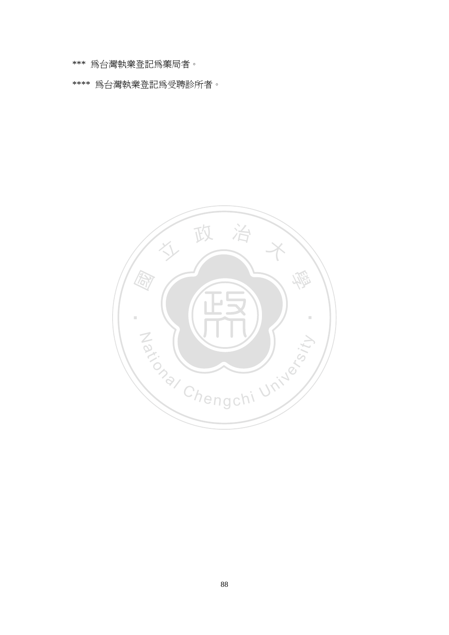\*\*\* 為台灣執業登記為藥局者。

\*\*\*\* 為台灣執業登記為受聘診所者。

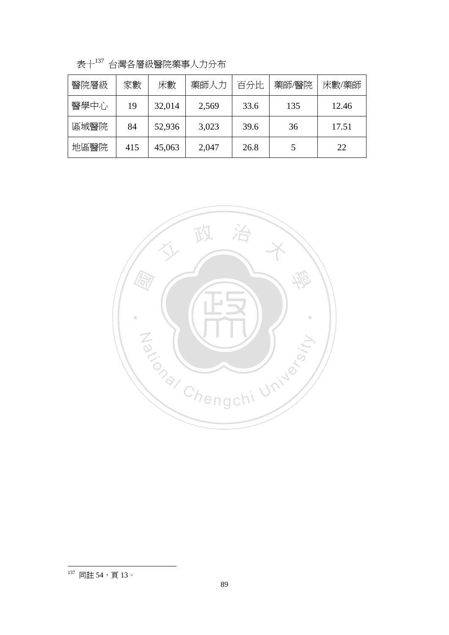| 醫院層級 | 家數  | 床數     | 藥師人力  | 百分比  | 藥師/醫院 | 床數/藥師 |
|------|-----|--------|-------|------|-------|-------|
| 醫學中心 | 19  | 32,014 | 2,569 | 33.6 | 135   | 12.46 |
| 區域醫院 | 84  | 52,936 | 3,023 | 39.6 | 36    | 17.51 |
| 地區醫院 | 415 | 45,063 | 2,047 | 26.8 |       | 22    |

表十<sup>137</sup> 台灣各層級醫院藥事人力分布



 $137$  同註 54,頁13。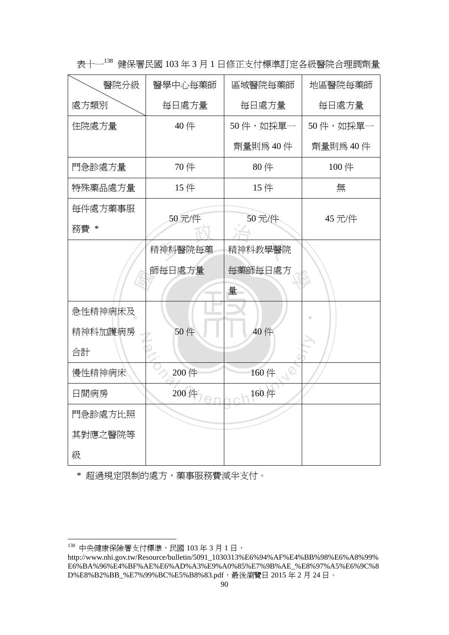| 醫院分級    | 醫學中心每藥師 | 區域醫院每藥師  | 地區醫院每藥師  |
|---------|---------|----------|----------|
| 處方類別    | 每日處方量   | 每日處方量    | 每日處方量    |
| 住院處方量   | 40件     | 50件,如採單一 | 50件,如採單一 |
|         |         | 劑量則為40件  | 劑量則為40件  |
| 門急診處方量  | 70件     | 80件      | 100 件    |
| 特殊藥品處方量 | 15件     | 15件      | 無        |
| 每件處方藥事服 | 50元/件   | 50元/件    | 45 元/件   |
| 務費 *    |         |          |          |
|         | 精神科醫院每藥 | 精神科教學醫院  |          |
|         | 師每日處方量  | 每藥師每日處方  |          |
|         |         | 量        |          |
| 急性精神病床及 |         |          |          |
| 精神科加護病房 | 50件     | 40 件     |          |
| 合計      |         |          |          |
| 慢性精神病床  | 200 件   | 160件     |          |
| 日間病房    | 200 件   | 160 件    |          |
| 門急診處方比照 |         |          |          |
| 其對應之醫院等 |         |          |          |
| 級       |         |          |          |

表十一<sup>138</sup> 健保署民國 103 年 3 月 1 日修正支付標準訂定各級醫院合理調劑量

\* 超過規定限制的處方,藥事服務費減半支付。

<sup>138</sup> 中央健康保險署支付標準,民國 103 年 3 月 1 日,

http://www.nhi.gov.tw/Resource/bulletin/5091\_1030313%E6%94%AF%E4%BB%98%E6%A8%99% E6%BA%96%E4%BF%AE%E6%AD%A3%E9%A0%85%E7%9B%AE\_%E8%97%A5%E6%9C%8 D%E8%B2%BB\_%E7%99%BC%E5%B8%83.pdf,最後瀏覽日 2015 年 2 月 24 日。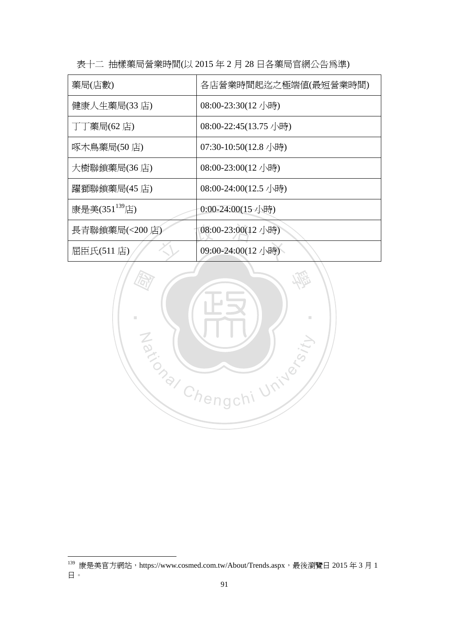| 藥局(店數)                    | 各店營業時間起迄之極端値(最短營業時間)  |
|---------------------------|-----------------------|
| 健康人生藥局(33 店)              | 08:00-23:30(12 小時)    |
| 丁丁藥局(62 店)                | 08:00-22:45(13.75 小時) |
| 啄木鳥藥局(50店)                | 07:30-10:50(12.8 小時)  |
| 大樹聯鎖藥局(36 店)              | 08:00-23:00(12 小時)    |
| 躍獅聯鎖藥局(45 店)              | 08:00-24:00(12.5 小時)  |
| 康是美(351 <sup>139</sup> 店) | 0:00-24:00(15 小時)     |
| 長青聯鎖藥局(<200店)             | 08:00-23:00(12 小時)    |
| 屈臣氏(511 店)                | 09:00-24:00(12 小時)    |

表十二 抽樣藥局營業時間(以 2015 年 2 月 28 日各藥局官網公告為準)



 $^{139}$  康是美官方網站,https://www.cosmed.com.tw/About/Trends.aspx,最後瀏覽日 2015 年 3 月 1 日。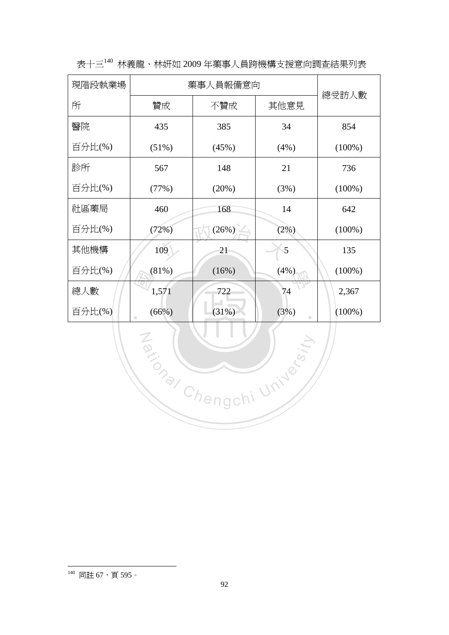| 現階段執業場 | 藥事人員報備意向 |          | 總受訪人數     |           |
|--------|----------|----------|-----------|-----------|
| 所      | 贊成       | 不贊成      | 其他意見      |           |
| 醫院     | 435      | 385      | 34        | 854       |
| 百分比(%) | $(51\%)$ | (45%)    | (4%)      | $(100\%)$ |
| 診所     | 567      | 148      | 21        | 736       |
| 百分比(%) | (77%)    | (20%)    | (3%)      | $(100\%)$ |
| 社區藥局   | 460      | 168      | 14        | 642       |
| 百分比(%) | (72%)    | $(26\%)$ | $(2\%)$   | $(100\%)$ |
| 其他機構   | 109      | 21       | 5         | 135       |
| 百分比(%) | (81%)    | (16%)    | (4%)      | $(100\%)$ |
| 總人數    | 1,571    | 722      | 74        | 2,367     |
| 百分比(%) | (66%)    | (31%)    | (3%)<br>ш | $(100\%)$ |

Za (WILL) Riversity

表十三<sup>140</sup> 林義龍、林妍如 2009 年藥事人員跨機構支援意向調查結果列表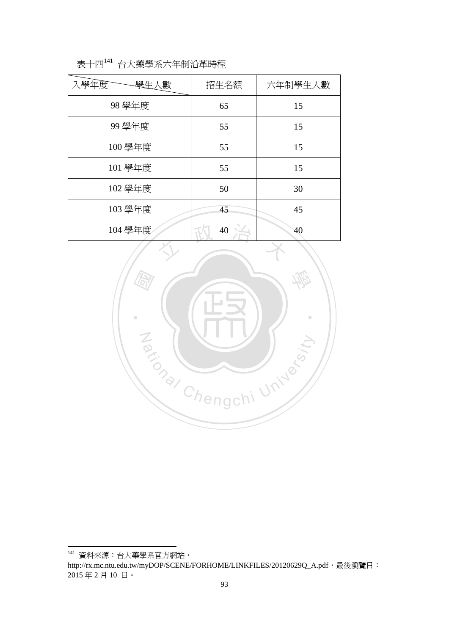| 表十四141 台大藥學系六年制沿革時程 |  |
|---------------------|--|
|---------------------|--|

| 入學年度<br>學生人數 | 招生名額 | 六年制學生人數 |
|--------------|------|---------|
| 98 學年度       | 65   | 15      |
| 99 學年度       | 55   | 15      |
| 100 學年度      | 55   | 15      |
| 101 學年度      | 55   | 15      |
| 102 學年度      | 50   | 30      |
| 103 學年度      | 45   | 45      |
| 104 學年度      | 40   | 40      |



<sup>141</sup> 資料來源:台大藥學系官方網站, http://rx.mc.ntu.edu.tw/myDOP/SCENE/FORHOME/LINKFILES/20120629Q\_A.pdf,最後瀏覽日: 2015 年 2 月 10 日。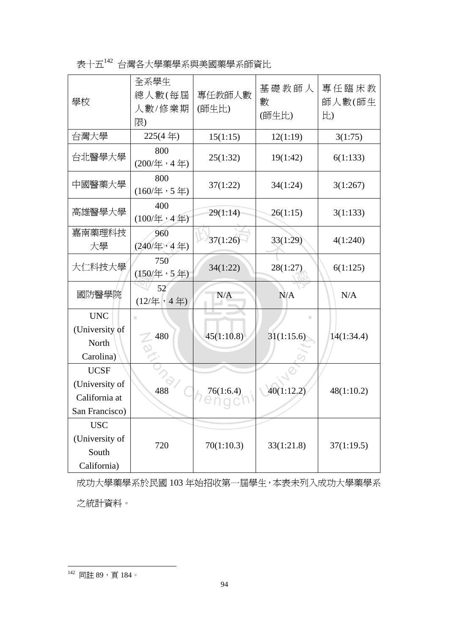表十五<sup>142</sup> 台灣各大學藥學系與美國藥學系師資比

| 學校                                                               | 全系學生<br>總人數(每屆<br>人數/修業期<br>限)                       | 專任教師人數<br>(師生比) | 基礎教師人<br>數<br>(師生比) | 專任臨床教<br>師人數(師生<br>比) |
|------------------------------------------------------------------|------------------------------------------------------|-----------------|---------------------|-----------------------|
| 台灣大學                                                             | $225(4$ 年)                                           | 15(1:15)        | 12(1:19)            | 3(1:75)               |
| 台北醫學大學                                                           | 800<br>(200/年,4年)                                    | 25(1:32)        | 19(1:42)            | 6(1:133)              |
| 中國醫藥大學                                                           | 800<br>$(160/\nbox{\rm \AA} \cdot 5 \nbox{\rm \AA})$ | 37(1:22)        | 34(1:24)            | 3(1:267)              |
| 高雄醫學大學                                                           | 400<br>$(100/\text{年} \cdot 4 \text{ #})$            | 29(1:14)        | 26(1:15)            | 3(1:133)              |
| 嘉南藥理科技<br>大學                                                     | 960<br>(240/年,4年)                                    | 37(1:26)        | 33(1:29)            | 4(1:240)              |
| 大仁科技大學                                                           | 750<br>$(150/\text{#} \cdot 5 \text{#})$             | 34(1:22)        | 28(1:27)            | 6(1:125)              |
| 國防醫學院                                                            | 52<br>(12/年,4年)                                      | N/A             | N/A                 | N/A                   |
| <b>UNC</b><br>(University of<br>North<br>Carolina)               | $\mathbb{R}^n$<br>480                                | 45(1:10.8)      | ш<br>31(1:15.6)     | 14(1:34.4)            |
| <b>UCSF</b><br>(University of<br>California at<br>San Francisco) | 488                                                  | 76(1:6.4)       | 40(1:12.2)          | 48(1:10.2)            |
| <b>USC</b><br>(University of<br>South<br>California)             | 720                                                  | 70(1:10.3)      | 33(1:21.8)          | 37(1:19.5)            |

成功大學藥學系於民國 103 年始招收第一屆學生,本表未列入成功大學藥學系 之統計資料。

142 同註 89,頁 184。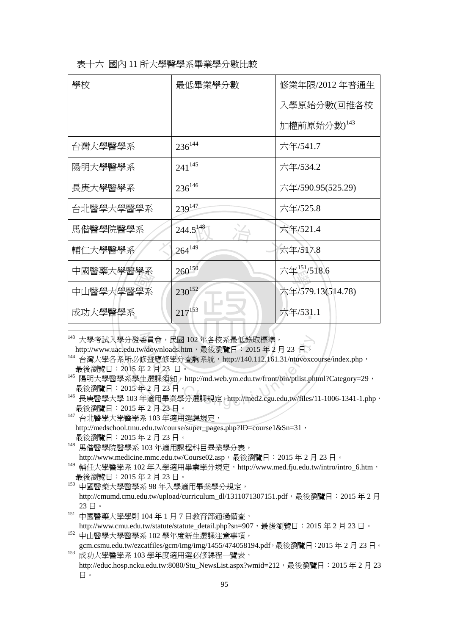|  |  | 表十六 國內 11 所大學醫學系畢業學分數比較 |  |
|--|--|-------------------------|--|
|--|--|-------------------------|--|

| 學校        | 最低畢業學分數       | 修業年限/2012 年普通生    |
|-----------|---------------|-------------------|
|           |               | 入學原始分數(回推各校       |
|           |               | 加權前原始分數)143       |
| 台灣大學醫學系   | $236^{144}$   | 六年/541.7          |
| 陽明大學醫學系   | $241^{145}$   | 六年/534.2          |
| 長庚大學醫學系   | $236^{146}$   | 六年/590.95(525.29) |
| 台北醫學大學醫學系 | 239147        | 六年/525.8          |
| 馬偕醫學院醫學系  | $244.5^{148}$ | 六年/521.4          |
| 輔仁大學醫學系   | $264^{149}$   | 六年/517.8          |
| 中國醫藥大學醫學系 | $260^{150}$   | 六年151/518.6       |
| 中山醫學大學醫學系 | $230^{152}$   | 六年/579.13(514.78) |
| 成功大學醫學系   | $217^{153}$   | 六年/531.1          |
|           |               |                   |

.<br>143 大學考試入學分發委員會,民國 102 年各校系最低錄取標準,

http://www.uac.edu.tw/downloads.htm,最後瀏覽日: 2015年2月23日。

委員會,民國 102 年各校系最低錄取標準,<br>//downloads.htm,最後瀏覽日:2015 年 2 月 23 日。<br>§暨應修學分查詢系統,http://140.112.161.31/ntuvoxcc<br>ミ2 月 23 日。<br>±選課須知,http://md.web.ym.edu.tw/front/bin/ptlist.ph<br>ミ2 月 23 日。<br>F適用畢業學分選課規定,http://med2.cgu.edu.tw/files/1 <sup>144</sup> 台灣大學各系所必修暨應修學分查詢系統,http://140.112.161.31/ntuvoxcourse/index.php, 最後瀏覽日:2015 年 2 月 23 日。

<sup>145</sup> 陽明大學醫學系學生選課須知,http://md.web.ym.edu.tw/front/bin/ptlist.phtml?Category=29, 最後瀏覽日:2015 年 2 月 23 日。

<sup>146</sup> 長庚醫學大學 103 年適用畢業學分選課規定,http://med2.cgu.edu.tw/files/11-1006-1341-1.php, 最後瀏覽日:2015 年 2 月 23 日。

<sup>147</sup> 台北醫學大學醫學系 103 年適用選課規定, http://medschool.tmu.edu.tw/course/super\_pages.php?ID=course1&Sn=31, 最後瀏覽日:2015 年 2 月 23 日。

<sup>148</sup> 馬偕醫學院醫學系 103 年適用課程科目畢業學分表,

http://www.medicine.mmc.edu.tw/Course02.asp, 最後瀏覽日: 2015年2月23日。

<sup>149</sup> 輔任大學醫學系 102年入學適用畢業學分規定,http://www.med.fju.edu.tw/intro/intro\_6.htm, 最後瀏覽日:2015 年 2 月 23 日。

<sup>150</sup> 中國醫藥大學醫學系 98 年入學適用畢業學分規定, http://cmumd.cmu.edu.tw/upload/curriculum\_dl/1311071307151.pdf,最後瀏覽日: 2015年2月 23 日。

<sup>151</sup> 中國醫藥大學學則 104 年 1 月 7 日教育部通過備查,

http://www.cmu.edu.tw/statute/statute\_detail.php?sn=907,最後瀏覽日: 2015年2月23日。 <sup>152</sup> 中山醫學大學醫學系 102 學年度新生選課注意事項,

gcm.csmu.edu.tw/ezcatfiles/gcm/img/img/1455/474058194.pdf,最後瀏覽日:2015年2月23日。 <sup>153</sup> 成功大學醫學系 103 學年度適用選必修課程一覽表,

http://educ.hosp.ncku.edu.tw:8080/Stu\_NewsList.aspx?wmid=212, 最後瀏覽日: 2015年2月23 日。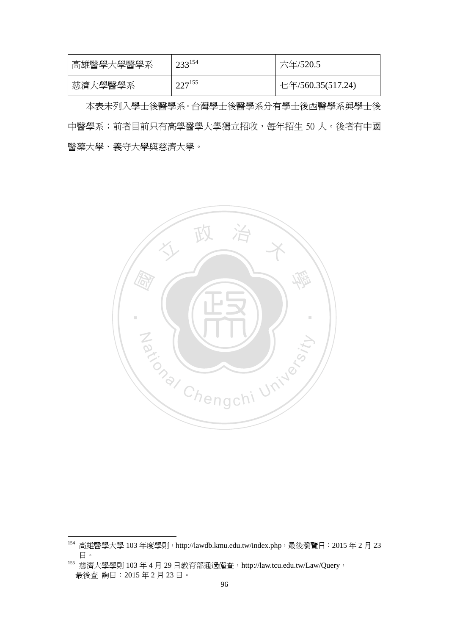| 高雄醫學大學醫學系 | $23^{154}$  | 六年/520.5          |
|-----------|-------------|-------------------|
| 慈濟大學醫學系   | $227^{155}$ | 七年/560.35(517.24) |

本表未列入學士後醫學系。台灣學士後醫學系分有學士後西醫學系與學士後 中醫學系;前者目前只有高學醫學大學獨立招收,每年招生 50 人。後者有中國 醫藥大學、義守大學與慈濟大學。



 $^{154}$  高雄醫學大學 103年度學則,http://lawdb.kmu.edu.tw/index.php,最後瀏覽日:2015年 2 月 23 日。

<sup>155</sup> 慈濟大學學則 103年 4 月 29 日教育部通過備查, http://law.tcu.edu.tw/Law/Query, 最後查 詢日:2015 年 2 月 23 日。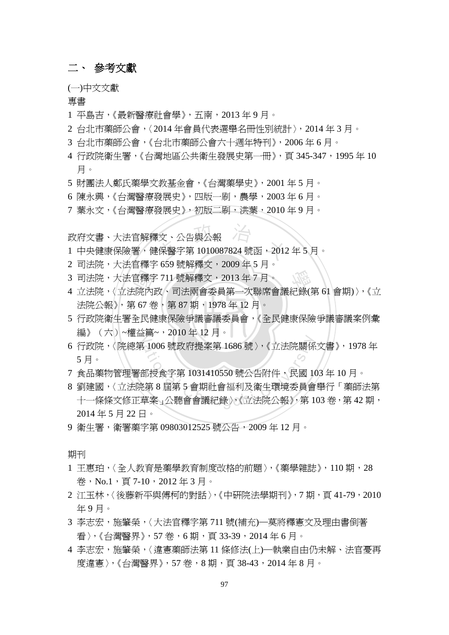### 二、 參考文獻

(一)中文文獻

專書

- 1 平島吉,《最新醫療社會學》,五南,2013 年 9 月。
- 2 台北市藥師公會,〈2014 年會員代表選舉名冊性別統計〉,2014 年 3 月。
- 3 台北市藥師公會,《台北市藥師公會六十週年特刊》,2006 年 6 月。
- 4 行政院衛生署,《台灣地區公共衛生發展史第一冊》,頁 345-347,1995 年 10 月。
- 5 財團法人鄭氏藥學文教基金會,《台灣藥學史》,2001 年 5 月。
- 6 陳永興,《台灣醫療發展史》,四版一刷,農學,2003 年 6 月。
- 7 葉永文,《台灣醫療發展史》,初版二刷,洪葉,2010 年 9 月。

政府文書、大法官解釋文、公告與公報

- <br>「文、公告與公報<br>『保醫字第 1010087824 號函,2012 1 中央健康保險署,健保醫字第 1010087824 號函,2012 年 5 月。
- 2 司法院,大法官釋字 659 號解釋文,2009 年 5 月。
- 3 司法院,大法官釋字 711 號解釋文,2013 年 7 月。
- 3 司法院,大法官釋字 711 號解釋文,2013 年 7 月。<br>4 立法院,〈立法院內政、司法兩會委員第一次聯席會議紀錄(第 61 會期)〉,《立<br>法院公報》, 第 67 卷,第 87 期,1978 年 12 月。<br>5 行政院衛生署全民健康保險爭議審議委員會,《全民健康保險爭議審議案例彙 法院公報》,第67卷,第87期,1978年12月。
- ‧‧ 5 行政院衛生署全民健康保險爭議審議委員會,《全民健康保險爭議審議案例彙 N 編》(六)~權益篇~,2010 年 12 月。
- 6 行政院,〈院總第 1006 號政府提案第 1686 號〉,《立法院關係文書》,1978 年 5 月。
- 7 食品藥物管理署部授食字第 1031410550 號公告附件,民國 103 年 10 月。
- ational Chengchi Chengchi (1979), 1978 年<br>
5 月。<br>
7 食品藥物管理署部授食字第 1031410550 號公告附件,民國 103 年 10 月。<br>
8 劉建國,〈立法院第 8 屆第 5 會期社會福利及衛生環境委員會舉行「藥師法第<br>
十一條條文修正草案」公聽會會議紀錄〉,《立法院公報》,第 103 卷,第 42 期, 8 劉建國,〈立法院第 8 屆第 5 會期社會福利及衛生環境委員會舉行「藥師法第 2014 年 5 月 22 日。
- 9 衛生署,衛署藥字第 09803012525 號公告,2009 年 12 月。

期刊

- 1 王惠珀,〈全人教育是藥學教育制度改格的前題〉,《藥學雜誌》,110期,28 卷, No.1, 頁 7-10, 2012年3月。
- 2 江玉林,〈後藤新平與傅柯的對話〉,《中研院法學期刊》,7期,百41-79,2010 年 9 月。
- 3 李志宏,施肇榮,〈大法官釋字第 711 號(補充)—莫將釋憲文及理由書倒著 看〉,《台灣醫界》,57 卷,6 期,頁 33-39,2014 年 6 月。
- 4 李志宏,施肇榮,〈違憲藥師法第 11 條修法(上)—執業自由仍未解、法官憂再 度違憲〉,《台灣醫界》,57卷,8期,頁38-43,2014年8月。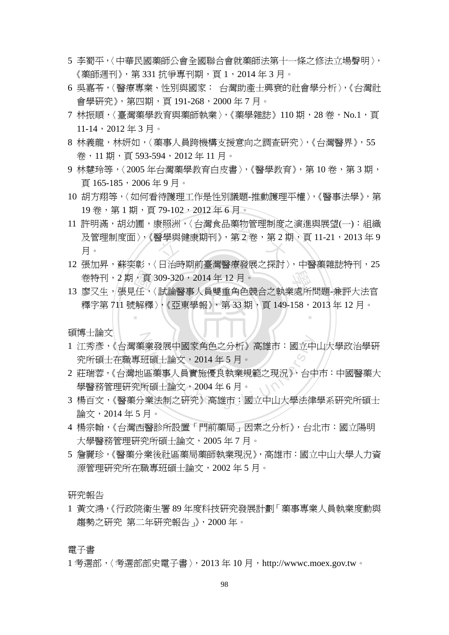- 5 李蜀平,〈中華民國藥師公會全國聯合會就藥師法第十一條之修法立場聲明〉, 《藥師週刊》,第 331 抗爭專刊期,頁 1,2014 年 3 月。
- 6 吳嘉苓,〈醫療專業、性別與國家: 台灣助產士興衰的社會學分析〉,《台灣社 會學研究》,第四期,頁 191-268,2000 年 7 月。
- 7 林振順,〈臺灣藥學教育與藥師執業〉,《藥學雜誌》110 期,28 卷,No.1,頁 11-14,2012 年 3 月。
- 8 林義龍,林妍如,〈藥事人員跨機構支援意向之調查研究〉,《台灣醫界》, 55 卷,11 期,頁 593-594,2012 年 11 月。
- 9 林慧玲等,〈2005年台灣藥學教育白皮書〉,《醫學教育》,第10卷,第3期, 頁 165-185,2006 年 9 月。
- 10 胡方翔等,〈如何看待護理工作是性別議題-推動護理平權〉,《醫事法學》,第 19卷,第1期,頁79-102,2012年6月。
- <sup>立</sup> <sup>政</sup> <sup>治</sup> <sup>大</sup> 11 許明滿,胡幼圃,康照洲,〈台灣食品藥物管理制度之演進與展望(一):組織 <u>及管理制度面〉,《醫學與健康期刊》, 第 2 卷,第 2 期,頁 11-21,2013 年 9</u> 月。
- サポポティ<br>参特刊,2 期,頁 309-320,2014 年 12 月。<br>13 廖又生,張見任,〈試論醫事人員雙重角色競合之執業處所問題-兼評大法官 12 張加昇,蘇奕彰,〈日治時期前臺灣醫療發展之探討〉,中醫藥雜誌特刊, 25 卷特刊, 2期, 百 309-320, 2014年 12月。
- ,頁<br>「任<br>『解釋 ‧ 釋字第 711 號解釋 〉,《亞東學報》, 第 33 期,頁 149-158,2013 年 12 月。

碩博士論文

- Z. ational Chengchi University<br>1 江秀彥,《台灣藥業發展中國家角色之分析》高雄市:國立中山大學政治學研<br>究所碩士在職專班碩士論文,2014 年 5 月。<br>2 莊瑞蓉,《台灣地區藥事人員實施優良執業規範之現況》,台中市:中國醫藥大<br>學醫務管理研究所碩士論文,2004 年 6 月。<br>3 楊百文,《醫藥分業法制之研究》高雄市:國立中山大學法律學系研究所碩士 1 江秀彥,《台灣藥業發展中國家角色之分析》高雄市:國立中山大學政治學研 究所碩士在職專班碩士論文,2014 年 5 月。
- 2 莊瑞蓉,《台灣地區藥事人員實施優良執業規範之現況》,台中市:中國醫藥大 學醫務管理研究所碩士論文,2004 年 6 月。
- 論文,2014 年 5 月。
- 4 楊宗翰,《台灣西醫診所設置「門前藥局」因素之分析》,台北市:國立陽明 大學醫務管理研究所碩士論文,2005 年 7 月。
- 5 詹麗珍,《醫藥分業後社區藥局藥師執業現況》,高雄市:國立中山大學人力資 源管理研究所在職專班碩士論文,2002 年 5 月。

研究報告

1 黃文鴻,《行政院衛生署 89 年度科技研究發展計劃「藥事專業人員執業度動與 趨勢之研究 第二年研究報告」》,2000 年。

電子書

1 考選部,〈考選部部史電子書〉, 2013 年 10 月, http://wwwc.moex.gov.tw。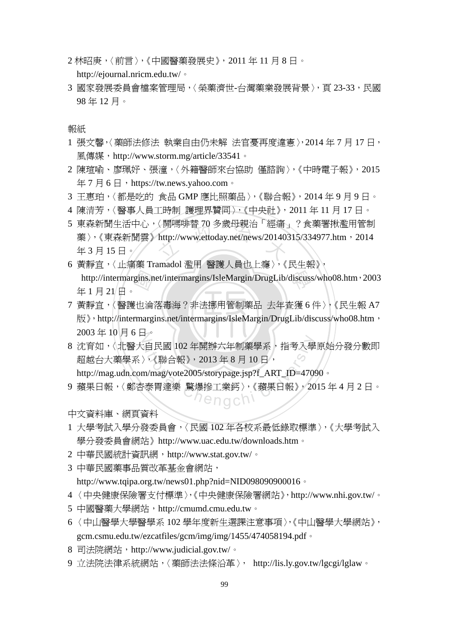- 2 林昭庚,〈前言〉,《中國醫藥發展史》,2011 年 11 月 8 日。 http://ejournal.nricm.edu.tw/。
- 3 國家發展委員會檔案管理局,〈榮藥濟世-台灣藥業發展背景〉, 百 23-33, 民國 98 年 12 月。

報紙

- 1 張文馨,〈藥師法修法 執業自由仍未解 法官憂再度違憲〉,2014 年 7 月 17 日, 風傳媒,http://www.storm.mg/article/33541。
- 2 陳瑄喻、廖珮妤、張潼,〈外籍醫師來台協助 僅諮詢〉,《中時電子報》,2015 年7月6日, https://tw.news.yahoo.com。
- 3 王惠珀,〈都是吃的 食品 GMP 應比照藥品〉,《聯合報》,2014 年 9 月 9 日。
- 4 陳清芳,〈醫事人員工時制 護理界贊同〉,《中央社》,2011 年 11 月 17 日。
- く開鳴呼音 /0 多威母税治 ' 経痛」<br>http://www.ettoday.net/news/20140.<br>- インスアデザリアドリーン 5 東森新聞生活中心,〈開嗎啡替 70 多歲母親治「經痛」?食藥署揪濫用管制 藥〉,《東森新聞雲》http://www.ettoday.net/news/20140315/334977.htm,2014 年 3 月 15 日。
- http://intermargins.net/intermargins/IsleMargin/DrugLib/discuss/who08.htm, 2003<br>年1月21日。<br>7 黃靜宜,〈醫護也淪落毒海?非法挪用管制藥品 去年查獲6件〉,《民生報 A7<br>版》, http://intermargins.net/intermargins/IsleMargin/DrugLib/discuss/who08.htm, 6 黃靜宜,〈止痛藥 Tramadol 濫用 醫護人員也上癮〉,《民生報》, 年 1 月 21 日。
- $\mathbb{R}$  , http://intermargins.net/intermargins/IsleMargin/DrugLib/discuss/who08.htm,  $2003$  年 10 月 6 日。 7 黃靜宜,〈醫護也淪落毒海?非法挪用管制藥品 去年查獲 6 件〉,《民生報 A7
- -<br>:自民國 102 年開辦六年制藥學系,指考入學<br>> 《聯合報》,2013 年 8 月 10 日,<br>m/mag/vote2005/storypage.jsp?f\_ART\_ID=4709<br>:泰胃達樂 驚爆摻工業鈣 > 、《蘋果日報》,20<br>- ^ C n g c h \ 8 沈育如,〈北醫大自民國 102 年開辦六年制藥學系,指考入學原始分發分數即 超越台大藥學系〉,《聯合報》,2013 年 8 月 10 日,

http://mag.udn.com/mag/vote2005/storypage.jsp?f\_ART\_ID=47090。

9 蘋果日報,〈鄭杏泰胃達樂 驚爆摻工業鈣〉,《蘋果日報》,2015 年 4 月 2 日。

中文資料庫、網頁資料

- 1 大學考試入學分發委員會,〈民國 102 年各校系最低錄取標準〉,《大學考試入 學分發委員會網站》http://www.uac.edu.tw/downloads.htm。
- 2 中華民國統計資訊網,http://www.stat.gov.tw/。
- 3 中華民國藥事品質改革基金會網站,

http://www.tqipa.org.tw/news01.php?nid=NID098090900016。

- 4 〈中央健康保險署支付標準〉,《中央健康保險署網站》,http://www.nhi.gov.tw/。
- 5 中國醫藥大學網站,http://cmumd.cmu.edu.tw。
- 6 〈中山醫學大學醫學系 102 學年度新生選課注意事項〉,《中山醫學大學網站》, gcm.csmu.edu.tw/ezcatfiles/gcm/img/img/1455/474058194.pdf。
- 8 司法院網站, http://www.judicial.gov.tw/。
- 9 立法院法律系統網站,〈藥師法法條沿革〉, http://lis.ly.gov.tw/lgcgi/lglaw。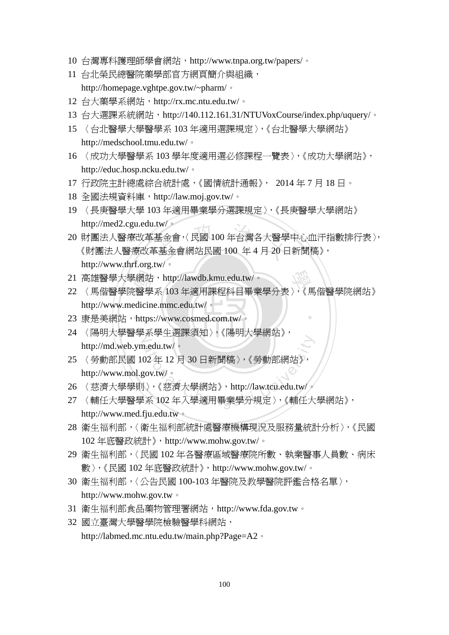- 10 台灣專科護理師學會網站,http://www.tnpa.org.tw/papers/。
- 11 台北榮民總醫院藥學部官方網頁簡介與組織, http://homepage.vghtpe.gov.tw/~pharm/。
- 12 台大藥學系網站, http://rx.mc.ntu.edu.tw/。
- 13 台大選課系統網站, http://140.112.161.31/NTUVoxCourse/index.php/uquery/。
- 15 〈台北醫學大學醫學系 103 年適用選課規定〉,《台北醫學大學網站》 http://medschool.tmu.edu.tw/。
- 16 〈成功大學醫學系 103 學年度適用選必修課程一覽表〉,《成功大學網站》, http://educ.hosp.ncku.edu.tw/。
- 17 行政院主計總處綜合統計處,《國情統計通報》, 2014 年 7 月 18 日。
- 18 全國法規資料庫,http://law.moj.gov.tw/。
- 19 〈長庚醫學大學 103 年適用畢業學分選課規定〉,《長庚醫學大學網站》 http://med2.cgu.edu.tw/。
- tw/。<br>基金會、〈民國 100 年台灣各大醫學<br><mark>:基金會網站民國 100</mark> 年 4 月 20 E 20 財團法人醫療改革基金會,〈民國 100 年台灣各大醫學中心血汗指數排行表〉, 《財團法人醫療改革基金會網站民國 100 年 4 月 20 日新聞稿》, http://www.thrf.org.tw/。
- 
- 21 高雄醫學大學網站,http://lawdb.kmu.edu.tw/。<br>22 〈馬偕醫學院醫學系 103 年適用課程科目畢業<br>http://www.medicine.mmc.edu.tw/。<br>23 康是美網站,https://www.cosmed.com.tw/。 - ^<br>21 高雄醫學大學網站,http://lawdb.kmu.edu.tw/。<br>22 〈馬偕醫學院醫學系 103 年適用課程科目畢業學分表〉,《馬偕醫學院網站》 ‧ http://www.medicine.mmc.edu.tw/。
- ‧23 康是美網站,https://www.cosmed.com.tw/。
- N 24 〈陽明大學醫學系學生選課須知〉,《陽明大學網站》, http://md.web.ym.edu.tw/。
- ational Chengchi Washington<br>http://md.web.ym.edu.tw/。<br>25 〈勞動部民國 102 年 12 月 30 日新聞稿〉,《勞動部網站》,<br>http://www.mol.gov.tw/。<br>26 〈慈濟大學學則〉,《慈濟大學網站》, http://law.tcu.edu.tw/。<br>27 〈輔任大學醫學系 102 年入學適用畢業學分規定〉,《輔任大學網站》, 25 〈勞動部民國 102 年 12 月 30 日新聞稿〉,《勞動部網站》, http://www.mol.gov.tw/。
- 26 〈慈濟大學學則〉,《慈濟大學網站》,http://law.tcu.edu.tw/。
- http://www.med.fju.edu.tw。
- 28 衛生福利部,〈衛生福利部統計處醫療機構現況及服務量統計分析〉,《民國 102 年底醫政統計》,http://www.mohw.gov.tw/。
- 29 衛生福利部,〈民國 102 年各醫療區域醫療院所數、執業醫事人員數、病床 數〉,《民國 102 年底醫政統計》,http://www.mohw.gov.tw/。
- 30 衛生福利部,〈公告民國 100-103 年醫院及教學醫院評鑑合格名單〉, http://www.mohw.gov.tw。
- 31 衛生福利部食品藥物管理署網站,http://www.fda.gov.tw。
- 32 國立臺灣大學醫學院檢驗醫學科網站,

http://labmed.mc.ntu.edu.tw/main.php?Page=A2。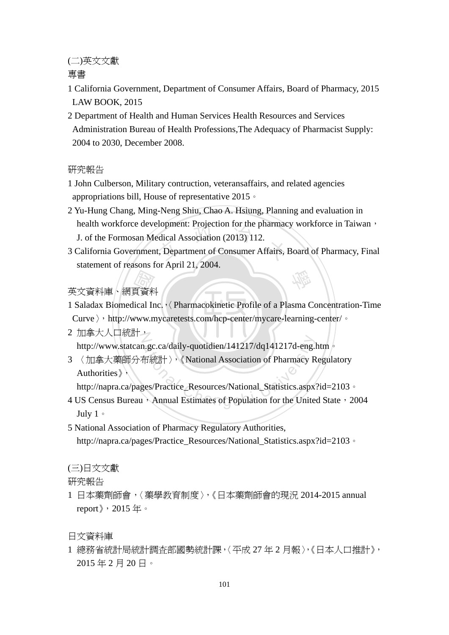(二)英文文獻

專書

- 1 California Government, Department of Consumer Affairs, Board of Pharmacy, 2015 LAW BOOK, 2015
- 2 Department of Health and Human Services Health Resources and Services Administration Bureau of Health Professions,The Adequacy of Pharmacist Supply: 2004 to 2030, December 2008.

#### 研究報告

- 1 John Culberson, Military contruction, veteransaffairs, and related agencies appropriations bill, House of representative 2015。
- neath workforce development: Projection for the pharmacy workforce in Taiwan,<br>
3 California Government, Department of Consumer Affairs, Board of Pharmacy, Final<br>
3 California Government, Department of Consumer Affairs, Boa 2 Yu-Hung Chang, Ming-Neng Shiu, Chao A. Hsiung, Planning and evaluation in health workforce development: Projection for the pharmacy workforce in Taiwan, J. of the Formosan Medical Association (2013) 112.
- 學 statement of reasons for April 21, 2004.

# *(『*<br>夏資料<br>ical Ir<br>www.n 英文資料庫、網頁資料

1 Saladax Biomedical Inc.,  $\Diamond$  Pharmacokinetic Profile of a Plasma Concentration-Time

Curve > , http://www.mycaretests.com/hcp-center/mycare-learning-center/ 。

- 2 加拿大人口統計 2 http://www.statcan.gc.ca/daily-quotidien/141217/dq141217d-eng.htm 。
- <sup>a</sup>t<sup>i</sup>ona<sup>l</sup> <sup>C</sup>hengch<sup>i</sup> <sup>U</sup>nivers<sup>i</sup>t<sup>y</sup> 3 〈加拿大藥師分布統計〉,《National Association of Pharmacy Regulatory Authorities》,

http://napra.ca/pages/Practice\_Resources/National\_Statistics.aspx?id=2103。

- 4 US Census Bureau, Annual Estimates of Population for the United State, 2004 July 1。
- 5 National Association of Pharmacy Regulatory Authorities, http://napra.ca/pages/Practice\_Resources/National\_Statistics.aspx?id=2103。

#### (三)日文文獻

研究報告

1 日本藥劑師會,〈藥學教育制度〉,《日本藥劑師會的現況 2014-2015 annual report》,2015 年。

日文資料庫

1 總務省統計局統計調査部國勢統計課,〈平成 27 年 2 月報〉,《日本人口推計》, 2015 年 2 月 20 日。